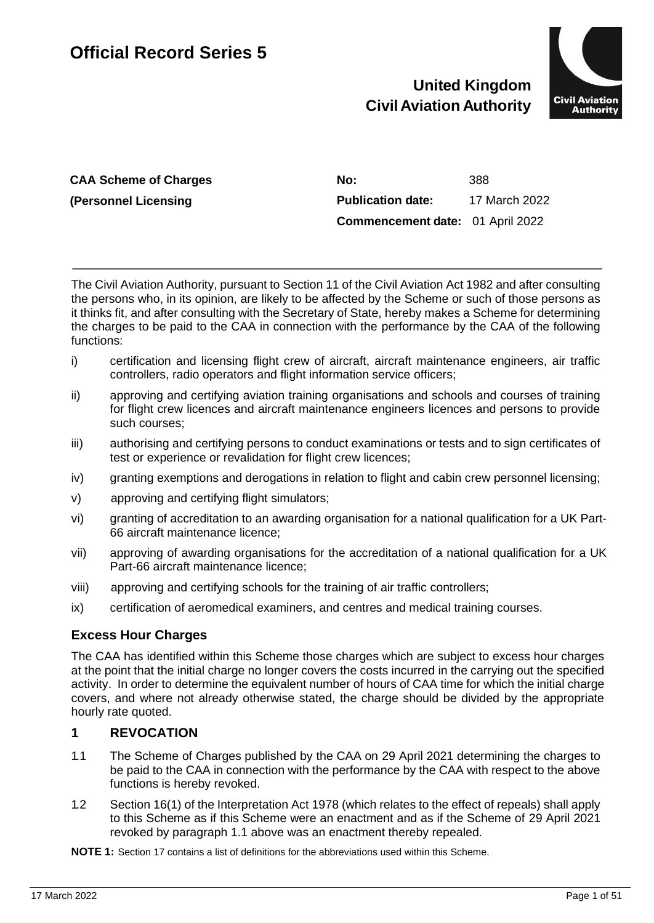# **United Kingdom Civil Aviation Authority**



**CAA Scheme of Charges (Personnel Licensing**

**No:** 388 **Publication date:** 17 March 2022 **Commencement date:** 01 April 2022

The Civil Aviation Authority, pursuant to Section 11 of the Civil Aviation Act 1982 and after consulting the persons who, in its opinion, are likely to be affected by the Scheme or such of those persons as it thinks fit, and after consulting with the Secretary of State, hereby makes a Scheme for determining the charges to be paid to the CAA in connection with the performance by the CAA of the following functions:

- i) certification and licensing flight crew of aircraft, aircraft maintenance engineers, air traffic controllers, radio operators and flight information service officers;
- ii) approving and certifying aviation training organisations and schools and courses of training for flight crew licences and aircraft maintenance engineers licences and persons to provide such courses;
- iii) authorising and certifying persons to conduct examinations or tests and to sign certificates of test or experience or revalidation for flight crew licences;
- iv) granting exemptions and derogations in relation to flight and cabin crew personnel licensing;
- v) approving and certifying flight simulators;
- vi) granting of accreditation to an awarding organisation for a national qualification for a UK Part-66 aircraft maintenance licence;
- vii) approving of awarding organisations for the accreditation of a national qualification for a UK Part-66 aircraft maintenance licence;
- viii) approving and certifying schools for the training of air traffic controllers;
- ix) certification of aeromedical examiners, and centres and medical training courses.

# **Excess Hour Charges**

The CAA has identified within this Scheme those charges which are subject to excess hour charges at the point that the initial charge no longer covers the costs incurred in the carrying out the specified activity. In order to determine the equivalent number of hours of CAA time for which the initial charge covers, and where not already otherwise stated, the charge should be divided by the appropriate hourly rate quoted.

# **1 REVOCATION**

- 1.1 The Scheme of Charges published by the CAA on 29 April 2021 determining the charges to be paid to the CAA in connection with the performance by the CAA with respect to the above functions is hereby revoked.
- 1.2 Section 16(1) of the Interpretation Act 1978 (which relates to the effect of repeals) shall apply to this Scheme as if this Scheme were an enactment and as if the Scheme of 29 April 2021 revoked by paragraph 1.1 above was an enactment thereby repealed.

**NOTE 1:** Section 17 contains a list of definitions for the abbreviations used within this Scheme.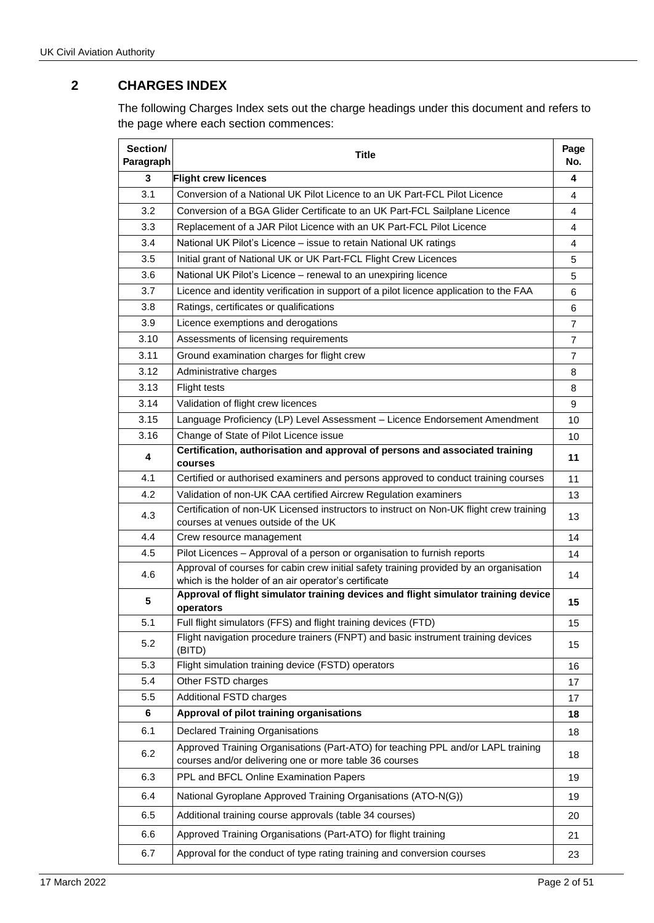# **2 CHARGES INDEX**

The following Charges Index sets out the charge headings under this document and refers to the page where each section commences:

| Section/<br>Paragraph | <b>Title</b>                                                                                                                                   | Page<br>No.    |
|-----------------------|------------------------------------------------------------------------------------------------------------------------------------------------|----------------|
| 3                     | <b>Flight crew licences</b>                                                                                                                    | 4              |
| 3.1                   | Conversion of a National UK Pilot Licence to an UK Part-FCL Pilot Licence                                                                      |                |
| 3.2                   | Conversion of a BGA Glider Certificate to an UK Part-FCL Sailplane Licence                                                                     | 4              |
| 3.3                   | Replacement of a JAR Pilot Licence with an UK Part-FCL Pilot Licence                                                                           | 4              |
| 3.4                   | National UK Pilot's Licence - issue to retain National UK ratings                                                                              | 4              |
| 3.5                   | Initial grant of National UK or UK Part-FCL Flight Crew Licences                                                                               | 5              |
| 3.6                   | National UK Pilot's Licence - renewal to an unexpiring licence                                                                                 | 5              |
| 3.7                   | Licence and identity verification in support of a pilot licence application to the FAA                                                         | 6              |
| 3.8                   | Ratings, certificates or qualifications                                                                                                        | 6              |
| 3.9                   | Licence exemptions and derogations                                                                                                             | $\overline{7}$ |
| 3.10                  | Assessments of licensing requirements                                                                                                          | 7              |
| 3.11                  | Ground examination charges for flight crew                                                                                                     | $\overline{7}$ |
| 3.12                  | Administrative charges                                                                                                                         | 8              |
| 3.13                  | <b>Flight tests</b>                                                                                                                            | 8              |
| 3.14                  | Validation of flight crew licences                                                                                                             | 9              |
| 3.15                  | Language Proficiency (LP) Level Assessment - Licence Endorsement Amendment                                                                     | 10             |
| 3.16                  | Change of State of Pilot Licence issue                                                                                                         | 10             |
| 4                     | Certification, authorisation and approval of persons and associated training<br>courses                                                        | 11             |
| 4.1                   | Certified or authorised examiners and persons approved to conduct training courses                                                             | 11             |
| 4.2                   | Validation of non-UK CAA certified Aircrew Regulation examiners                                                                                |                |
| 4.3                   | Certification of non-UK Licensed instructors to instruct on Non-UK flight crew training<br>courses at venues outside of the UK                 | 13             |
| 4.4                   | Crew resource management                                                                                                                       | 14             |
| 4.5                   | Pilot Licences - Approval of a person or organisation to furnish reports                                                                       | 14             |
| 4.6                   | Approval of courses for cabin crew initial safety training provided by an organisation<br>which is the holder of an air operator's certificate | 14             |
| 5                     | Approval of flight simulator training devices and flight simulator training device<br>operators                                                | 15             |
| 5.1                   | Full flight simulators (FFS) and flight training devices (FTD)                                                                                 | 15             |
| 5.2                   | Flight navigation procedure trainers (FNPT) and basic instrument training devices<br>(BITD)                                                    | 15             |
| 5.3                   | Flight simulation training device (FSTD) operators                                                                                             | 16             |
| 5.4                   | Other FSTD charges                                                                                                                             | 17             |
| 5.5                   | Additional FSTD charges                                                                                                                        | 17             |
| 6                     | Approval of pilot training organisations                                                                                                       | 18             |
| 6.1                   | <b>Declared Training Organisations</b>                                                                                                         | 18             |
| 6.2                   | Approved Training Organisations (Part-ATO) for teaching PPL and/or LAPL training<br>courses and/or delivering one or more table 36 courses     | 18             |
| 6.3                   | PPL and BFCL Online Examination Papers                                                                                                         | 19             |
| 6.4                   | National Gyroplane Approved Training Organisations (ATO-N(G))                                                                                  | 19             |
| 6.5                   | Additional training course approvals (table 34 courses)                                                                                        | 20             |
| 6.6                   | Approved Training Organisations (Part-ATO) for flight training                                                                                 | 21             |
| 6.7                   | Approval for the conduct of type rating training and conversion courses                                                                        | 23             |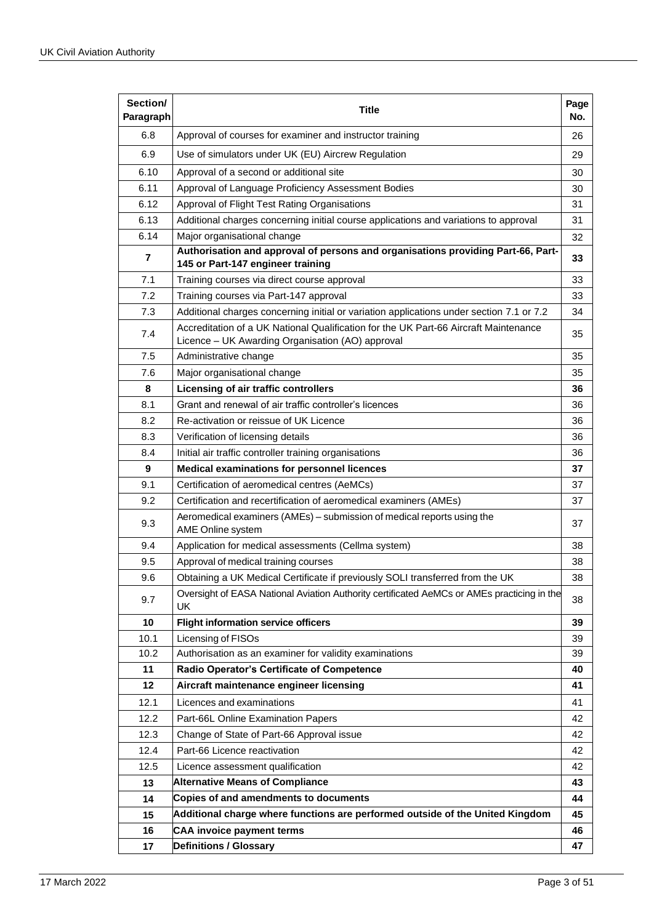| Section/<br>Paragraph | Title                                                                                                                                    | Page<br>No. |
|-----------------------|------------------------------------------------------------------------------------------------------------------------------------------|-------------|
| 6.8                   | Approval of courses for examiner and instructor training                                                                                 | 26          |
| 6.9                   | Use of simulators under UK (EU) Aircrew Regulation                                                                                       |             |
| 6.10                  | Approval of a second or additional site                                                                                                  | 30          |
| 6.11                  | Approval of Language Proficiency Assessment Bodies                                                                                       | 30          |
| 6.12                  | Approval of Flight Test Rating Organisations                                                                                             | 31          |
| 6.13                  | Additional charges concerning initial course applications and variations to approval                                                     | 31          |
| 6.14                  | Major organisational change                                                                                                              | 32          |
| 7                     | Authorisation and approval of persons and organisations providing Part-66, Part-<br>145 or Part-147 engineer training                    | 33          |
| 7.1                   | Training courses via direct course approval                                                                                              | 33          |
| 7.2                   | Training courses via Part-147 approval                                                                                                   | 33          |
| 7.3                   | Additional charges concerning initial or variation applications under section 7.1 or 7.2                                                 | 34          |
| 7.4                   | Accreditation of a UK National Qualification for the UK Part-66 Aircraft Maintenance<br>Licence - UK Awarding Organisation (AO) approval | 35          |
| 7.5                   | Administrative change                                                                                                                    | 35          |
| 7.6                   | Major organisational change                                                                                                              | 35          |
| 8                     | Licensing of air traffic controllers                                                                                                     | 36          |
| 8.1                   | Grant and renewal of air traffic controller's licences                                                                                   | 36          |
| 8.2                   | Re-activation or reissue of UK Licence                                                                                                   | 36          |
| 8.3                   | Verification of licensing details                                                                                                        | 36          |
| 8.4                   | Initial air traffic controller training organisations                                                                                    |             |
| 9                     | <b>Medical examinations for personnel licences</b>                                                                                       |             |
| 9.1                   | Certification of aeromedical centres (AeMCs)                                                                                             |             |
| 9.2                   | Certification and recertification of aeromedical examiners (AMEs)                                                                        |             |
| 9.3                   | Aeromedical examiners (AMEs) - submission of medical reports using the<br>AME Online system                                              |             |
| 9.4                   | Application for medical assessments (Cellma system)                                                                                      | 38          |
| 9.5                   | Approval of medical training courses                                                                                                     | 38          |
| 9.6                   | Obtaining a UK Medical Certificate if previously SOLI transferred from the UK                                                            | 38          |
| 9.7                   | Oversight of EASA National Aviation Authority certificated AeMCs or AMEs practicing in the<br>UK                                         | 38          |
| 10                    | <b>Flight information service officers</b>                                                                                               | 39          |
| 10.1                  | Licensing of FISOs                                                                                                                       | 39          |
| 10.2                  | Authorisation as an examiner for validity examinations                                                                                   | 39          |
| 11                    | Radio Operator's Certificate of Competence                                                                                               | 40          |
| 12                    | Aircraft maintenance engineer licensing                                                                                                  | 41          |
| 12.1                  | Licences and examinations                                                                                                                | 41<br>42    |
| 12.2                  | Part-66L Online Examination Papers                                                                                                       |             |
| 12.3                  | Change of State of Part-66 Approval issue                                                                                                |             |
| 12.4                  | Part-66 Licence reactivation                                                                                                             |             |
| 12.5                  | Licence assessment qualification                                                                                                         |             |
| 13                    | <b>Alternative Means of Compliance</b>                                                                                                   | 43<br>44    |
| 14                    | Copies of and amendments to documents                                                                                                    |             |
| 15                    | Additional charge where functions are performed outside of the United Kingdom                                                            | 45          |
| 16                    | <b>CAA invoice payment terms</b>                                                                                                         | 46          |
| 17                    | <b>Definitions / Glossary</b>                                                                                                            | 47          |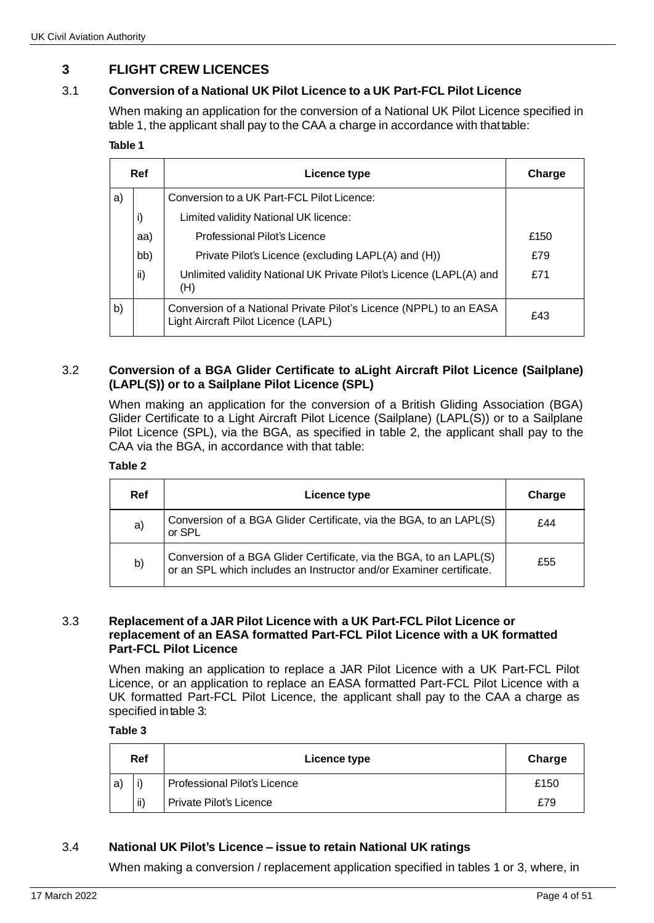# **3 FLIGHT CREW LICENCES**

# 3.1 **Conversion of a National UK Pilot Licence to a UK Part-FCL Pilot Licence**

When making an application for the conversion of a National UK Pilot Licence specified in table 1, the applicant shall pay to the CAA a charge in accordance with thattable:

#### **Table 1**

|    | <b>Ref</b><br>Licence type |                                                                                                           | Charge |
|----|----------------------------|-----------------------------------------------------------------------------------------------------------|--------|
| a) |                            | Conversion to a UK Part-FCL Pilot Licence:                                                                |        |
|    | i)                         | Limited validity National UK licence:                                                                     |        |
|    | aa)                        | Professional Pilot's Licence                                                                              | £150   |
|    | bb)                        | Private Pilot's Licence (excluding LAPL(A) and (H))                                                       | £79    |
|    | ii)                        | Unlimited validity National UK Private Pilot's Licence (LAPL(A) and<br>(H)                                | £71    |
| b) |                            | Conversion of a National Private Pilot's Licence (NPPL) to an EASA<br>Light Aircraft Pilot Licence (LAPL) | £43    |

### 3.2 **Conversion of a BGA Glider Certificate to aLight Aircraft Pilot Licence (Sailplane) (LAPL(S)) or to a Sailplane Pilot Licence (SPL)**

When making an application for the conversion of a British Gliding Association (BGA) Glider Certificate to a Light Aircraft Pilot Licence (Sailplane) (LAPL(S)) or to a Sailplane Pilot Licence (SPL), via the BGA, as specified in table 2, the applicant shall pay to the CAA via the BGA, in accordance with that table:

## **Table 2**

| <b>Ref</b> | Licence type                                                                                                                              | Charge |
|------------|-------------------------------------------------------------------------------------------------------------------------------------------|--------|
| a)         | Conversion of a BGA Glider Certificate, via the BGA, to an LAPL(S)<br>or SPL                                                              | £44    |
| b)         | Conversion of a BGA Glider Certificate, via the BGA, to an LAPL(S)<br>or an SPL which includes an Instructor and/or Examiner certificate. | £55    |

#### 3.3 **Replacement of a JAR Pilot Licence with a UK Part-FCL Pilot Licence or replacement of an EASA formatted Part-FCL Pilot Licence with a UK formatted Part-FCL Pilot Licence**

When making an application to replace a JAR Pilot Licence with a UK Part-FCL Pilot Licence, or an application to replace an EASA formatted Part-FCL Pilot Licence with a UK formatted Part-FCL Pilot Licence, the applicant shall pay to the CAA a charge as specified intable 3:

## **Table 3**

|   | Ref | Licence type                 | Charge |
|---|-----|------------------------------|--------|
| a |     | Professional Pilot's Licence | £150   |
|   | ii) | Private Pilot's Licence      | £79    |

# 3.4 **National UK Pilot's Licence – issue to retain National UK ratings**

When making a conversion / replacement application specified in tables 1 or 3, where, in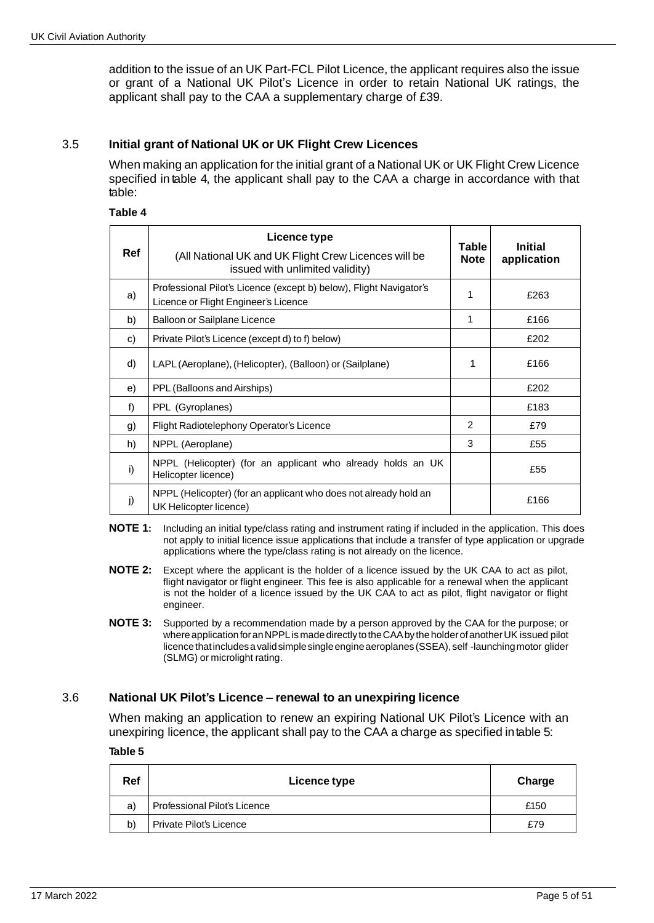addition to the issue of an UK Part-FCL Pilot Licence, the applicant requires also the issue or grant of a National UK Pilot's Licence in order to retain National UK ratings, the applicant shall pay to the CAA a supplementary charge of £39.

### 3.5 **Initial grant of National UK or UK Flight Crew Licences**

When making an application for the initial grant of a National UK or UK Flight Crew Licence specified in table 4, the applicant shall pay to the CAA a charge in accordance with that table:

#### **Table 4**

| Ref | Licence type                                                                                               | Table        | <b>Initial</b> |
|-----|------------------------------------------------------------------------------------------------------------|--------------|----------------|
|     | (All National UK and UK Flight Crew Licences will be<br>issued with unlimited validity)                    | <b>Note</b>  | application    |
| a)  | Professional Pilot's Licence (except b) below), Flight Navigator's<br>Licence or Flight Engineer's Licence | $\mathbf{1}$ | £263           |
| b)  | Balloon or Sailplane Licence                                                                               | 1            | £166           |
| c)  | Private Pilot's Licence (except d) to f) below)                                                            |              | £202           |
| d)  | LAPL (Aeroplane), (Helicopter), (Balloon) or (Sailplane)                                                   | 1            | £166           |
| e)  | PPL (Balloons and Airships)                                                                                |              | £202           |
| f)  | PPL (Gyroplanes)                                                                                           |              | £183           |
| g)  | Flight Radiotelephony Operator's Licence                                                                   | 2            | £79            |
| h)  | NPPL (Aeroplane)                                                                                           | 3            | £55            |
| i)  | NPPL (Helicopter) (for an applicant who already holds an UK<br>Helicopter licence)                         |              | £55            |
| j)  | NPPL (Helicopter) (for an applicant who does not already hold an<br>UK Helicopter licence)                 |              | £166           |

- **NOTE 1:** Including an initial type/class rating and instrument rating if included in the application. This does not apply to initial licence issue applications that include a transfer of type application or upgrade applications where the type/class rating is not already on the licence.
- **NOTE 2:** Except where the applicant is the holder of a licence issued by the UK CAA to act as pilot, flight navigator or flight engineer. This fee is also applicable for a renewal when the applicant is not the holder of a licence issued by the UK CAA to act as pilot, flight navigator or flight engineer.
- **NOTE 3:** Supported by a recommendation made by a person approved by the CAA for the purpose; or where application for an NPPL is made directly to the CAA by the holder of another UK issued pilot licence that includes a valid simple single engine aeroplanes (SSEA), self-launching motor glider (SLMG) or microlight rating.

### 3.6 **National UK Pilot's Licence – renewal to an unexpiring licence**

When making an application to renew an expiring National UK Pilot's Licence with an unexpiring licence, the applicant shall pay to the CAA a charge as specified intable 5:

**Table 5**

| Ref | Licence type                 | Charge |
|-----|------------------------------|--------|
| a)  | Professional Pilot's Licence | £150   |
| b)  | Private Pilot's Licence      | £79    |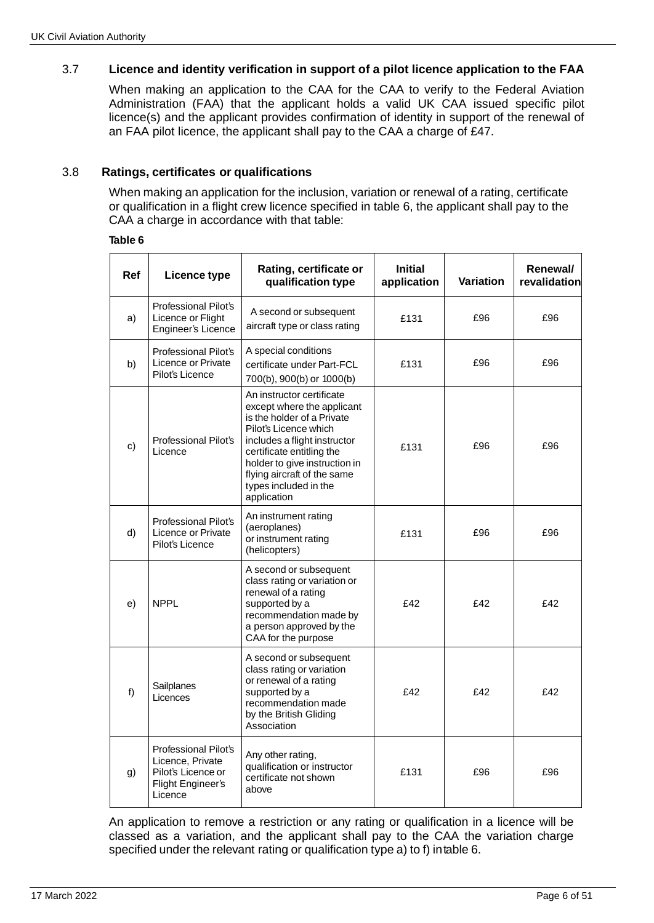# 3.7 **Licence and identity verification in support of a pilot licence application to the FAA**

When making an application to the CAA for the CAA to verify to the Federal Aviation Administration (FAA) that the applicant holds a valid UK CAA issued specific pilot licence(s) and the applicant provides confirmation of identity in support of the renewal of an FAA pilot licence, the applicant shall pay to the CAA a charge of £47.

### 3.8 **Ratings, certificates or qualifications**

When making an application for the inclusion, variation or renewal of a rating, certificate or qualification in a flight crew licence specified in table 6, the applicant shall pay to the CAA a charge in accordance with that table:

#### **Table 6**

| <b>Ref</b> | Licence type                                                                                   | Rating, certificate or<br>qualification type                                                                                                                                                                                                                                        | <b>Initial</b><br>application | <b>Variation</b> | Renewal/<br>revalidation |
|------------|------------------------------------------------------------------------------------------------|-------------------------------------------------------------------------------------------------------------------------------------------------------------------------------------------------------------------------------------------------------------------------------------|-------------------------------|------------------|--------------------------|
| a)         | <b>Professional Pilot's</b><br>Licence or Flight<br>Engineer's Licence                         | A second or subsequent<br>aircraft type or class rating                                                                                                                                                                                                                             | £131                          | £96              | £96                      |
| b)         | <b>Professional Pilot's</b><br>Licence or Private<br>Pilot's Licence                           | A special conditions<br>certificate under Part-FCL<br>700(b), 900(b) or 1000(b)                                                                                                                                                                                                     | £131                          | £96              | £96                      |
| c)         | <b>Professional Pilot's</b><br>Licence                                                         | An instructor certificate<br>except where the applicant<br>is the holder of a Private<br>Pilot's Licence which<br>includes a flight instructor<br>certificate entitling the<br>holder to give instruction in<br>flying aircraft of the same<br>types included in the<br>application | £131                          | £96              | £96                      |
| d)         | Professional Pilot's<br>Licence or Private<br>Pilot's Licence                                  | An instrument rating<br>(aeroplanes)<br>or instrument rating<br>(helicopters)                                                                                                                                                                                                       | £131                          | £96              | £96                      |
| e)         | <b>NPPL</b>                                                                                    | A second or subsequent<br>class rating or variation or<br>renewal of a rating<br>supported by a<br>recommendation made by<br>a person approved by the<br>CAA for the purpose                                                                                                        | £42                           | £42              | £42                      |
| f)         | Sailplanes<br>Licences                                                                         | A second or subsequent<br>class rating or variation<br>or renewal of a rating<br>supported by a<br>recommendation made<br>by the British Gliding<br>Association                                                                                                                     | £42                           | £42              | £42                      |
| g)         | Professional Pilot's<br>Licence, Private<br>Pilot's Licence or<br>Flight Engineer's<br>Licence | Any other rating,<br>qualification or instructor<br>certificate not shown<br>above                                                                                                                                                                                                  | £131                          | £96              | £96                      |

An application to remove a restriction or any rating or qualification in a licence will be classed as a variation, and the applicant shall pay to the CAA the variation charge specified under the relevant rating or qualification type a) to f) intable 6.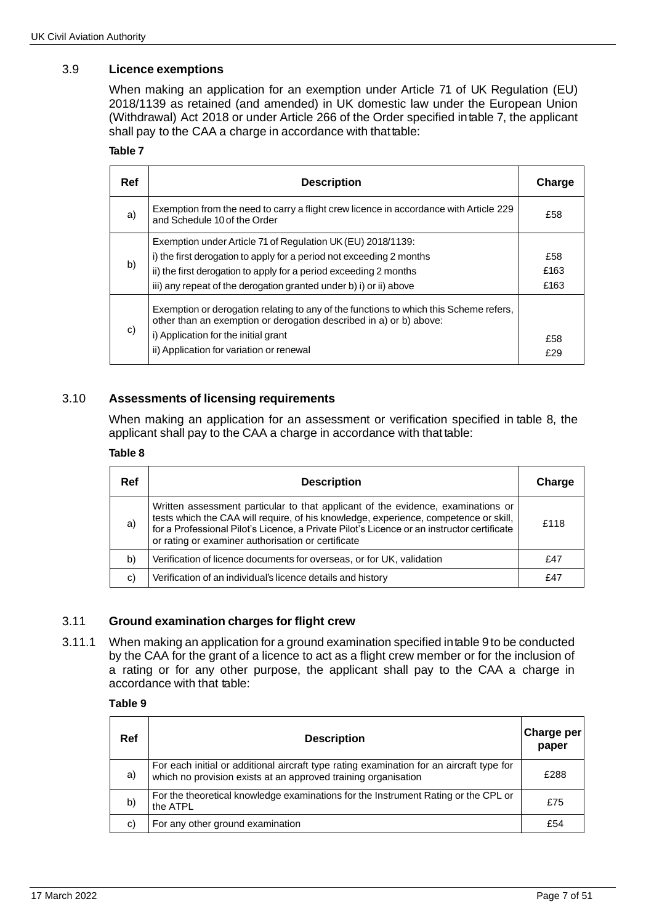# 3.9 **Licence exemptions**

When making an application for an exemption under Article 71 of UK Regulation (EU) 2018/1139 as retained (and amended) in UK domestic law under the European Union (Withdrawal) Act 2018 or under Article 266 of the Order specified intable 7, the applicant shall pay to the CAA a charge in accordance with that table:

#### **Table 7**

| Ref | <b>Description</b>                                                                                                                                                                                                                                                             | Charge              |
|-----|--------------------------------------------------------------------------------------------------------------------------------------------------------------------------------------------------------------------------------------------------------------------------------|---------------------|
| a)  | Exemption from the need to carry a flight crew licence in accordance with Article 229<br>and Schedule 10 of the Order                                                                                                                                                          | £58                 |
| b)  | Exemption under Article 71 of Regulation UK (EU) 2018/1139:<br>i) the first derogation to apply for a period not exceeding 2 months<br>ii) the first derogation to apply for a period exceeding 2 months<br>iii) any repeat of the derogation granted under b) i) or ii) above | £58<br>£163<br>£163 |
| C)  | Exemption or derogation relating to any of the functions to which this Scheme refers,<br>other than an exemption or derogation described in a) or b) above:<br>i) Application for the initial grant<br>ii) Application for variation or renewal                                | £58<br>£29          |

## 3.10 **Assessments of licensing requirements**

When making an application for an assessment or verification specified in table 8, the applicant shall pay to the CAA a charge in accordance with that table:

#### **Table 8**

| Ref | <b>Description</b>                                                                                                                                                                                                                                                                                                           | Charge |
|-----|------------------------------------------------------------------------------------------------------------------------------------------------------------------------------------------------------------------------------------------------------------------------------------------------------------------------------|--------|
| a)  | Written assessment particular to that applicant of the evidence, examinations or<br>tests which the CAA will require, of his knowledge, experience, competence or skill,<br>for a Professional Pilot's Licence, a Private Pilot's Licence or an instructor certificate<br>or rating or examiner authorisation or certificate | £118   |
| b)  | Verification of licence documents for overseas, or for UK, validation                                                                                                                                                                                                                                                        | £47    |
| C)  | Verification of an individual's licence details and history                                                                                                                                                                                                                                                                  | £47    |

### 3.11 **Ground examination charges for flight crew**

3.11.1 When making an application for a ground examination specified intable 9 to be conducted by the CAA for the grant of a licence to act as a flight crew member or for the inclusion of a rating or for any other purpose, the applicant shall pay to the CAA a charge in accordance with that table:

#### **Table 9**

| Ref | <b>Description</b>                                                                                                                                         | Charge per<br>paper |
|-----|------------------------------------------------------------------------------------------------------------------------------------------------------------|---------------------|
| a)  | For each initial or additional aircraft type rating examination for an aircraft type for<br>which no provision exists at an approved training organisation | £288                |
| b)  | For the theoretical knowledge examinations for the Instrument Rating or the CPL or<br>the ATPL                                                             | £75                 |
| C)  | For any other ground examination                                                                                                                           | £54                 |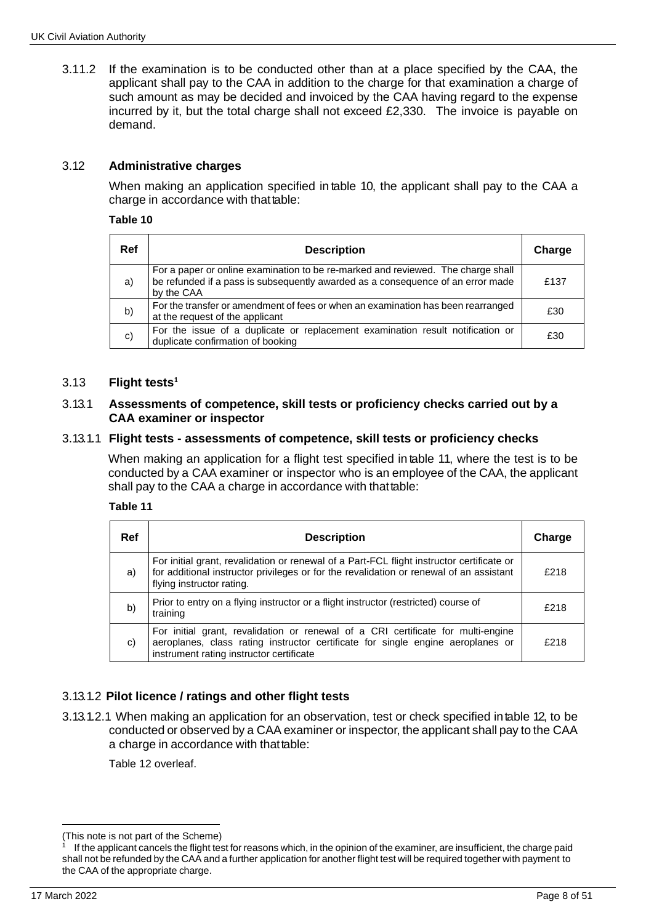3.11.2 If the examination is to be conducted other than at a place specified by the CAA, the applicant shall pay to the CAA in addition to the charge for that examination a charge of such amount as may be decided and invoiced by the CAA having regard to the expense incurred by it, but the total charge shall not exceed £2,330. The invoice is payable on demand.

## 3.12 **Administrative charges**

When making an application specified in table 10, the applicant shall pay to the CAA a charge in accordance with that table:

#### **Table 10**

| Ref | <b>Description</b>                                                                                                                                                                | Charge |
|-----|-----------------------------------------------------------------------------------------------------------------------------------------------------------------------------------|--------|
| a)  | For a paper or online examination to be re-marked and reviewed. The charge shall<br>be refunded if a pass is subsequently awarded as a consequence of an error made<br>by the CAA | £137   |
| b)  | For the transfer or amendment of fees or when an examination has been rearranged<br>at the request of the applicant                                                               | £30    |
| C)  | For the issue of a duplicate or replacement examination result notification or<br>duplicate confirmation of booking                                                               | £30    |

#### 3.13 **Flight tests<sup>1</sup>**

#### 3.13.1 **Assessments of competence, skill tests or proficiency checks carried out by a CAA examiner or inspector**

#### 3.13.1.1 **Flight tests - assessments of competence, skill tests or proficiency checks**

When making an application for a flight test specified in table 11, where the test is to be conducted by a CAA examiner or inspector who is an employee of the CAA, the applicant shall pay to the CAA a charge in accordance with thattable:

#### **Table 11**

| <b>Ref</b> | <b>Description</b>                                                                                                                                                                                                | Charge |
|------------|-------------------------------------------------------------------------------------------------------------------------------------------------------------------------------------------------------------------|--------|
| a)         | For initial grant, revalidation or renewal of a Part-FCL flight instructor certificate or<br>for additional instructor privileges or for the revalidation or renewal of an assistant<br>flying instructor rating. | £218   |
| b)         | Prior to entry on a flying instructor or a flight instructor (restricted) course of<br>training                                                                                                                   | £218   |
| C)         | For initial grant, revalidation or renewal of a CRI certificate for multi-engine<br>aeroplanes, class rating instructor certificate for single engine aeroplanes or<br>instrument rating instructor certificate   | £218   |

# 3.13.1.2 **Pilot licence / ratings and other flight tests**

3.13.1.2.1 When making an application for an observation, test or check specified intable 12, to be conducted or observed by a CAA examiner or inspector, the applicant shall pay to the CAA a charge in accordance with thattable:

Table 12 overleaf.

<sup>(</sup>This note is not part of the Scheme)

<sup>1</sup> If the applicant cancels the flight test for reasons which, in the opinion of the examiner, are insufficient, the charge paid shall not be refunded by the CAA and a further application for another flight test will be required together with payment to the CAA of the appropriate charge.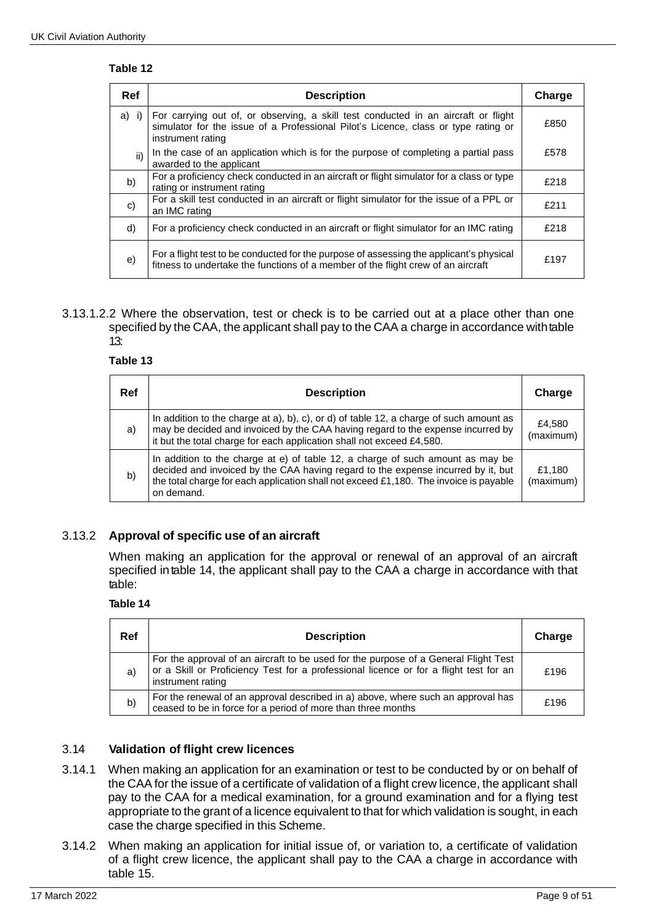### **Table 12**

| Ref          | <b>Description</b>                                                                                                                                                                            | Charge |
|--------------|-----------------------------------------------------------------------------------------------------------------------------------------------------------------------------------------------|--------|
| $a)$ i)      | For carrying out of, or observing, a skill test conducted in an aircraft or flight<br>simulator for the issue of a Professional Pilot's Licence, class or type rating or<br>instrument rating | £850   |
| ii)          | In the case of an application which is for the purpose of completing a partial pass<br>awarded to the applicant                                                                               | £578   |
| b)           | For a proficiency check conducted in an aircraft or flight simulator for a class or type<br>rating or instrument rating                                                                       | £218   |
| $\mathbf{c}$ | For a skill test conducted in an aircraft or flight simulator for the issue of a PPL or<br>an IMC rating                                                                                      | £211   |
| d)           | For a proficiency check conducted in an aircraft or flight simulator for an IMC rating                                                                                                        | £218   |
| e)           | For a flight test to be conducted for the purpose of assessing the applicant's physical<br>fitness to undertake the functions of a member of the flight crew of an aircraft                   | £197   |

#### 3.13.1.2.2 Where the observation, test or check is to be carried out at a place other than one specified by the CAA, the applicant shall pay to the CAA a charge in accordance with table 13:

## **Table 13**

| Ref | <b>Description</b>                                                                                                                                                                                                                                                        |                     |
|-----|---------------------------------------------------------------------------------------------------------------------------------------------------------------------------------------------------------------------------------------------------------------------------|---------------------|
| a)  | In addition to the charge at a), b), c), or d) of table 12, a charge of such amount as<br>may be decided and invoiced by the CAA having regard to the expense incurred by<br>it but the total charge for each application shall not exceed £4,580.                        | £4.580<br>(maximum) |
| b)  | In addition to the charge at e) of table 12, a charge of such amount as may be<br>decided and invoiced by the CAA having regard to the expense incurred by it, but<br>the total charge for each application shall not exceed £1,180. The invoice is payable<br>on demand. | £1.180<br>(maximum) |

# 3.13.2 **Approval of specific use of an aircraft**

When making an application for the approval or renewal of an approval of an aircraft specified intable 14, the applicant shall pay to the CAA a charge in accordance with that table:

#### **Table 14**

| Ref | <b>Description</b>                                                                                                                                                                                | Charge |
|-----|---------------------------------------------------------------------------------------------------------------------------------------------------------------------------------------------------|--------|
| a)  | For the approval of an aircraft to be used for the purpose of a General Flight Test<br>or a Skill or Proficiency Test for a professional licence or for a flight test for an<br>instrument rating | £196   |
| b)  | For the renewal of an approval described in a) above, where such an approval has<br>ceased to be in force for a period of more than three months                                                  | £196   |

### 3.14 **Validation of flight crew licences**

- 3.14.1 When making an application for an examination or test to be conducted by or on behalf of the CAA for the issue of a certificate of validation of a flight crew licence, the applicant shall pay to the CAA for a medical examination, for a ground examination and for a flying test appropriate to the grant of a licence equivalent to that for which validation is sought, in each case the charge specified in this Scheme.
- 3.14.2 When making an application for initial issue of, or variation to, a certificate of validation of a flight crew licence, the applicant shall pay to the CAA a charge in accordance with table 15.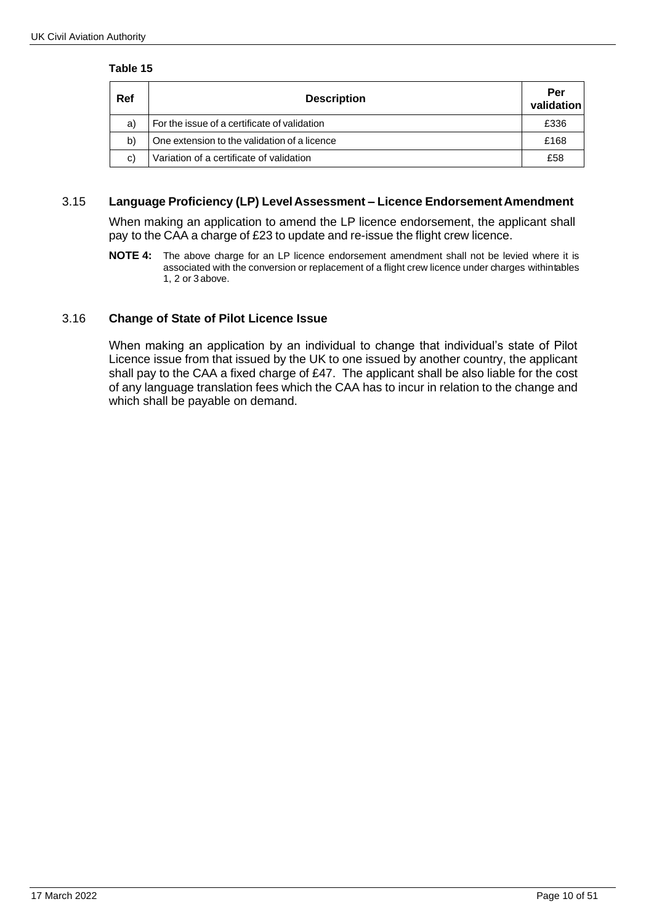#### **Table 15**

| Ref | <b>Description</b>                           | Per<br>validation |
|-----|----------------------------------------------|-------------------|
| a)  | For the issue of a certificate of validation | £336              |
| b)  | One extension to the validation of a licence | £168              |
| C)  | Variation of a certificate of validation     | £58               |

## 3.15 **Language Proficiency (LP) LevelAssessment – Licence EndorsementAmendment**

When making an application to amend the LP licence endorsement, the applicant shall pay to the CAA a charge of £23 to update and re-issue the flight crew licence.

**NOTE 4:** The above charge for an LP licence endorsement amendment shall not be levied where it is associated with the conversion or replacement of a flight crew licence under charges withintables 1, 2 or 3 above.

## 3.16 **Change of State of Pilot Licence Issue**

When making an application by an individual to change that individual's state of Pilot Licence issue from that issued by the UK to one issued by another country, the applicant shall pay to the CAA a fixed charge of £47. The applicant shall be also liable for the cost of any language translation fees which the CAA has to incur in relation to the change and which shall be payable on demand.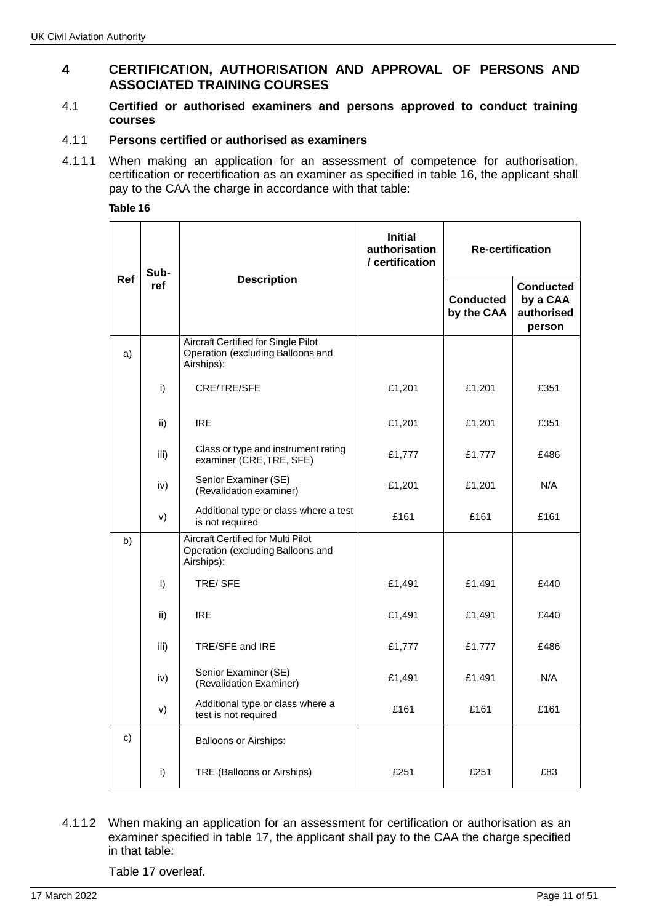# **4 CERTIFICATION, AUTHORISATION AND APPROVAL OF PERSONS AND ASSOCIATED TRAINING COURSES**

### 4.1 **Certified or authorised examiners and persons approved to conduct training courses**

### 4.1.1 **Persons certified or authorised as examiners**

4.1.1.1 When making an application for an assessment of competence for authorisation, certification or recertification as an examiner as specified in table 16, the applicant shall pay to the CAA the charge in accordance with that table:

#### **Table 16**

| Ref | Sub-<br>ref | <b>Description</b>                                                                            | <b>Initial</b><br>authorisation<br>/ certification | <b>Re-certification</b>        |                                                      |
|-----|-------------|-----------------------------------------------------------------------------------------------|----------------------------------------------------|--------------------------------|------------------------------------------------------|
|     |             |                                                                                               |                                                    | <b>Conducted</b><br>by the CAA | <b>Conducted</b><br>by a CAA<br>authorised<br>person |
| a)  |             | <b>Aircraft Certified for Single Pilot</b><br>Operation (excluding Balloons and<br>Airships): |                                                    |                                |                                                      |
|     | i)          | CRE/TRE/SFE                                                                                   | £1,201                                             | £1,201                         | £351                                                 |
|     | ii)         | <b>IRE</b>                                                                                    | £1,201                                             | £1,201                         | £351                                                 |
|     | iii)        | Class or type and instrument rating<br>examiner (CRE, TRE, SFE)                               | £1,777                                             | £1,777                         | £486                                                 |
|     | iv)         | Senior Examiner (SE)<br>(Revalidation examiner)                                               | £1,201                                             | £1,201                         | N/A                                                  |
|     | V)          | Additional type or class where a test<br>is not required                                      | £161                                               | £161                           | £161                                                 |
| b)  |             | <b>Aircraft Certified for Multi Pilot</b><br>Operation (excluding Balloons and<br>Airships):  |                                                    |                                |                                                      |
|     | i)          | TRE/SFE                                                                                       | £1,491                                             | £1,491                         | £440                                                 |
|     | ii)         | <b>IRE</b>                                                                                    | £1,491                                             | £1,491                         | £440                                                 |
|     | iii)        | TRE/SFE and IRE                                                                               | £1,777                                             | £1,777                         | £486                                                 |
|     | iv)         | Senior Examiner (SE)<br>(Revalidation Examiner)                                               | £1,491                                             | £1,491                         | N/A                                                  |
|     | V)          | Additional type or class where a<br>test is not required                                      | £161                                               | £161                           | £161                                                 |
| c)  |             | <b>Balloons or Airships:</b>                                                                  |                                                    |                                |                                                      |
|     | i)          | TRE (Balloons or Airships)                                                                    | £251                                               | £251                           | £83                                                  |

### 4.1.1.2 When making an application for an assessment for certification or authorisation as an examiner specified in table 17, the applicant shall pay to the CAA the charge specified in that table:

Table 17 overleaf.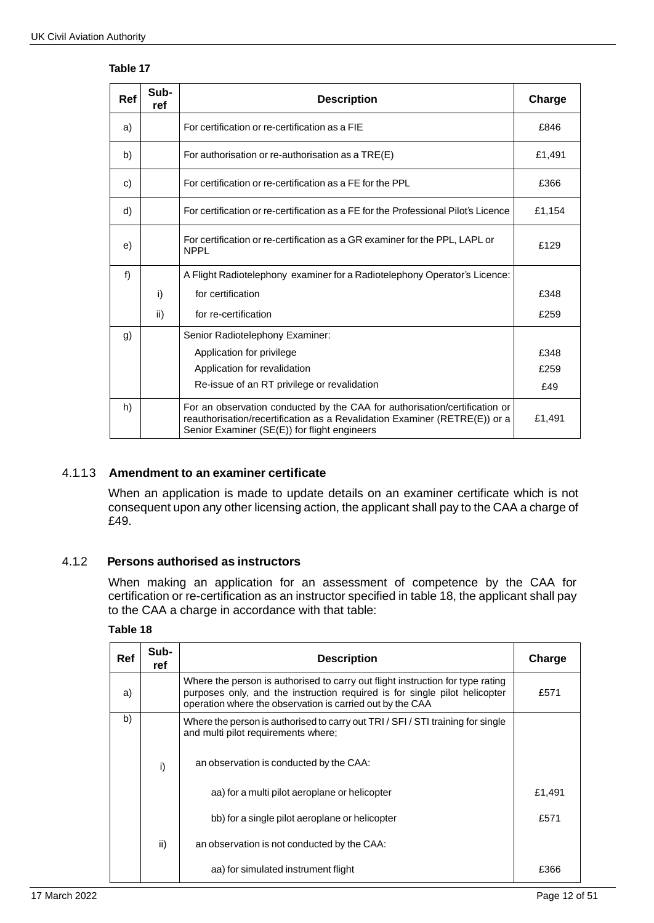# **Table 17**

| Ref | Sub-<br>ref | <b>Description</b>                                                                                                                                                                                       | Charge |
|-----|-------------|----------------------------------------------------------------------------------------------------------------------------------------------------------------------------------------------------------|--------|
| a)  |             | For certification or re-certification as a FIE                                                                                                                                                           | £846   |
| b)  |             | For authorisation or re-authorisation as a TRE(E)                                                                                                                                                        | £1,491 |
| c)  |             | For certification or re-certification as a FE for the PPL                                                                                                                                                | £366   |
| d)  |             | For certification or re-certification as a FE for the Professional Pilot's Licence                                                                                                                       | £1,154 |
| e)  |             | For certification or re-certification as a GR examiner for the PPL, LAPL or<br><b>NPPL</b>                                                                                                               | £129   |
| f)  |             | A Flight Radiotelephony examiner for a Radiotelephony Operator's Licence:                                                                                                                                |        |
|     | i)          | for certification                                                                                                                                                                                        | £348   |
|     | ii)         | for re-certification                                                                                                                                                                                     | £259   |
| g)  |             | Senior Radiotelephony Examiner:                                                                                                                                                                          |        |
|     |             | Application for privilege                                                                                                                                                                                | £348   |
|     |             | Application for revalidation                                                                                                                                                                             | £259   |
|     |             | Re-issue of an RT privilege or revalidation                                                                                                                                                              | £49    |
| h)  |             | For an observation conducted by the CAA for authorisation/certification or<br>reauthorisation/recertification as a Revalidation Examiner (RETRE(E)) or a<br>Senior Examiner (SE(E)) for flight engineers | £1,491 |

# 4.1.1.3 **Amendment to an examiner certificate**

When an application is made to update details on an examiner certificate which is not consequent upon any other licensing action, the applicant shall pay to the CAA a charge of £49.

### 4.1.2 **Persons authorised as instructors**

When making an application for an assessment of competence by the CAA for certification or re-certification as an instructor specified in table 18, the applicant shall pay to the CAA a charge in accordance with that table:

### **Table 18**

| Ref | Sub-<br>ref | <b>Description</b>                                                                                                                                                                                                        | Charge |
|-----|-------------|---------------------------------------------------------------------------------------------------------------------------------------------------------------------------------------------------------------------------|--------|
| a)  |             | Where the person is authorised to carry out flight instruction for type rating<br>purposes only, and the instruction required is for single pilot helicopter<br>operation where the observation is carried out by the CAA | £571   |
| b)  |             | Where the person is authorised to carry out TRI / SFI / STI training for single<br>and multi pilot requirements where;                                                                                                    |        |
|     | i)          | an observation is conducted by the CAA:                                                                                                                                                                                   |        |
|     |             | aa) for a multi pilot aeroplane or helicopter                                                                                                                                                                             | £1,491 |
|     |             | bb) for a single pilot aeroplane or helicopter                                                                                                                                                                            | £571   |
|     | ii)         | an observation is not conducted by the CAA:                                                                                                                                                                               |        |
|     |             | aa) for simulated instrument flight                                                                                                                                                                                       | £366   |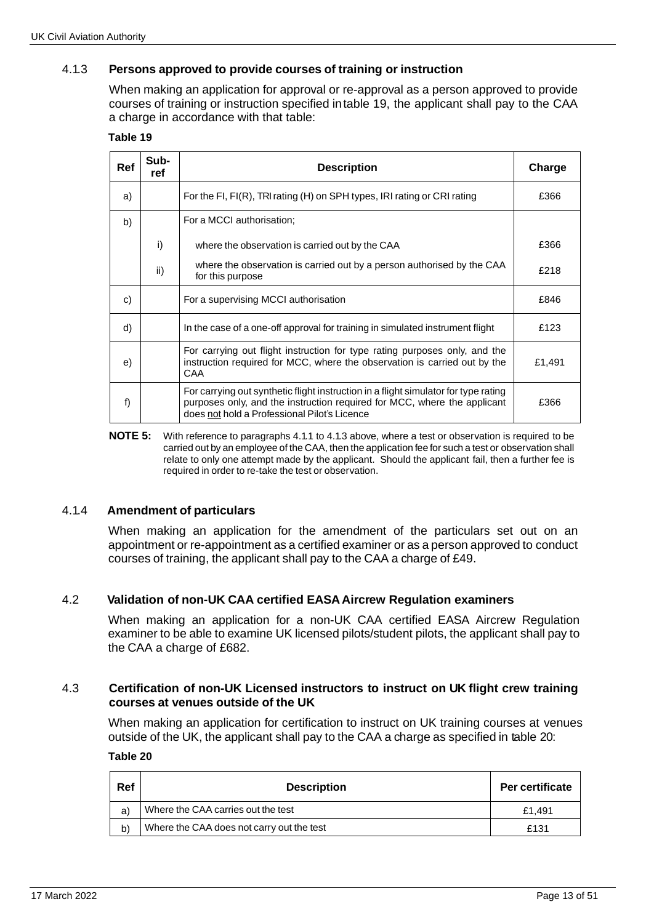## 4.1.3 **Persons approved to provide courses of training or instruction**

When making an application for approval or re-approval as a person approved to provide courses of training or instruction specified intable 19, the applicant shall pay to the CAA a charge in accordance with that table:

#### **Table 19**

| Ref | Sub-<br>ref | <b>Description</b>                                                                                                                                                                                              | Charge |
|-----|-------------|-----------------------------------------------------------------------------------------------------------------------------------------------------------------------------------------------------------------|--------|
| a)  |             | For the FI, FI(R), TRI rating (H) on SPH types, IRI rating or CRI rating                                                                                                                                        | £366   |
| b)  |             | For a MCCI authorisation;                                                                                                                                                                                       |        |
|     | i)          | where the observation is carried out by the CAA                                                                                                                                                                 | £366   |
|     | ii)         | where the observation is carried out by a person authorised by the CAA<br>for this purpose                                                                                                                      | £218   |
| C)  |             | For a supervising MCCI authorisation                                                                                                                                                                            | £846   |
| d)  |             | In the case of a one-off approval for training in simulated instrument flight                                                                                                                                   |        |
| e)  |             | For carrying out flight instruction for type rating purposes only, and the<br>instruction required for MCC, where the observation is carried out by the<br>CAA                                                  | £1,491 |
| f)  |             | For carrying out synthetic flight instruction in a flight simulator for type rating<br>purposes only, and the instruction required for MCC, where the applicant<br>does not hold a Professional Pilot's Licence | £366   |

**NOTE 5:** With reference to paragraphs 4.1.1 to 4.1.3 above, where a test or observation is required to be carried out by an employee of the CAA, then the application fee for such a test or observation shall relate to only one attempt made by the applicant. Should the applicant fail, then a further fee is required in order to re-take the test or observation.

### 4.1.4 **Amendment of particulars**

When making an application for the amendment of the particulars set out on an appointment or re-appointment as a certified examiner or as a person approved to conduct courses of training, the applicant shall pay to the CAA a charge of £49.

### 4.2 **Validation of non-UK CAA certified EASAAircrew Regulation examiners**

When making an application for a non-UK CAA certified EASA Aircrew Regulation examiner to be able to examine UK licensed pilots/student pilots, the applicant shall pay to the CAA a charge of £682.

#### 4.3 **Certification of non-UK Licensed instructors to instruct on UK flight crew training courses at venues outside of the UK**

When making an application for certification to instruct on UK training courses at venues outside of the UK, the applicant shall pay to the CAA a charge as specified in table 20:

#### **Table 20**

| Ref | <b>Description</b>                        | Per certificate |
|-----|-------------------------------------------|-----------------|
| a)  | Where the CAA carries out the test        | £1.491          |
| b)  | Where the CAA does not carry out the test | £131            |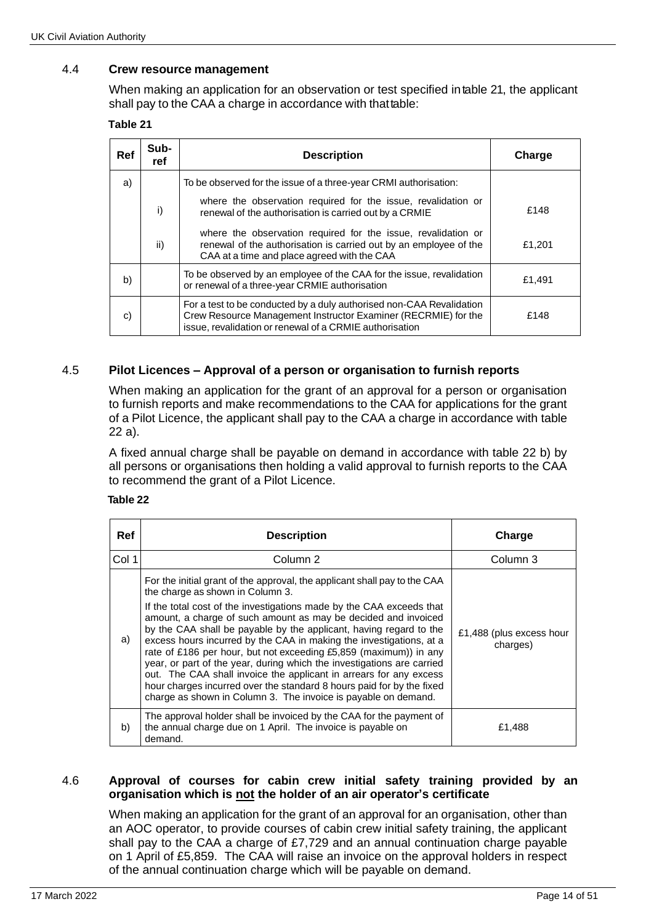## 4.4 **Crew resource management**

When making an application for an observation or test specified intable 21, the applicant shall pay to the CAA a charge in accordance with thattable:

#### **Table 21**

| Ref | Sub-<br>ref | <b>Description</b>                                                                                                                                                                                | Charge |
|-----|-------------|---------------------------------------------------------------------------------------------------------------------------------------------------------------------------------------------------|--------|
| a)  |             | To be observed for the issue of a three-year CRMI authorisation:                                                                                                                                  |        |
|     | i)          | where the observation required for the issue, revalidation or<br>renewal of the authorisation is carried out by a CRMIE                                                                           | £148   |
|     | ii)         | where the observation required for the issue, revalidation or<br>renewal of the authorisation is carried out by an employee of the<br>CAA at a time and place agreed with the CAA                 | £1,201 |
| b)  |             | To be observed by an employee of the CAA for the issue, revalidation<br>or renewal of a three-year CRMIE authorisation                                                                            | £1,491 |
| C)  |             | For a test to be conducted by a duly authorised non-CAA Revalidation<br>Crew Resource Management Instructor Examiner (RECRMIE) for the<br>issue, revalidation or renewal of a CRMIE authorisation | £148   |

## 4.5 **Pilot Licences – Approval of a person or organisation to furnish reports**

When making an application for the grant of an approval for a person or organisation to furnish reports and make recommendations to the CAA for applications for the grant of a Pilot Licence, the applicant shall pay to the CAA a charge in accordance with table 22 a).

A fixed annual charge shall be payable on demand in accordance with table 22 b) by all persons or organisations then holding a valid approval to furnish reports to the CAA to recommend the grant of a Pilot Licence.

#### **Table 22**

| <b>Ref</b> | <b>Description</b>                                                                                                                                                                                                                                                                                                                                                                                                                                                                                                                                                                                                                                                                                                                                                   | Charge                               |
|------------|----------------------------------------------------------------------------------------------------------------------------------------------------------------------------------------------------------------------------------------------------------------------------------------------------------------------------------------------------------------------------------------------------------------------------------------------------------------------------------------------------------------------------------------------------------------------------------------------------------------------------------------------------------------------------------------------------------------------------------------------------------------------|--------------------------------------|
| Col 1      | Column 2                                                                                                                                                                                                                                                                                                                                                                                                                                                                                                                                                                                                                                                                                                                                                             | Column 3                             |
| a)         | For the initial grant of the approval, the applicant shall pay to the CAA<br>the charge as shown in Column 3.<br>If the total cost of the investigations made by the CAA exceeds that<br>amount, a charge of such amount as may be decided and invoiced<br>by the CAA shall be payable by the applicant, having regard to the<br>excess hours incurred by the CAA in making the investigations, at a<br>rate of £186 per hour, but not exceeding £5,859 (maximum)) in any<br>year, or part of the year, during which the investigations are carried<br>out. The CAA shall invoice the applicant in arrears for any excess<br>hour charges incurred over the standard 8 hours paid for by the fixed<br>charge as shown in Column 3. The invoice is payable on demand. | £1,488 (plus excess hour<br>charges) |
| b)         | The approval holder shall be invoiced by the CAA for the payment of<br>the annual charge due on 1 April. The invoice is payable on<br>demand.                                                                                                                                                                                                                                                                                                                                                                                                                                                                                                                                                                                                                        | £1,488                               |

#### 4.6 **Approval of courses for cabin crew initial safety training provided by an organisation which is not the holder of an air operator's certificate**

When making an application for the grant of an approval for an organisation, other than an AOC operator, to provide courses of cabin crew initial safety training, the applicant shall pay to the CAA a charge of £7,729 and an annual continuation charge payable on 1 April of £5,859. The CAA will raise an invoice on the approval holders in respect of the annual continuation charge which will be payable on demand.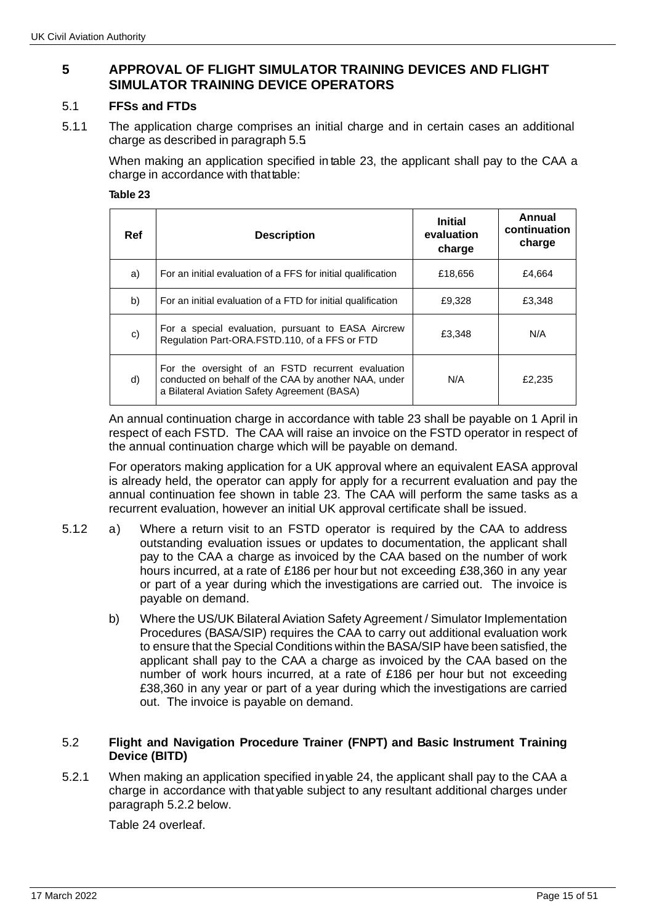# **5 APPROVAL OF FLIGHT SIMULATOR TRAINING DEVICES AND FLIGHT SIMULATOR TRAINING DEVICE OPERATORS**

## 5.1 **FFSs and FTDs**

5.1.1 The application charge comprises an initial charge and in certain cases an additional charge as described in paragraph 5.5.

When making an application specified in table 23, the applicant shall pay to the CAA a charge in accordance with that table:

#### **Table 23**

| Ref | <b>Description</b>                                                                                                                                        | <b>Initial</b><br>evaluation<br>charge | Annual<br>continuation<br>charge |
|-----|-----------------------------------------------------------------------------------------------------------------------------------------------------------|----------------------------------------|----------------------------------|
| a)  | For an initial evaluation of a FFS for initial qualification                                                                                              | £18,656                                | £4,664                           |
| b)  | For an initial evaluation of a FTD for initial qualification                                                                                              | £9,328                                 | £3,348                           |
| C)  | For a special evaluation, pursuant to EASA Aircrew<br>Regulation Part-ORA.FSTD.110, of a FFS or FTD                                                       | £3,348                                 | N/A                              |
| d)  | For the oversight of an FSTD recurrent evaluation<br>conducted on behalf of the CAA by another NAA, under<br>a Bilateral Aviation Safety Agreement (BASA) | N/A                                    | £2.235                           |

An annual continuation charge in accordance with table 23 shall be payable on 1 April in respect of each FSTD. The CAA will raise an invoice on the FSTD operator in respect of the annual continuation charge which will be payable on demand.

For operators making application for a UK approval where an equivalent EASA approval is already held, the operator can apply for apply for a recurrent evaluation and pay the annual continuation fee shown in table 23. The CAA will perform the same tasks as a recurrent evaluation, however an initial UK approval certificate shall be issued.

- 5.1.2 a) Where a return visit to an FSTD operator is required by the CAA to address outstanding evaluation issues or updates to documentation, the applicant shall pay to the CAA a charge as invoiced by the CAA based on the number of work hours incurred, at a rate of £186 per hour but not exceeding £38,360 in any year or part of a year during which the investigations are carried out. The invoice is payable on demand.
	- b) Where the US/UK Bilateral Aviation Safety Agreement / Simulator Implementation Procedures (BASA/SIP) requires the CAA to carry out additional evaluation work to ensure that the Special Conditions within the BASA/SIP have been satisfied, the applicant shall pay to the CAA a charge as invoiced by the CAA based on the number of work hours incurred, at a rate of £186 per hour but not exceeding £38,360 in any year or part of a year during which the investigations are carried out. The invoice is payable on demand.

### 5.2 **Flight and Navigation Procedure Trainer (FNPT) and Basic Instrument Training Device (BITD)**

5.2.1 When making an application specified inyable 24, the applicant shall pay to the CAA a charge in accordance with that yable subject to any resultant additional charges under paragraph 5.2.2 below.

Table 24 overleaf.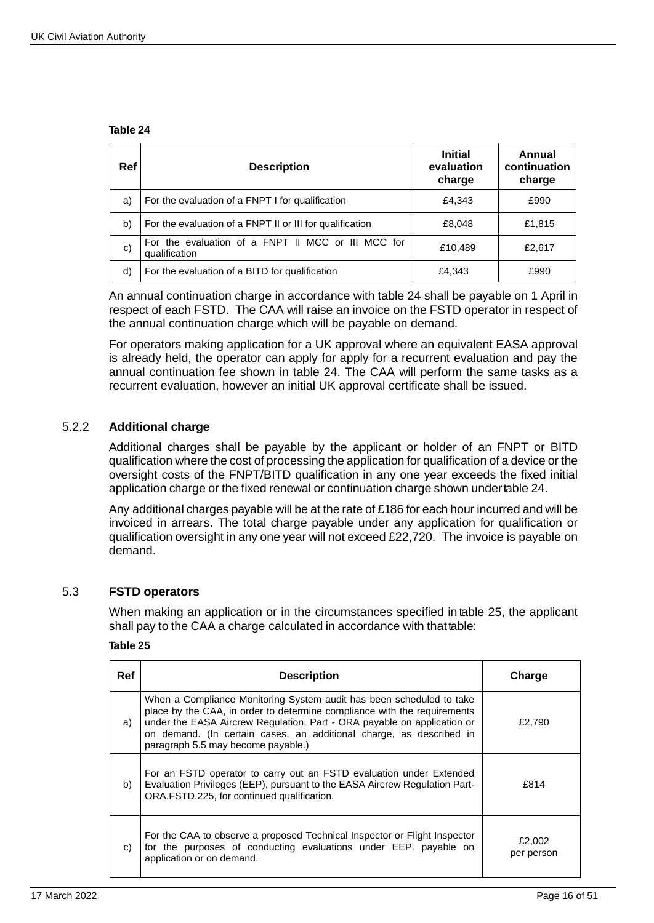#### **Table 24**

| <b>Ref</b> | <b>Description</b>                                                  | <b>Initial</b><br>evaluation<br>charge | Annual<br>continuation<br>charge |
|------------|---------------------------------------------------------------------|----------------------------------------|----------------------------------|
| a)         | For the evaluation of a FNPT I for qualification                    | £4,343                                 | £990                             |
| b)         | For the evaluation of a FNPT II or III for qualification            | £8,048                                 | £1,815                           |
| C)         | For the evaluation of a FNPT II MCC or III MCC for<br>qualification | £10,489                                | £2,617                           |
| d)         | For the evaluation of a BITD for qualification                      | £4,343                                 | £990                             |

An annual continuation charge in accordance with table 24 shall be payable on 1 April in respect of each FSTD. The CAA will raise an invoice on the FSTD operator in respect of the annual continuation charge which will be payable on demand.

For operators making application for a UK approval where an equivalent EASA approval is already held, the operator can apply for apply for a recurrent evaluation and pay the annual continuation fee shown in table 24. The CAA will perform the same tasks as a recurrent evaluation, however an initial UK approval certificate shall be issued.

## 5.2.2 **Additional charge**

Additional charges shall be payable by the applicant or holder of an FNPT or BITD qualification where the cost of processing the application for qualification of a device or the oversight costs of the FNPT/BITD qualification in any one year exceeds the fixed initial application charge or the fixed renewal or continuation charge shown undertable 24.

Any additional charges payable will be at the rate of £186 for each hour incurred and will be invoiced in arrears. The total charge payable under any application for qualification or qualification oversight in any one year will not exceed £22,720. The invoice is payable on demand.

### 5.3 **FSTD operators**

When making an application or in the circumstances specified in table 25, the applicant shall pay to the CAA a charge calculated in accordance with that table:

#### **Table 25**

| Ref | <b>Description</b>                                                                                                                                                                                                                                                                                                                       | Charge               |
|-----|------------------------------------------------------------------------------------------------------------------------------------------------------------------------------------------------------------------------------------------------------------------------------------------------------------------------------------------|----------------------|
| a)  | When a Compliance Monitoring System audit has been scheduled to take<br>place by the CAA, in order to determine compliance with the requirements<br>under the EASA Aircrew Regulation, Part - ORA payable on application or<br>on demand. (In certain cases, an additional charge, as described in<br>paragraph 5.5 may become payable.) | £2,790               |
| b)  | For an FSTD operator to carry out an FSTD evaluation under Extended<br>Evaluation Privileges (EEP), pursuant to the EASA Aircrew Regulation Part-<br>ORA.FSTD.225, for continued qualification.                                                                                                                                          | £814                 |
| C)  | For the CAA to observe a proposed Technical Inspector or Flight Inspector<br>for the purposes of conducting evaluations under EEP. payable on<br>application or on demand.                                                                                                                                                               | £2,002<br>per person |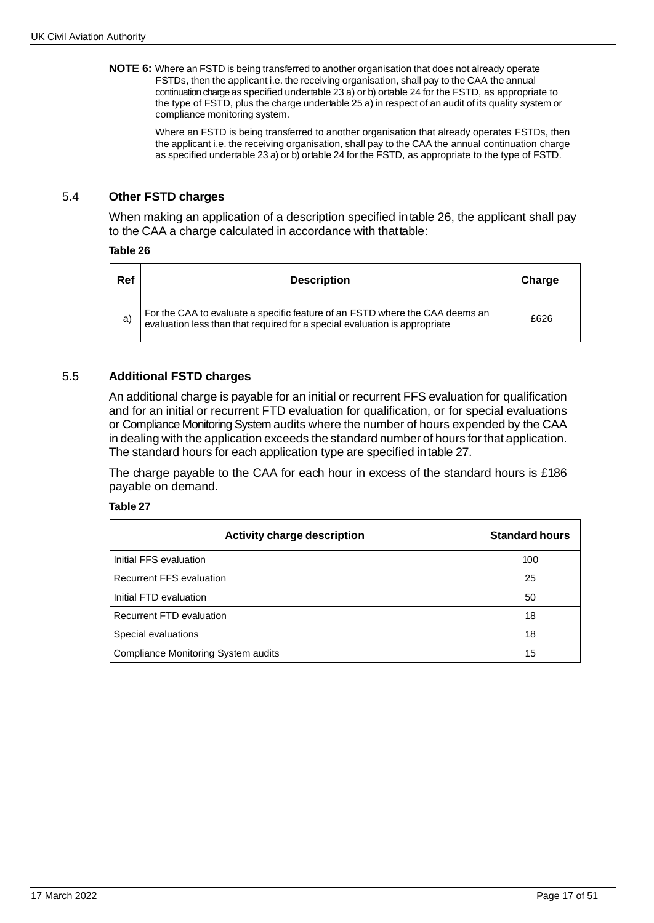**NOTE 6:** Where an FSTD is being transferred to another organisation that does not already operate FSTDs, then the applicant i.e. the receiving organisation, shall pay to the CAA the annual continuation charge as specified undertable 23 a) or b) ortable 24 for the FSTD, as appropriate to the type of FSTD, plus the charge undertable 25 a) in respect of an audit of its quality system or compliance monitoring system.

> Where an FSTD is being transferred to another organisation that already operates FSTDs, then the applicant i.e. the receiving organisation, shall pay to the CAA the annual continuation charge as specified undertable 23 a) or b) ortable 24 for the FSTD, as appropriate to the type of FSTD.

## 5.4 **Other FSTD charges**

When making an application of a description specified intable 26, the applicant shall pay to the CAA a charge calculated in accordance with thattable:

#### **Table 26**

| Ref | <b>Description</b>                                                                                                                                      | Charge |
|-----|---------------------------------------------------------------------------------------------------------------------------------------------------------|--------|
| a)  | For the CAA to evaluate a specific feature of an FSTD where the CAA deems an evaluation less than that required for a special evaluation is appropriate | £626   |

## 5.5 **Additional FSTD charges**

An additional charge is payable for an initial or recurrent FFS evaluation for qualification and for an initial or recurrent FTD evaluation for qualification, or for special evaluations or Compliance Monitoring System audits where the number of hours expended by the CAA in dealing with the application exceeds the standard number of hours for that application. The standard hours for each application type are specified intable 27.

The charge payable to the CAA for each hour in excess of the standard hours is £186 payable on demand.

#### **Table 27**

| <b>Activity charge description</b>  | <b>Standard hours</b> |
|-------------------------------------|-----------------------|
| Initial FFS evaluation              | 100                   |
| <b>Recurrent FFS evaluation</b>     | 25                    |
| Initial FTD evaluation              | 50                    |
| Recurrent FTD evaluation            | 18                    |
| Special evaluations                 | 18                    |
| Compliance Monitoring System audits | 15                    |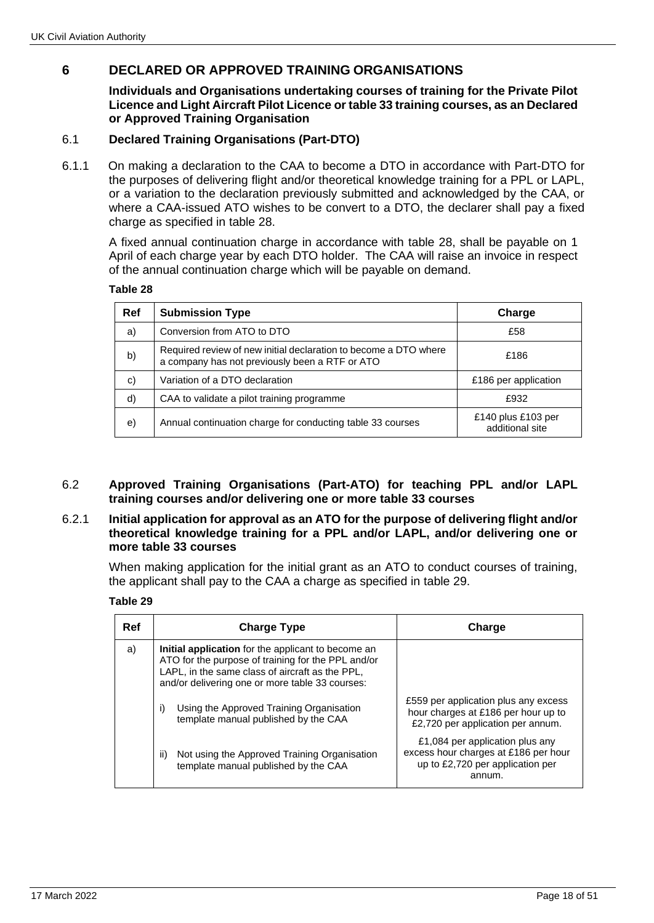# **6 DECLARED OR APPROVED TRAINING ORGANISATIONS**

**Individuals and Organisations undertaking courses of training for the Private Pilot Licence and Light Aircraft Pilot Licence or table 33 training courses, as an Declared or Approved Training Organisation**

## 6.1 **Declared Training Organisations (Part-DTO)**

6.1.1 On making a declaration to the CAA to become a DTO in accordance with Part-DTO for the purposes of delivering flight and/or theoretical knowledge training for a PPL or LAPL, or a variation to the declaration previously submitted and acknowledged by the CAA, or where a CAA-issued ATO wishes to be convert to a DTO, the declarer shall pay a fixed charge as specified in table 28.

A fixed annual continuation charge in accordance with table 28, shall be payable on 1 April of each charge year by each DTO holder. The CAA will raise an invoice in respect of the annual continuation charge which will be payable on demand.

| ıе<br>ю |  |
|---------|--|
|---------|--|

| Ref | <b>Submission Type</b>                                                                                             | Charge                                |
|-----|--------------------------------------------------------------------------------------------------------------------|---------------------------------------|
| a)  | Conversion from ATO to DTO                                                                                         | £58                                   |
| b)  | Required review of new initial declaration to become a DTO where<br>a company has not previously been a RTF or ATO | £186                                  |
| C)  | Variation of a DTO declaration                                                                                     | £186 per application                  |
| d)  | CAA to validate a pilot training programme                                                                         | £932                                  |
| e)  | Annual continuation charge for conducting table 33 courses                                                         | £140 plus £103 per<br>additional site |

### 6.2 **Approved Training Organisations (Part-ATO) for teaching PPL and/or LAPL training courses and/or delivering one or more table 33 courses**

#### 6.2.1 **Initial application for approval as an ATO for the purpose of delivering flight and/or theoretical knowledge training for a PPL and/or LAPL, and/or delivering one or more table 33 courses**

When making application for the initial grant as an ATO to conduct courses of training, the applicant shall pay to the CAA a charge as specified in table 29.

**Table 29**

| Ref | <b>Charge Type</b>                                                                                                                                                                                             | Charge                                                                                                                |
|-----|----------------------------------------------------------------------------------------------------------------------------------------------------------------------------------------------------------------|-----------------------------------------------------------------------------------------------------------------------|
| a)  | Initial application for the applicant to become an<br>ATO for the purpose of training for the PPL and/or<br>LAPL, in the same class of aircraft as the PPL,<br>and/or delivering one or more table 33 courses: |                                                                                                                       |
|     | Using the Approved Training Organisation<br>i)<br>template manual published by the CAA                                                                                                                         | £559 per application plus any excess<br>hour charges at £186 per hour up to<br>£2,720 per application per annum.      |
|     | Not using the Approved Training Organisation<br>ii)<br>template manual published by the CAA                                                                                                                    | £1,084 per application plus any<br>excess hour charges at £186 per hour<br>up to £2,720 per application per<br>annum. |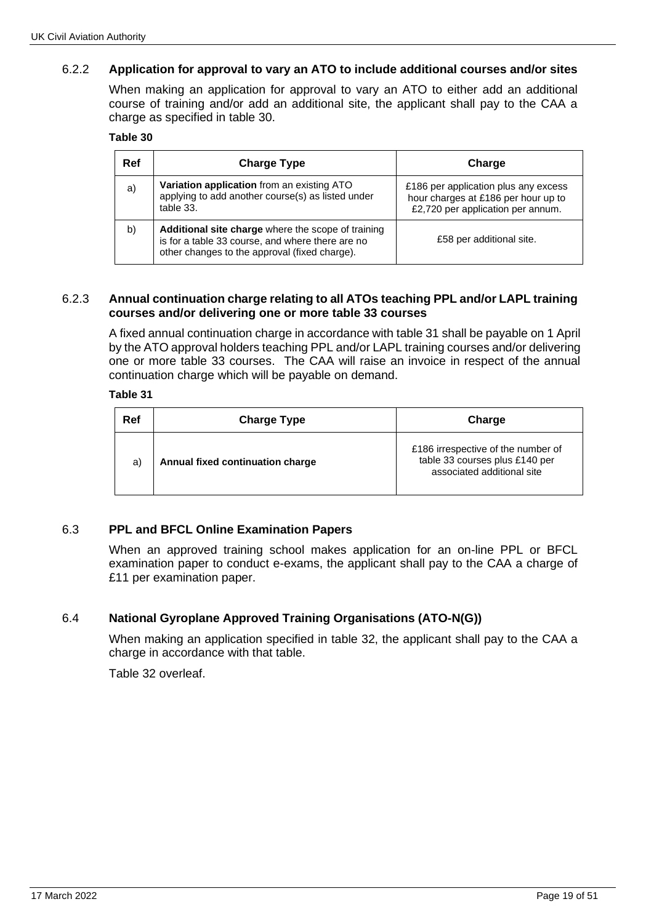# 6.2.2 **Application for approval to vary an ATO to include additional courses and/or sites**

When making an application for approval to vary an ATO to either add an additional course of training and/or add an additional site, the applicant shall pay to the CAA a charge as specified in table 30.

#### **Table 30**

| Ref | <b>Charge Type</b>                                                                                                                                      | Charge                                                                                                           |
|-----|---------------------------------------------------------------------------------------------------------------------------------------------------------|------------------------------------------------------------------------------------------------------------------|
| a)  | Variation application from an existing ATO<br>applying to add another course(s) as listed under<br>table 33.                                            | £186 per application plus any excess<br>hour charges at £186 per hour up to<br>£2,720 per application per annum. |
| b)  | Additional site charge where the scope of training<br>is for a table 33 course, and where there are no<br>other changes to the approval (fixed charge). | £58 per additional site.                                                                                         |

### 6.2.3 **Annual continuation charge relating to all ATOs teaching PPL and/or LAPL training courses and/or delivering one or more table 33 courses**

A fixed annual continuation charge in accordance with table 31 shall be payable on 1 April by the ATO approval holders teaching PPL and/or LAPL training courses and/or delivering one or more table 33 courses. The CAA will raise an invoice in respect of the annual continuation charge which will be payable on demand.

#### **Table 31**

| Ref | <b>Charge Type</b>               | Charge                                                                                             |
|-----|----------------------------------|----------------------------------------------------------------------------------------------------|
| a)  | Annual fixed continuation charge | £186 irrespective of the number of<br>table 33 courses plus £140 per<br>associated additional site |

# 6.3 **PPL and BFCL Online Examination Papers**

When an approved training school makes application for an on-line PPL or BFCL examination paper to conduct e-exams, the applicant shall pay to the CAA a charge of £11 per examination paper.

# 6.4 **National Gyroplane Approved Training Organisations (ATO-N(G))**

When making an application specified in table 32, the applicant shall pay to the CAA a charge in accordance with that table.

Table 32 overleaf.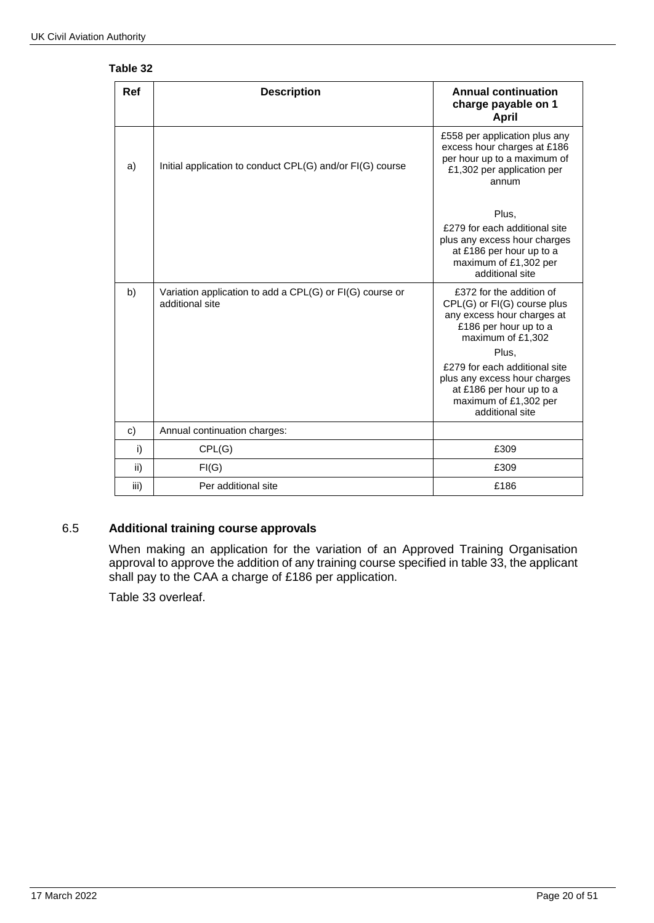| Table 32 |  |
|----------|--|
|----------|--|

| Ref  | <b>Description</b>                                                          | <b>Annual continuation</b><br>charge payable on 1                                                                                                                                                                                                                                     |
|------|-----------------------------------------------------------------------------|---------------------------------------------------------------------------------------------------------------------------------------------------------------------------------------------------------------------------------------------------------------------------------------|
| a)   | Initial application to conduct CPL(G) and/or FI(G) course                   | <b>April</b><br>£558 per application plus any<br>excess hour charges at £186<br>per hour up to a maximum of<br>£1,302 per application per<br>annum                                                                                                                                    |
|      |                                                                             | Plus,<br>£279 for each additional site<br>plus any excess hour charges<br>at £186 per hour up to a<br>maximum of £1,302 per<br>additional site                                                                                                                                        |
| b)   | Variation application to add a CPL(G) or FI(G) course or<br>additional site | £372 for the addition of<br>CPL(G) or FI(G) course plus<br>any excess hour charges at<br>£186 per hour up to a<br>maximum of £1,302<br>Plus,<br>£279 for each additional site<br>plus any excess hour charges<br>at £186 per hour up to a<br>maximum of £1,302 per<br>additional site |
| c)   | Annual continuation charges:                                                |                                                                                                                                                                                                                                                                                       |
| i)   | CPL(G)                                                                      | £309                                                                                                                                                                                                                                                                                  |
| ii)  | FI(G)                                                                       | £309                                                                                                                                                                                                                                                                                  |
| iii) | Per additional site                                                         | £186                                                                                                                                                                                                                                                                                  |

# 6.5 **Additional training course approvals**

When making an application for the variation of an Approved Training Organisation approval to approve the addition of any training course specified in table 33, the applicant shall pay to the CAA a charge of £186 per application.

Table 33 overleaf.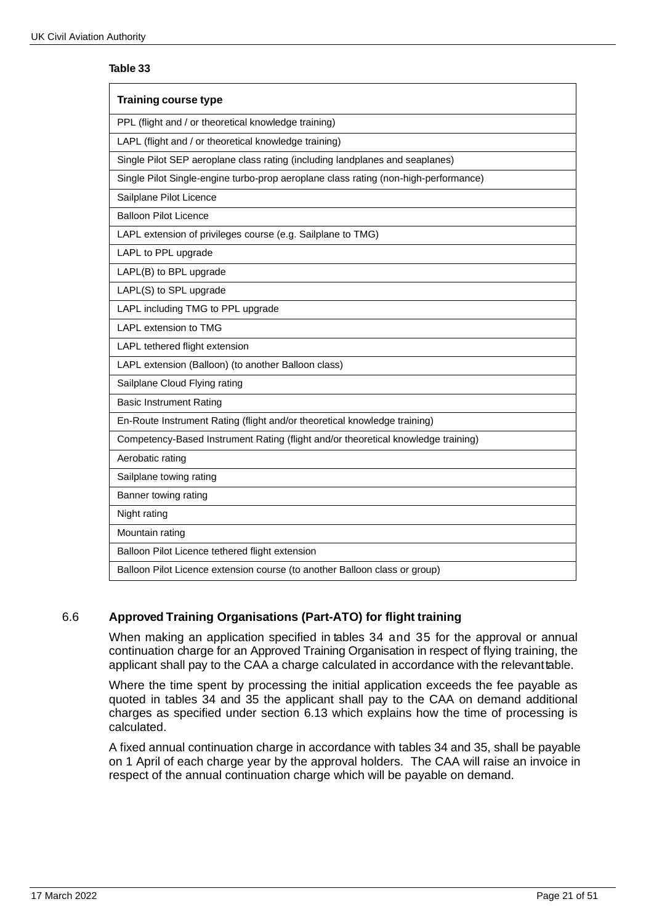#### **Table 33**

| <b>Training course type</b>                                                         |
|-------------------------------------------------------------------------------------|
| PPL (flight and / or theoretical knowledge training)                                |
| LAPL (flight and / or theoretical knowledge training)                               |
| Single Pilot SEP aeroplane class rating (including landplanes and seaplanes)        |
| Single Pilot Single-engine turbo-prop aeroplane class rating (non-high-performance) |
| Sailplane Pilot Licence                                                             |
| <b>Balloon Pilot Licence</b>                                                        |
| LAPL extension of privileges course (e.g. Sailplane to TMG)                         |
| LAPL to PPL upgrade                                                                 |
| LAPL(B) to BPL upgrade                                                              |
| LAPL(S) to SPL upgrade                                                              |
| LAPL including TMG to PPL upgrade                                                   |
| <b>LAPL extension to TMG</b>                                                        |
| LAPL tethered flight extension                                                      |
| LAPL extension (Balloon) (to another Balloon class)                                 |
| Sailplane Cloud Flying rating                                                       |
| <b>Basic Instrument Rating</b>                                                      |
| En-Route Instrument Rating (flight and/or theoretical knowledge training)           |
| Competency-Based Instrument Rating (flight and/or theoretical knowledge training)   |
| Aerobatic rating                                                                    |
| Sailplane towing rating                                                             |
| Banner towing rating                                                                |
| Night rating                                                                        |
| Mountain rating                                                                     |
| Balloon Pilot Licence tethered flight extension                                     |
| Balloon Pilot Licence extension course (to another Balloon class or group)          |

# 6.6 **Approved Training Organisations (Part-ATO) for flight training**

When making an application specified in tables 34 and 35 for the approval or annual continuation charge for an Approved Training Organisation in respect of flying training, the applicant shall pay to the CAA a charge calculated in accordance with the relevanttable.

Where the time spent by processing the initial application exceeds the fee payable as quoted in tables 34 and 35 the applicant shall pay to the CAA on demand additional charges as specified under section 6.13 which explains how the time of processing is calculated.

A fixed annual continuation charge in accordance with tables 34 and 35, shall be payable on 1 April of each charge year by the approval holders. The CAA will raise an invoice in respect of the annual continuation charge which will be payable on demand.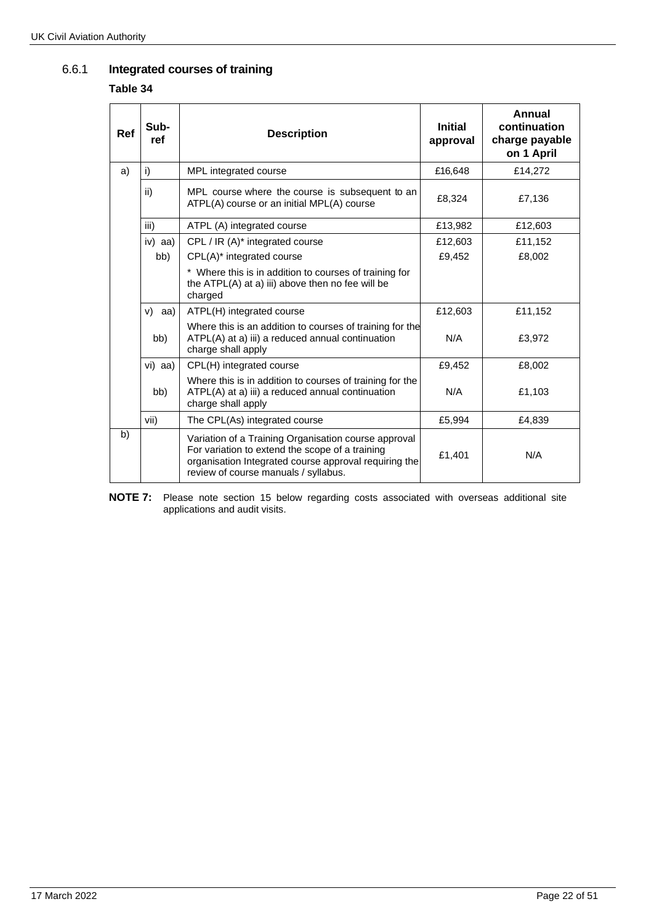## 6.6.1 **Integrated courses of training**

#### **Table 34**

| <b>Ref</b> | Sub-<br>ref | <b>Description</b>                                                                                                                                                                                       | <b>Initial</b><br>approval | Annual<br>continuation<br>charge payable<br>on 1 April |
|------------|-------------|----------------------------------------------------------------------------------------------------------------------------------------------------------------------------------------------------------|----------------------------|--------------------------------------------------------|
| a)         | i)          | MPL integrated course                                                                                                                                                                                    | £16,648                    | £14,272                                                |
|            | ii)         | MPL course where the course is subsequent to an<br>ATPL(A) course or an initial MPL(A) course                                                                                                            | £8,324                     | £7,136                                                 |
|            | iii)        | ATPL (A) integrated course                                                                                                                                                                               | £13,982                    | £12,603                                                |
|            | iv) $aa$ )  | CPL / IR $(A)^*$ integrated course                                                                                                                                                                       | £12,603                    | £11,152                                                |
|            | bb)         | CPL(A)* integrated course                                                                                                                                                                                | £9,452                     | £8,002                                                 |
|            |             | * Where this is in addition to courses of training for<br>the ATPL(A) at a) iii) above then no fee will be<br>charged                                                                                    |                            |                                                        |
|            | $v)$ aa)    | ATPL(H) integrated course                                                                                                                                                                                | £12,603                    | £11,152                                                |
|            | bb)         | Where this is an addition to courses of training for the<br>ATPL(A) at a) iii) a reduced annual continuation<br>charge shall apply                                                                       | N/A                        | £3,972                                                 |
|            | vi) aa)     | CPL(H) integrated course                                                                                                                                                                                 | £9,452                     | £8,002                                                 |
|            | bb)         | Where this is in addition to courses of training for the<br>ATPL(A) at a) iii) a reduced annual continuation<br>charge shall apply                                                                       | N/A                        | £1,103                                                 |
|            | vii)        | The CPL(As) integrated course                                                                                                                                                                            | £5,994                     | £4,839                                                 |
| b)         |             | Variation of a Training Organisation course approval<br>For variation to extend the scope of a training<br>organisation Integrated course approval requiring the<br>review of course manuals / syllabus. | £1,401                     | N/A                                                    |

**NOTE 7:** Please note section 15 below regarding costs associated with overseas additional site applications and audit visits.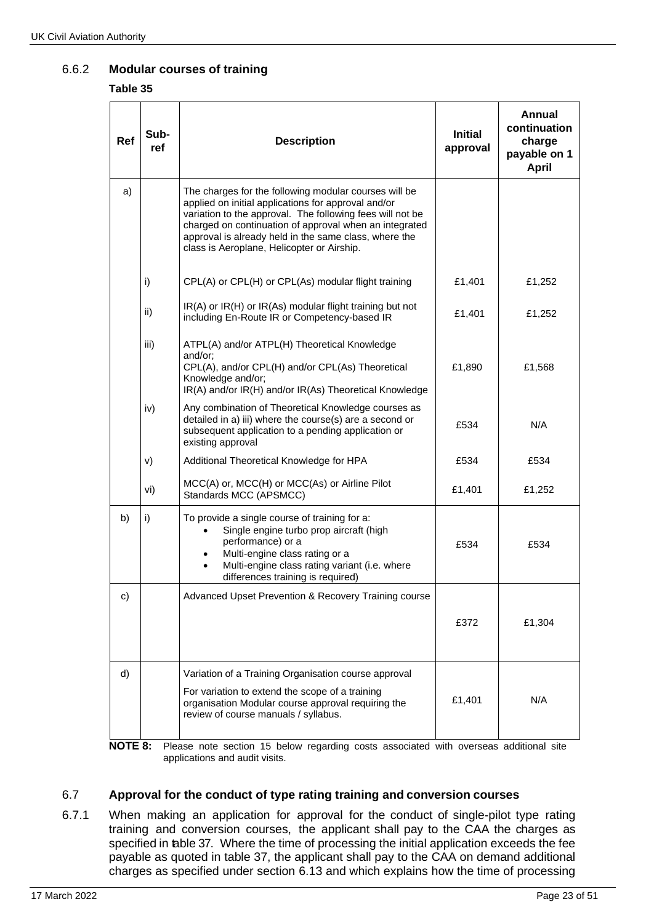# 6.6.2 **Modular courses of training**

#### **Table 35**

| <b>Ref</b> | Sub-<br>ref | <b>Description</b>                                                                                                                                                                                                                                                                                                                         | <b>Initial</b><br>approval | <b>Annual</b><br>continuation<br>charge<br>payable on 1<br><b>April</b> |
|------------|-------------|--------------------------------------------------------------------------------------------------------------------------------------------------------------------------------------------------------------------------------------------------------------------------------------------------------------------------------------------|----------------------------|-------------------------------------------------------------------------|
| a)         |             | The charges for the following modular courses will be<br>applied on initial applications for approval and/or<br>variation to the approval. The following fees will not be<br>charged on continuation of approval when an integrated<br>approval is already held in the same class, where the<br>class is Aeroplane, Helicopter or Airship. |                            |                                                                         |
|            | i)          | CPL(A) or CPL(H) or CPL(As) modular flight training                                                                                                                                                                                                                                                                                        | £1,401                     | £1,252                                                                  |
|            | ii)         | IR(A) or IR(H) or IR(As) modular flight training but not<br>including En-Route IR or Competency-based IR                                                                                                                                                                                                                                   | £1,401                     | £1,252                                                                  |
|            | iii)        | ATPL(A) and/or ATPL(H) Theoretical Knowledge<br>and/or;<br>CPL(A), and/or CPL(H) and/or CPL(As) Theoretical<br>Knowledge and/or;<br>IR(A) and/or IR(H) and/or IR(As) Theoretical Knowledge                                                                                                                                                 | £1,890                     | £1,568                                                                  |
|            | iv)         | Any combination of Theoretical Knowledge courses as<br>detailed in a) iii) where the course(s) are a second or<br>subsequent application to a pending application or<br>existing approval                                                                                                                                                  | £534                       | N/A                                                                     |
|            | V)          | Additional Theoretical Knowledge for HPA                                                                                                                                                                                                                                                                                                   | £534                       | £534                                                                    |
|            | vi)         | MCC(A) or, MCC(H) or MCC(As) or Airline Pilot<br>Standards MCC (APSMCC)                                                                                                                                                                                                                                                                    | £1,401                     | £1,252                                                                  |
| b)         | i)          | To provide a single course of training for a:<br>Single engine turbo prop aircraft (high<br>performance) or a<br>Multi-engine class rating or a<br>Multi-engine class rating variant (i.e. where<br>$\bullet$<br>differences training is required)                                                                                         | £534                       | £534                                                                    |
| c)         |             | Advanced Upset Prevention & Recovery Training course                                                                                                                                                                                                                                                                                       |                            |                                                                         |
|            |             |                                                                                                                                                                                                                                                                                                                                            | £372                       | £1,304                                                                  |
| d)<br>NATE |             | Variation of a Training Organisation course approval<br>For variation to extend the scope of a training<br>organisation Modular course approval requiring the<br>review of course manuals / syllabus.                                                                                                                                      | £1,401                     | N/A                                                                     |

**NOTE 8:** Please note section 15 below regarding costs associated with overseas additional site applications and audit visits.

# 6.7 **Approval for the conduct of type rating training and conversion courses**

6.7.1 When making an application for approval for the conduct of single-pilot type rating training and conversion courses, the applicant shall pay to the CAA the charges as specified in table 37. Where the time of processing the initial application exceeds the fee payable as quoted in table 37, the applicant shall pay to the CAA on demand additional charges as specified under section 6.13 and which explains how the time of processing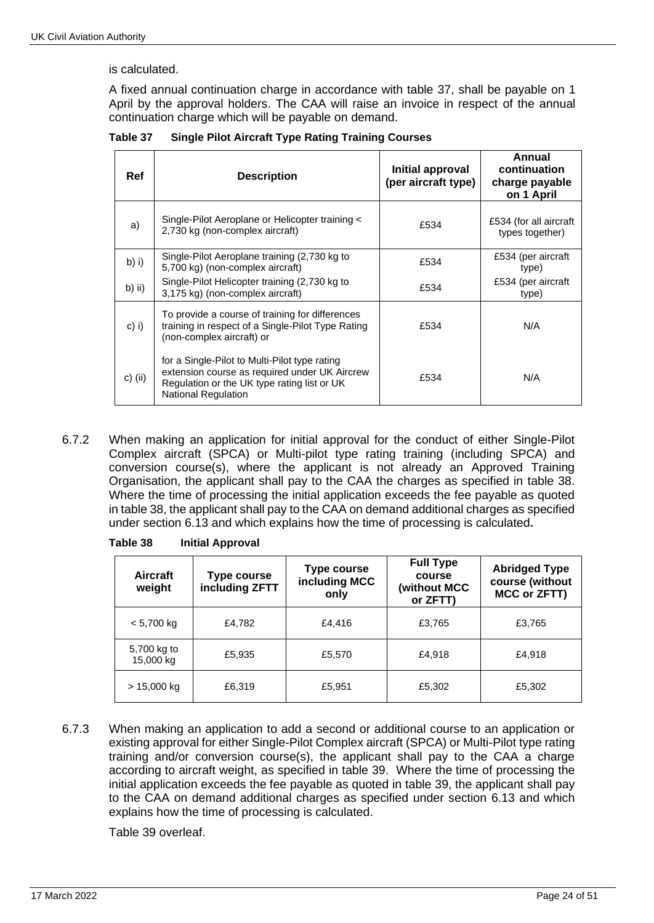is calculated.

A fixed annual continuation charge in accordance with table 37, shall be payable on 1 April by the approval holders. The CAA will raise an invoice in respect of the annual continuation charge which will be payable on demand.

| Ref      | <b>Description</b>                                                                                                                                                          | Initial approval<br>(per aircraft type) | Annual<br>continuation<br>charge payable<br>on 1 April |
|----------|-----------------------------------------------------------------------------------------------------------------------------------------------------------------------------|-----------------------------------------|--------------------------------------------------------|
| a)       | Single-Pilot Aeroplane or Helicopter training <<br>2,730 kg (non-complex aircraft)                                                                                          | £534                                    | £534 (for all aircraft<br>types together)              |
| $b)$ i)  | Single-Pilot Aeroplane training (2,730 kg to<br>5,700 kg) (non-complex aircraft)                                                                                            | £534                                    | £534 (per aircraft<br>type)                            |
| $b)$ ii) | Single-Pilot Helicopter training (2,730 kg to<br>3,175 kg) (non-complex aircraft)                                                                                           | £534                                    | £534 (per aircraft<br>type)                            |
| $c)$ i)  | To provide a course of training for differences<br>training in respect of a Single-Pilot Type Rating<br>(non-complex aircraft) or                                           | £534                                    | N/A                                                    |
| c) (ii)  | for a Single-Pilot to Multi-Pilot type rating<br>extension course as required under UK Aircrew<br>Regulation or the UK type rating list or UK<br><b>National Regulation</b> | £534                                    | N/A                                                    |

**Table 37 Single Pilot Aircraft Type Rating Training Courses**

6.7.2 When making an application for initial approval for the conduct of either Single-Pilot Complex aircraft (SPCA) or Multi-pilot type rating training (including SPCA) and conversion course(s), where the applicant is not already an Approved Training Organisation, the applicant shall pay to the CAA the charges as specified in table 38. Where the time of processing the initial application exceeds the fee payable as quoted in table 38, the applicant shall pay to the CAA on demand additional charges as specified under section 6.13 and which explains how the time of processing is calculated**.**

| <b>Aircraft</b><br>weight | <b>Type course</b><br>including ZFTT | Type course<br>including MCC<br>only | <b>Full Type</b><br>course<br>(without MCC<br>or ZFTT) | <b>Abridged Type</b><br>course (without<br>MCC or ZFTT) |
|---------------------------|--------------------------------------|--------------------------------------|--------------------------------------------------------|---------------------------------------------------------|
| $< 5,700$ kg              | £4,782                               | £4,416                               | £3,765                                                 | £3,765                                                  |
| 5,700 kg to<br>15,000 kg  | £5,935                               | £5,570                               | £4,918                                                 | £4,918                                                  |
| $> 15,000$ kg             | £6,319                               | £5,951                               | £5,302                                                 | £5,302                                                  |

6.7.3 When making an application to add a second or additional course to an application or existing approval for either Single-Pilot Complex aircraft (SPCA) or Multi-Pilot type rating training and/or conversion course(s), the applicant shall pay to the CAA a charge according to aircraft weight, as specified in table 39. Where the time of processing the initial application exceeds the fee payable as quoted in table 39, the applicant shall pay to the CAA on demand additional charges as specified under section 6.13 and which explains how the time of processing is calculated.

Table 39 overleaf.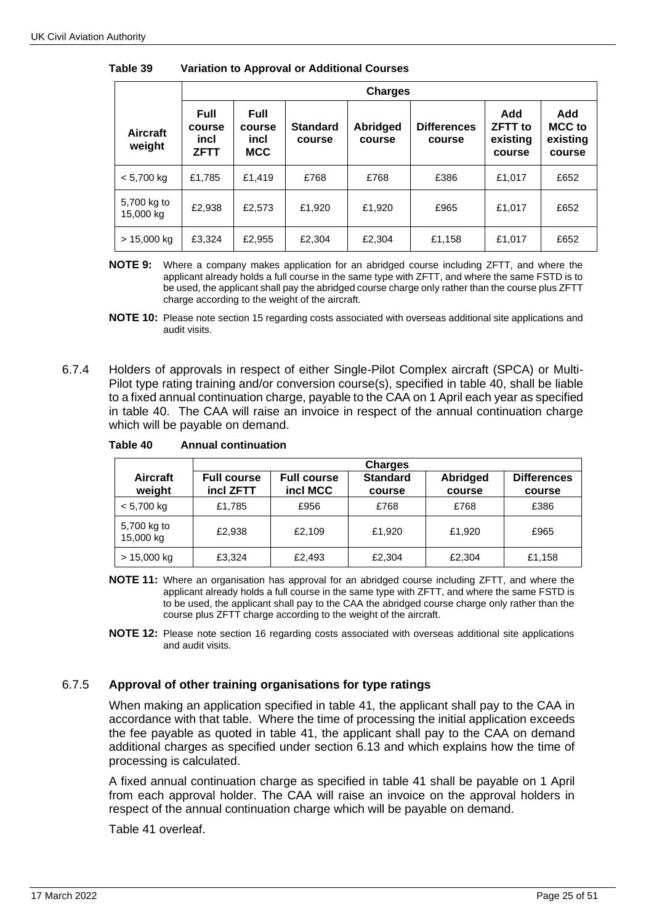|                           |                                              | <b>Charges</b>                              |                           |                           |                              |                                             |                                            |  |
|---------------------------|----------------------------------------------|---------------------------------------------|---------------------------|---------------------------|------------------------------|---------------------------------------------|--------------------------------------------|--|
| <b>Aircraft</b><br>weight | <b>Full</b><br>course<br>incl<br><b>ZFTT</b> | <b>Full</b><br>course<br>incl<br><b>MCC</b> | <b>Standard</b><br>course | <b>Abridged</b><br>course | <b>Differences</b><br>course | Add<br><b>ZFTT</b> to<br>existing<br>course | Add<br><b>MCC</b> to<br>existing<br>course |  |
| $< 5,700$ kg              | £1,785                                       | £1,419                                      | £768                      | £768                      | £386                         | £1,017                                      | £652                                       |  |
| 5,700 kg to<br>15,000 kg  | £2,938                                       | £2,573                                      | £1.920                    | £1,920                    | £965                         | £1,017                                      | £652                                       |  |
| $> 15,000$ kg             | £3,324                                       | £2,955                                      | £2,304                    | £2,304                    | £1,158                       | £1,017                                      | £652                                       |  |

**Table 39 Variation to Approval or Additional Courses**

**NOTE 9:** Where a company makes application for an abridged course including ZFTT, and where the applicant already holds a full course in the same type with ZFTT, and where the same FSTD is to be used, the applicant shall pay the abridged course charge only rather than the course plus ZFTT charge according to the weight of the aircraft.

**NOTE 10:** Please note section 15 regarding costs associated with overseas additional site applications and audit visits.

6.7.4 Holders of approvals in respect of either Single-Pilot Complex aircraft (SPCA) or Multi-Pilot type rating training and/or conversion course(s), specified in table 40, shall be liable to a fixed annual continuation charge, payable to the CAA on 1 April each year as specified in table 40. The CAA will raise an invoice in respect of the annual continuation charge which will be payable on demand.

|                           | <b>Charges</b>                  |                                |                           |                    |                              |  |
|---------------------------|---------------------------------|--------------------------------|---------------------------|--------------------|------------------------------|--|
| <b>Aircraft</b><br>weight | <b>Full course</b><br>incl ZFTT | <b>Full course</b><br>incl MCC | <b>Standard</b><br>course | Abridged<br>course | <b>Differences</b><br>course |  |
| $< 5,700$ kg              | £1,785                          | £956                           | £768                      | £768               | £386                         |  |
| 5,700 kg to<br>15,000 kg  | £2.938                          | £2.109                         | £1,920                    | £1,920             | £965                         |  |
| $> 15,000$ kg             | £3,324                          | £2,493                         | £2,304                    | £2,304             | £1,158                       |  |

**Table 40 Annual continuation**

**NOTE 11:** Where an organisation has approval for an abridged course including ZFTT, and where the applicant already holds a full course in the same type with ZFTT, and where the same FSTD is to be used, the applicant shall pay to the CAA the abridged course charge only rather than the course plus ZFTT charge according to the weight of the aircraft.

**NOTE 12:** Please note section 16 regarding costs associated with overseas additional site applications and audit visits.

### 6.7.5 **Approval of other training organisations for type ratings**

When making an application specified in table 41, the applicant shall pay to the CAA in accordance with that table. Where the time of processing the initial application exceeds the fee payable as quoted in table 41, the applicant shall pay to the CAA on demand additional charges as specified under section 6.13 and which explains how the time of processing is calculated.

A fixed annual continuation charge as specified in table 41 shall be payable on 1 April from each approval holder. The CAA will raise an invoice on the approval holders in respect of the annual continuation charge which will be payable on demand.

Table 41 overleaf.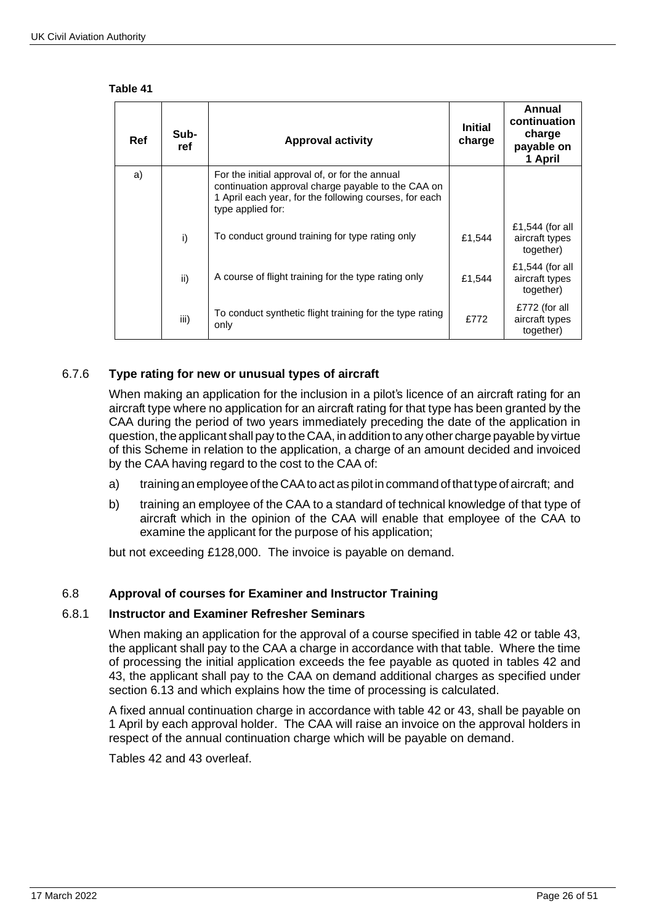#### **Table 41**

| <b>Ref</b> | Sub-<br>ref | <b>Approval activity</b>                                                                                                                                                            | <b>Initial</b><br>charge | Annual<br>continuation<br>charge<br>payable on<br>1 April |
|------------|-------------|-------------------------------------------------------------------------------------------------------------------------------------------------------------------------------------|--------------------------|-----------------------------------------------------------|
| a)         |             | For the initial approval of, or for the annual<br>continuation approval charge payable to the CAA on<br>1 April each year, for the following courses, for each<br>type applied for: |                          |                                                           |
|            | i)          | To conduct ground training for type rating only                                                                                                                                     | £1,544                   | £1,544 (for all<br>aircraft types<br>together)            |
|            | ii)         | A course of flight training for the type rating only                                                                                                                                | £1,544                   | £1,544 (for all<br>aircraft types<br>together)            |
|            | iii)        | To conduct synthetic flight training for the type rating<br>only                                                                                                                    | £772                     | £772 (for all<br>aircraft types<br>together)              |

# 6.7.6 **Type rating for new or unusual types of aircraft**

When making an application for the inclusion in a pilot's licence of an aircraft rating for an aircraft type where no application for an aircraft rating for that type has been granted by the CAA during the period of two years immediately preceding the date of the application in question, the applicant shall pay to the CAA, in addition to any other charge payable by virtue of this Scheme in relation to the application, a charge of an amount decided and invoiced by the CAA having regard to the cost to the CAA of:

- a) training an employee of the CAA to act as pilot in command of that type of aircraft; and
- b) training an employee of the CAA to a standard of technical knowledge of that type of aircraft which in the opinion of the CAA will enable that employee of the CAA to examine the applicant for the purpose of his application;

but not exceeding £128,000. The invoice is payable on demand.

### 6.8 **Approval of courses for Examiner and Instructor Training**

#### 6.8.1 **Instructor and Examiner Refresher Seminars**

When making an application for the approval of a course specified in table 42 or table 43, the applicant shall pay to the CAA a charge in accordance with that table. Where the time of processing the initial application exceeds the fee payable as quoted in tables 42 and 43, the applicant shall pay to the CAA on demand additional charges as specified under section 6.13 and which explains how the time of processing is calculated.

A fixed annual continuation charge in accordance with table 42 or 43, shall be payable on 1 April by each approval holder. The CAA will raise an invoice on the approval holders in respect of the annual continuation charge which will be payable on demand.

Tables 42 and 43 overleaf.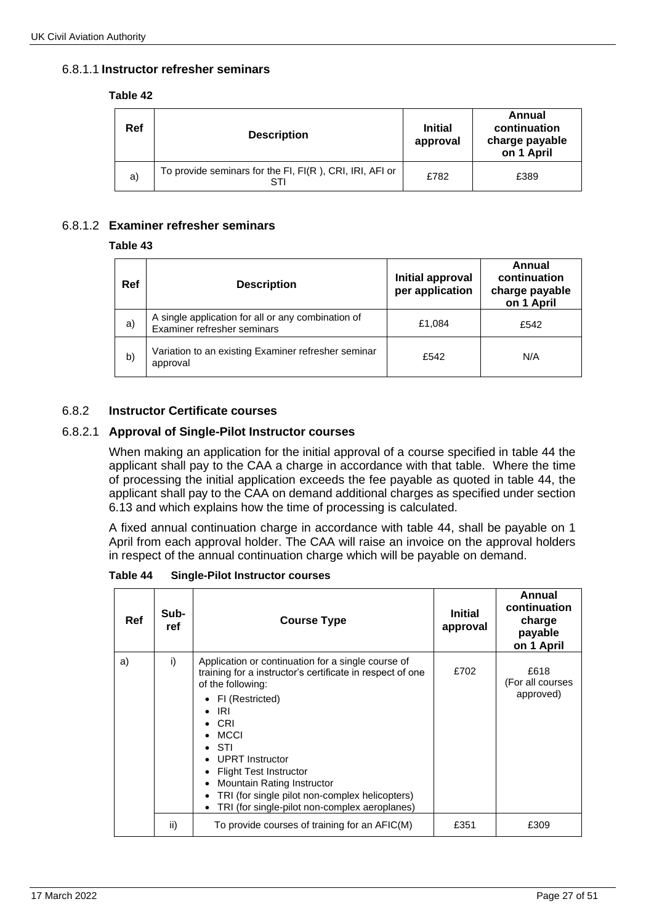### 6.8.1.1 **Instructor refresher seminars**

#### **Table 42**

| Ref | <b>Description</b>                                             | <b>Initial</b><br>approval | Annual<br>continuation<br>charge payable<br>on 1 April |
|-----|----------------------------------------------------------------|----------------------------|--------------------------------------------------------|
| a)  | To provide seminars for the FI, FI(R), CRI, IRI, AFI or<br>STI | £782                       | £389                                                   |

## 6.8.1.2 **Examiner refresher seminars**

#### **Table 43**

| Ref | <b>Description</b>                                                                | Initial approval<br>per application | Annual<br>continuation<br>charge payable<br>on 1 April |
|-----|-----------------------------------------------------------------------------------|-------------------------------------|--------------------------------------------------------|
| a)  | A single application for all or any combination of<br>Examiner refresher seminars | £1,084                              | £542                                                   |
| b)  | Variation to an existing Examiner refresher seminar<br>approval                   | £542                                | N/A                                                    |

### 6.8.2 **Instructor Certificate courses**

### 6.8.2.1 **Approval of Single-Pilot Instructor courses**

When making an application for the initial approval of a course specified in table 44 the applicant shall pay to the CAA a charge in accordance with that table. Where the time of processing the initial application exceeds the fee payable as quoted in table 44, the applicant shall pay to the CAA on demand additional charges as specified under section 6.13 and which explains how the time of processing is calculated.

A fixed annual continuation charge in accordance with table 44, shall be payable on 1 April from each approval holder. The CAA will raise an invoice on the approval holders in respect of the annual continuation charge which will be payable on demand.

**Table 44 Single-Pilot Instructor courses**

| Ref | Sub-<br>ref | <b>Course Type</b>                                                                                                                                                                                                                                                                                                                                                                        | <b>Initial</b><br>approval | Annual<br>continuation<br>charge<br>payable<br>on 1 April |
|-----|-------------|-------------------------------------------------------------------------------------------------------------------------------------------------------------------------------------------------------------------------------------------------------------------------------------------------------------------------------------------------------------------------------------------|----------------------------|-----------------------------------------------------------|
| a)  | i)          | Application or continuation for a single course of<br>training for a instructor's certificate in respect of one<br>of the following:<br>• FI (Restricted)<br>IRI<br>CRI<br><b>MCCI</b><br>STI<br><b>UPRT</b> Instructor<br><b>Flight Test Instructor</b><br>Mountain Rating Instructor<br>TRI (for single pilot non-complex helicopters)<br>TRI (for single-pilot non-complex aeroplanes) | £702                       | £618<br>(For all courses<br>approved)                     |
|     | ii)         | To provide courses of training for an AFIC(M)                                                                                                                                                                                                                                                                                                                                             | £351                       | £309                                                      |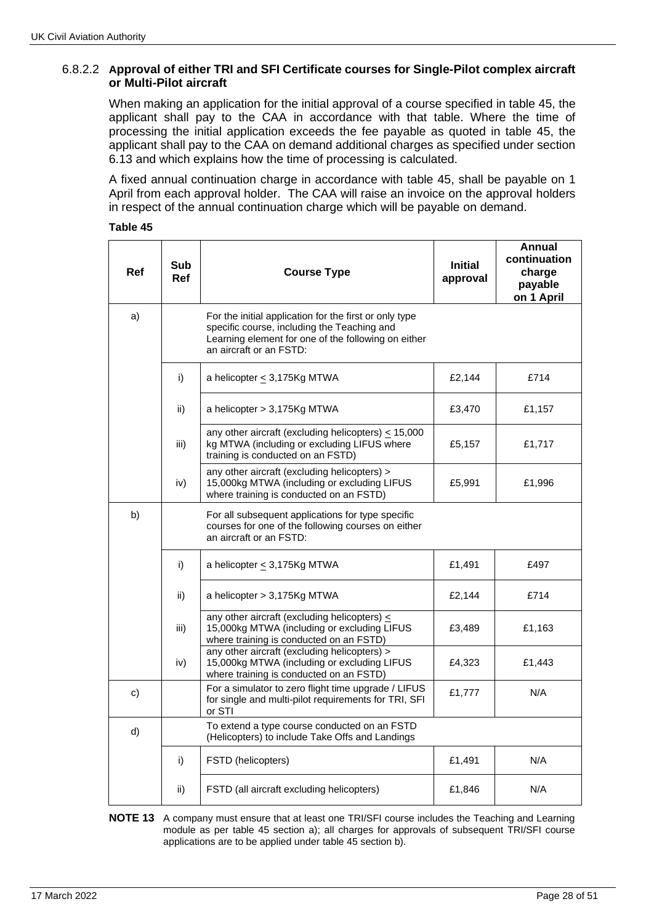# 6.8.2.2 **Approval of either TRI and SFI Certificate courses for Single-Pilot complex aircraft or Multi-Pilot aircraft**

When making an application for the initial approval of a course specified in table 45, the applicant shall pay to the CAA in accordance with that table. Where the time of processing the initial application exceeds the fee payable as quoted in table 45, the applicant shall pay to the CAA on demand additional charges as specified under section 6.13 and which explains how the time of processing is calculated.

A fixed annual continuation charge in accordance with table 45, shall be payable on 1 April from each approval holder. The CAA will raise an invoice on the approval holders in respect of the annual continuation charge which will be payable on demand.

| <b>Ref</b> | Sub<br>Ref | <b>Course Type</b>                                                                                                                                                                      | <b>Initial</b><br>approval | Annual<br>continuation<br>charge<br>payable<br>on 1 April |
|------------|------------|-----------------------------------------------------------------------------------------------------------------------------------------------------------------------------------------|----------------------------|-----------------------------------------------------------|
| a)         |            | For the initial application for the first or only type<br>specific course, including the Teaching and<br>Learning element for one of the following on either<br>an aircraft or an FSTD: |                            |                                                           |
|            | i)         | a helicopter ≤ 3,175Kg MTWA                                                                                                                                                             | £2,144                     | £714                                                      |
|            | ii)        | a helicopter > 3,175Kg MTWA                                                                                                                                                             | £3,470                     | £1,157                                                    |
|            | iii)       | any other aircraft (excluding helicopters) $\leq 15,000$<br>kg MTWA (including or excluding LIFUS where<br>training is conducted on an FSTD)                                            | £5,157                     | £1,717                                                    |
|            | iv)        | any other aircraft (excluding helicopters) ><br>15,000kg MTWA (including or excluding LIFUS<br>where training is conducted on an FSTD)                                                  | £5,991                     | £1,996                                                    |
| b)         |            | For all subsequent applications for type specific<br>courses for one of the following courses on either<br>an aircraft or an FSTD:                                                      |                            |                                                           |
|            | i)         | a helicopter < 3,175Kg MTWA                                                                                                                                                             | £1,491                     | £497                                                      |
|            | ii)        | a helicopter > 3,175Kg MTWA                                                                                                                                                             | £2,144                     | £714                                                      |
|            | iii)       | any other aircraft (excluding helicopters) $\leq$<br>15,000kg MTWA (including or excluding LIFUS<br>where training is conducted on an FSTD)                                             | £3,489                     | £1,163                                                    |
|            | iv)        | any other aircraft (excluding helicopters) ><br>15,000kg MTWA (including or excluding LIFUS<br>where training is conducted on an FSTD)                                                  | £4,323                     | £1,443                                                    |
| c)         |            | For a simulator to zero flight time upgrade / LIFUS<br>for single and multi-pilot requirements for TRI, SFI<br>or STI                                                                   | £1,777                     | N/A                                                       |
| d)         |            | To extend a type course conducted on an FSTD<br>(Helicopters) to include Take Offs and Landings                                                                                         |                            |                                                           |
|            | i)         | FSTD (helicopters)                                                                                                                                                                      | £1,491                     | N/A                                                       |
|            | ii)        | FSTD (all aircraft excluding helicopters)                                                                                                                                               | £1,846                     | N/A                                                       |

**NOTE 13** A company must ensure that at least one TRI/SFI course includes the Teaching and Learning module as per table 45 section a); all charges for approvals of subsequent TRI/SFI course applications are to be applied under table 45 section b).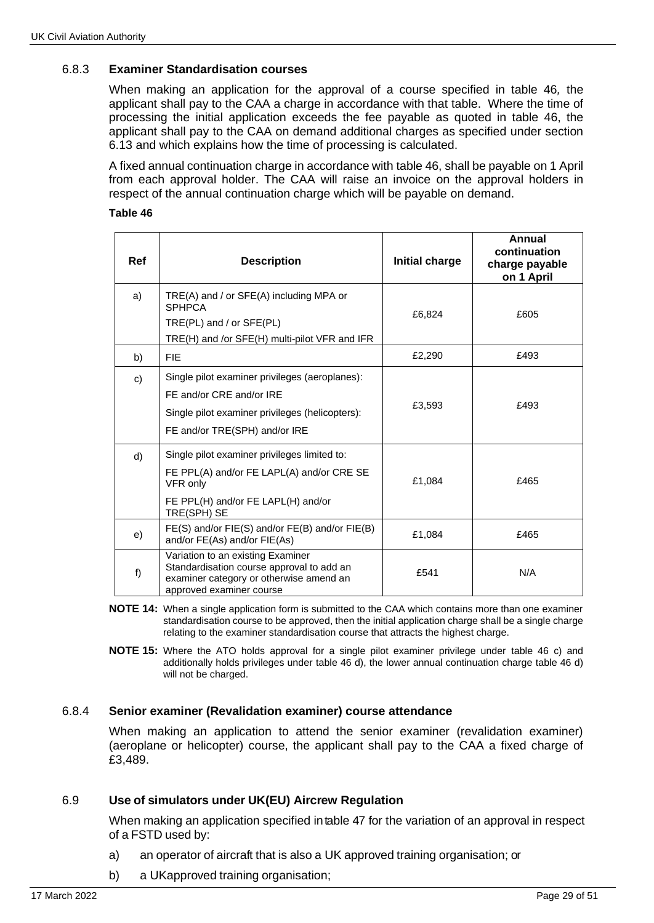# 6.8.3 **Examiner Standardisation courses**

When making an application for the approval of a course specified in table 46*,* the applicant shall pay to the CAA a charge in accordance with that table. Where the time of processing the initial application exceeds the fee payable as quoted in table 46, the applicant shall pay to the CAA on demand additional charges as specified under section 6.13 and which explains how the time of processing is calculated.

A fixed annual continuation charge in accordance with table 46, shall be payable on 1 April from each approval holder. The CAA will raise an invoice on the approval holders in respect of the annual continuation charge which will be payable on demand.

#### **Table 46**

| Ref | <b>Description</b>                                                                                                                                             | Initial charge | Annual<br>continuation<br>charge payable<br>on 1 April |
|-----|----------------------------------------------------------------------------------------------------------------------------------------------------------------|----------------|--------------------------------------------------------|
| a)  | $TRE(A)$ and / or $SFE(A)$ including MPA or<br><b>SPHPCA</b><br>TRE(PL) and / or SFE(PL)<br>TRE(H) and /or SFE(H) multi-pilot VFR and IFR                      | £6,824         | £605                                                   |
| b)  | <b>FIE</b>                                                                                                                                                     | £2,290         | £493                                                   |
| c)  | Single pilot examiner privileges (aeroplanes):<br>FE and/or CRE and/or IRE<br>Single pilot examiner privileges (helicopters):<br>FE and/or TRE(SPH) and/or IRE | £3,593         | £493                                                   |
| d)  | Single pilot examiner privileges limited to:<br>FE PPL(A) and/or FE LAPL(A) and/or CRE SE<br>VFR only<br>FE PPL(H) and/or FE LAPL(H) and/or<br>TRE(SPH) SE     | £1,084         | £465                                                   |
| e)  | FE(S) and/or FIE(S) and/or FE(B) and/or FIE(B)<br>and/or FE(As) and/or FIE(As)                                                                                 | £1,084         | £465                                                   |
| f)  | Variation to an existing Examiner<br>Standardisation course approval to add an<br>examiner category or otherwise amend an<br>approved examiner course          | £541           | N/A                                                    |

- **NOTE 14:** When a single application form is submitted to the CAA which contains more than one examiner standardisation course to be approved, then the initial application charge shall be a single charge relating to the examiner standardisation course that attracts the highest charge.
- **NOTE 15:** Where the ATO holds approval for a single pilot examiner privilege under table 46 c) and additionally holds privileges under table 46 d), the lower annual continuation charge table 46 d) will not be charged.

### 6.8.4 **Senior examiner (Revalidation examiner) course attendance**

When making an application to attend the senior examiner (revalidation examiner) (aeroplane or helicopter) course, the applicant shall pay to the CAA a fixed charge of £3,489.

### 6.9 **Use of simulators under UK(EU) Aircrew Regulation**

When making an application specified intable 47 for the variation of an approval in respect of a FSTD used by:

- a) an operator of aircraft that is also a UK approved training organisation; or
- b) a UKapproved training organisation;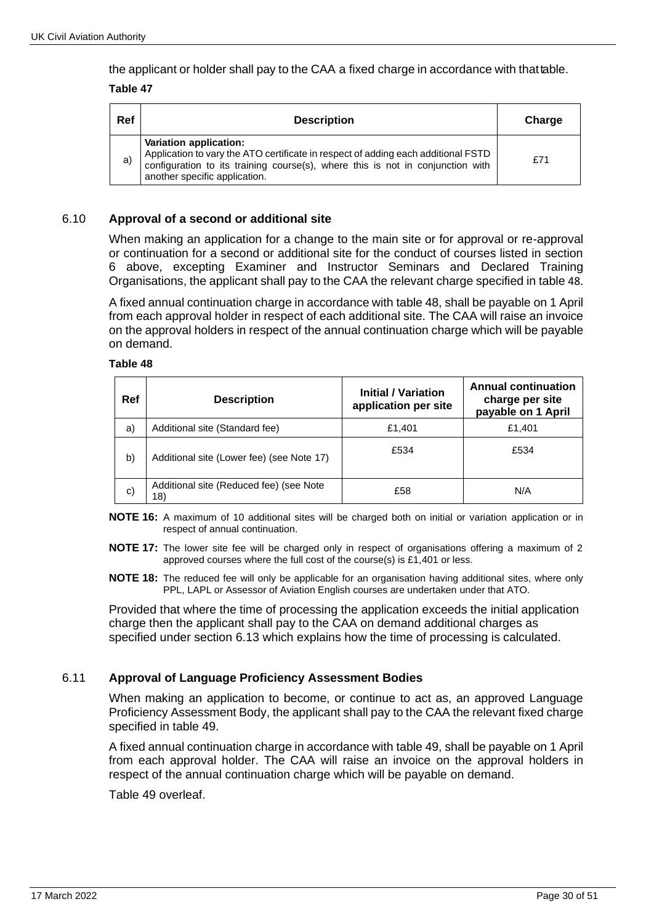the applicant or holder shall pay to the CAA a fixed charge in accordance with thattable.

#### **Table 47**

| Ref | <b>Description</b>                                                                                                                                                                                                             | Charge |
|-----|--------------------------------------------------------------------------------------------------------------------------------------------------------------------------------------------------------------------------------|--------|
| a)  | Variation application:<br>Application to vary the ATO certificate in respect of adding each additional FSTD<br>configuration to its training course(s), where this is not in conjunction with<br>another specific application. | £71    |

### 6.10 **Approval of a second or additional site**

When making an application for a change to the main site or for approval or re-approval or continuation for a second or additional site for the conduct of courses listed in section 6 above, excepting Examiner and Instructor Seminars and Declared Training Organisations, the applicant shall pay to the CAA the relevant charge specified in table 48.

A fixed annual continuation charge in accordance with table 48, shall be payable on 1 April from each approval holder in respect of each additional site. The CAA will raise an invoice on the approval holders in respect of the annual continuation charge which will be payable on demand.

#### **Table 48**

| Ref | <b>Description</b>                             | <b>Initial / Variation</b><br>application per site | <b>Annual continuation</b><br>charge per site<br>payable on 1 April |
|-----|------------------------------------------------|----------------------------------------------------|---------------------------------------------------------------------|
| a)  | Additional site (Standard fee)                 | £1,401                                             | £1.401                                                              |
| b)  | Additional site (Lower fee) (see Note 17)      | £534                                               | £534                                                                |
| C)  | Additional site (Reduced fee) (see Note<br>18) | £58                                                | N/A                                                                 |

**NOTE 16:** A maximum of 10 additional sites will be charged both on initial or variation application or in respect of annual continuation.

**NOTE 17:** The lower site fee will be charged only in respect of organisations offering a maximum of 2 approved courses where the full cost of the course(s) is £1,401 or less.

**NOTE 18:** The reduced fee will only be applicable for an organisation having additional sites, where only PPL, LAPL or Assessor of Aviation English courses are undertaken under that ATO.

Provided that where the time of processing the application exceeds the initial application charge then the applicant shall pay to the CAA on demand additional charges as specified under section 6.13 which explains how the time of processing is calculated.

# 6.11 **Approval of Language Proficiency Assessment Bodies**

When making an application to become, or continue to act as, an approved Language Proficiency Assessment Body, the applicant shall pay to the CAA the relevant fixed charge specified in table 49.

A fixed annual continuation charge in accordance with table 49, shall be payable on 1 April from each approval holder. The CAA will raise an invoice on the approval holders in respect of the annual continuation charge which will be payable on demand.

Table 49 overleaf.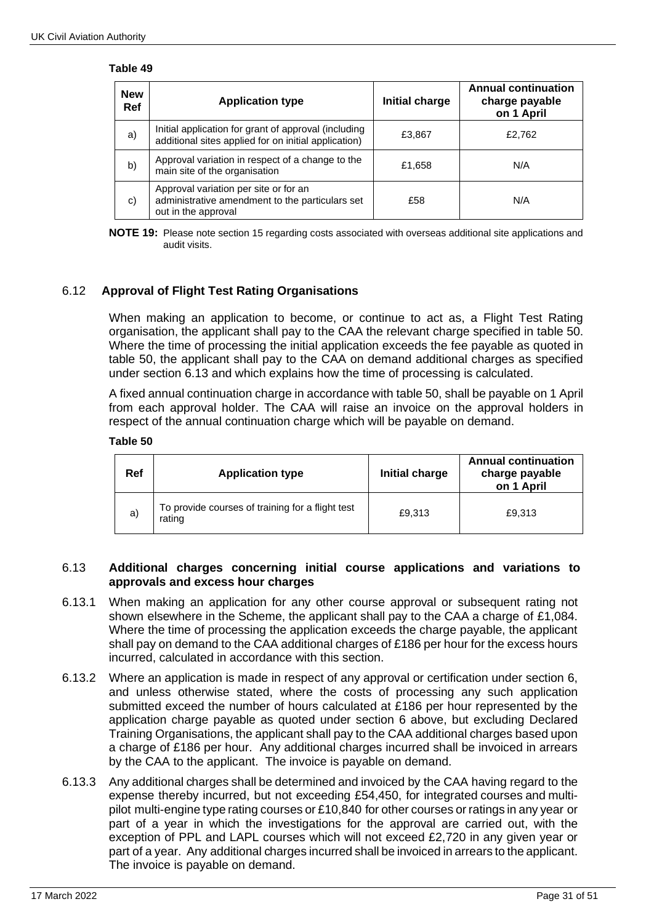#### **Table 49**

| <b>New</b><br>Ref | <b>Application type</b>                                                                                         | Initial charge | <b>Annual continuation</b><br>charge payable<br>on 1 April |
|-------------------|-----------------------------------------------------------------------------------------------------------------|----------------|------------------------------------------------------------|
| a)                | Initial application for grant of approval (including<br>additional sites applied for on initial application)    | £3,867         | £2,762                                                     |
| b)                | Approval variation in respect of a change to the<br>main site of the organisation                               | £1,658         | N/A                                                        |
| C)                | Approval variation per site or for an<br>administrative amendment to the particulars set<br>out in the approval | £58            | N/A                                                        |

**NOTE 19:** Please note section 15 regarding costs associated with overseas additional site applications and audit visits.

## 6.12 **Approval of Flight Test Rating Organisations**

When making an application to become, or continue to act as, a Flight Test Rating organisation, the applicant shall pay to the CAA the relevant charge specified in table 50. Where the time of processing the initial application exceeds the fee payable as quoted in table 50, the applicant shall pay to the CAA on demand additional charges as specified under section 6.13 and which explains how the time of processing is calculated.

A fixed annual continuation charge in accordance with table 50, shall be payable on 1 April from each approval holder. The CAA will raise an invoice on the approval holders in respect of the annual continuation charge which will be payable on demand.

#### **Table 50**

| Ref | <b>Application type</b>                                    | Initial charge | <b>Annual continuation</b><br>charge payable<br>on 1 April |
|-----|------------------------------------------------------------|----------------|------------------------------------------------------------|
| a)  | To provide courses of training for a flight test<br>rating | £9.313         | £9.313                                                     |

#### 6.13 **Additional charges concerning initial course applications and variations to approvals and excess hour charges**

- 6.13.1 When making an application for any other course approval or subsequent rating not shown elsewhere in the Scheme, the applicant shall pay to the CAA a charge of £1,084. Where the time of processing the application exceeds the charge payable, the applicant shall pay on demand to the CAA additional charges of £186 per hour for the excess hours incurred, calculated in accordance with this section.
- 6.13.2 Where an application is made in respect of any approval or certification under section 6, and unless otherwise stated, where the costs of processing any such application submitted exceed the number of hours calculated at £186 per hour represented by the application charge payable as quoted under section 6 above, but excluding Declared Training Organisations, the applicant shall pay to the CAA additional charges based upon a charge of £186 per hour. Any additional charges incurred shall be invoiced in arrears by the CAA to the applicant. The invoice is payable on demand.
- 6.13.3 Any additional charges shall be determined and invoiced by the CAA having regard to the expense thereby incurred, but not exceeding £54,450, for integrated courses and multipilot multi-engine type rating courses or £10,840 for other courses or ratings in any year or part of a year in which the investigations for the approval are carried out, with the exception of PPL and LAPL courses which will not exceed £2,720 in any given year or part of a year. Any additional charges incurred shall be invoiced in arrears to the applicant. The invoice is payable on demand.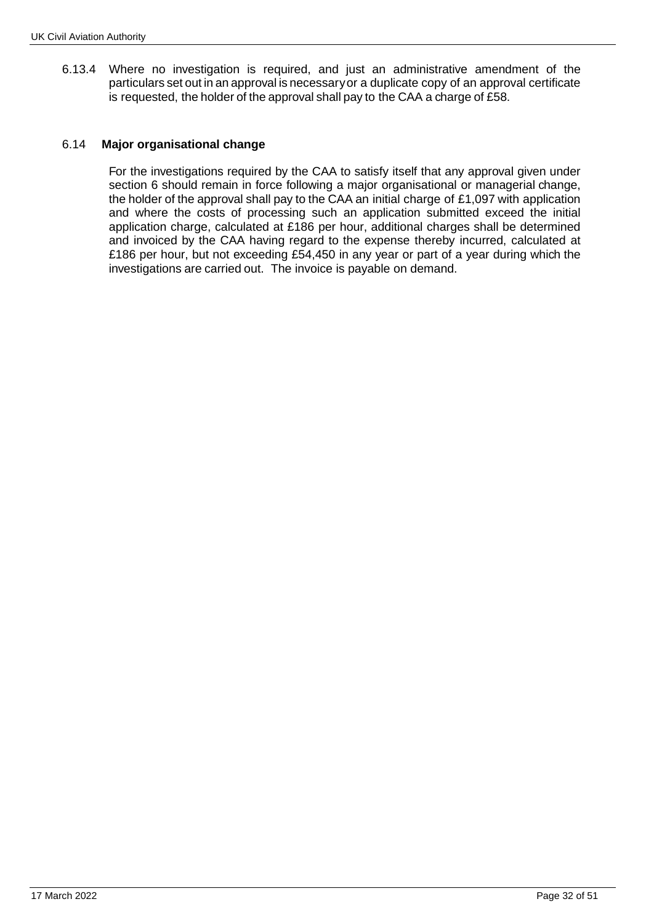6.13.4 Where no investigation is required, and just an administrative amendment of the particulars set out in an approval is necessary or a duplicate copy of an approval certificate is requested, the holder of the approval shall pay to the CAA a charge of £58.

### 6.14 **Major organisational change**

For the investigations required by the CAA to satisfy itself that any approval given under section 6 should remain in force following a major organisational or managerial change, the holder of the approval shall pay to the CAA an initial charge of £1,097 with application and where the costs of processing such an application submitted exceed the initial application charge, calculated at £186 per hour, additional charges shall be determined and invoiced by the CAA having regard to the expense thereby incurred, calculated at £186 per hour, but not exceeding £54,450 in any year or part of a year during which the investigations are carried out. The invoice is payable on demand.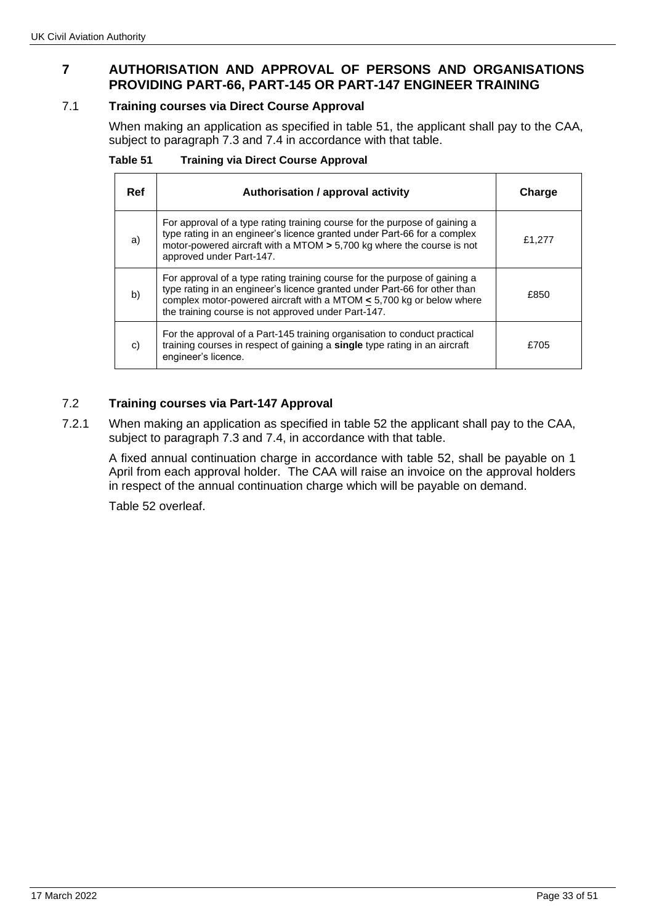# **7 AUTHORISATION AND APPROVAL OF PERSONS AND ORGANISATIONS PROVIDING PART-66, PART-145 OR PART-147 ENGINEER TRAINING**

## 7.1 **Training courses via Direct Course Approval**

When making an application as specified in table 51, the applicant shall pay to the CAA, subject to paragraph 7.3 and 7.4 in accordance with that table.

| Table 51 | <b>Training via Direct Course Approval</b> |  |  |  |
|----------|--------------------------------------------|--|--|--|
|----------|--------------------------------------------|--|--|--|

| Ref | Authorisation / approval activity                                                                                                                                                                                                                                                           | Charge |
|-----|---------------------------------------------------------------------------------------------------------------------------------------------------------------------------------------------------------------------------------------------------------------------------------------------|--------|
| a)  | For approval of a type rating training course for the purpose of gaining a<br>type rating in an engineer's licence granted under Part-66 for a complex<br>motor-powered aircraft with a MTOM $> 5,700$ kg where the course is not<br>approved under Part-147.                               | £1,277 |
| b)  | For approval of a type rating training course for the purpose of gaining a<br>type rating in an engineer's licence granted under Part-66 for other than<br>complex motor-powered aircraft with a MTOM $\leq$ 5,700 kg or below where<br>the training course is not approved under Part-147. | £850   |
| C)  | For the approval of a Part-145 training organisation to conduct practical<br>training courses in respect of gaining a single type rating in an aircraft<br>engineer's licence.                                                                                                              | £705   |

## 7.2 **Training courses via Part-147 Approval**

7.2.1 When making an application as specified in table 52 the applicant shall pay to the CAA, subject to paragraph 7.3 and 7.4, in accordance with that table.

A fixed annual continuation charge in accordance with table 52, shall be payable on 1 April from each approval holder. The CAA will raise an invoice on the approval holders in respect of the annual continuation charge which will be payable on demand.

Table 52 overleaf.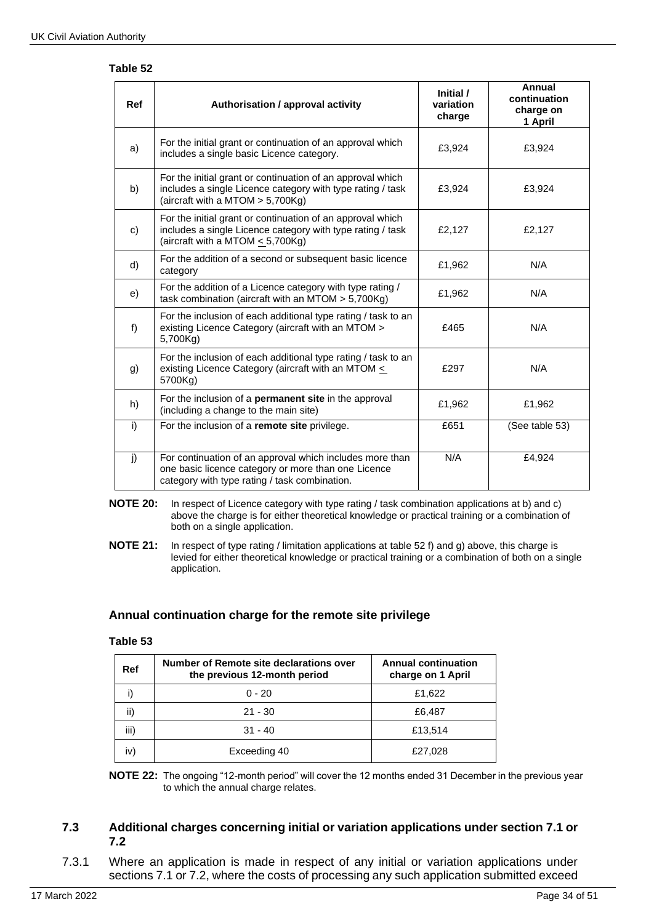#### **Table 52**

| Ref | Authorisation / approval activity                                                                                                                                 | Initial /<br>variation<br>charge | Annual<br>continuation<br>charge on<br>1 April |
|-----|-------------------------------------------------------------------------------------------------------------------------------------------------------------------|----------------------------------|------------------------------------------------|
| a)  | For the initial grant or continuation of an approval which<br>includes a single basic Licence category.                                                           | £3,924                           | £3,924                                         |
| b)  | For the initial grant or continuation of an approval which<br>includes a single Licence category with type rating / task<br>(aircraft with a MTOM $> 5,700Kg$ )   | £3,924                           | £3,924                                         |
| c)  | For the initial grant or continuation of an approval which<br>includes a single Licence category with type rating / task<br>(aircraft with a MTOM $\leq$ 5,700Kg) | £2,127                           | £2,127                                         |
| d)  | For the addition of a second or subsequent basic licence<br>category                                                                                              | £1,962                           | N/A                                            |
| e)  | For the addition of a Licence category with type rating /<br>task combination (aircraft with an MTOM $> 5,700Kg$ )                                                | £1,962                           | N/A                                            |
| f)  | For the inclusion of each additional type rating / task to an<br>existing Licence Category (aircraft with an MTOM ><br>5,700Kg)                                   | £465                             | N/A                                            |
| g)  | For the inclusion of each additional type rating / task to an<br>existing Licence Category (aircraft with an MTOM <<br>5700Kg)                                    | £297                             | N/A                                            |
| h)  | For the inclusion of a <b>permanent site</b> in the approval<br>(including a change to the main site)                                                             | £1,962                           | £1,962                                         |
| i)  | For the inclusion of a remote site privilege.                                                                                                                     | £651                             | (See table 53)                                 |
| j)  | For continuation of an approval which includes more than<br>one basic licence category or more than one Licence<br>category with type rating / task combination.  | N/A                              | £4,924                                         |

#### **NOTE 20:** In respect of Licence category with type rating / task combination applications at b) and c) above the charge is for either theoretical knowledge or practical training or a combination of both on a single application.

**NOTE 21:** In respect of type rating / limitation applications at table 52 f) and g) above, this charge is levied for either theoretical knowledge or practical training or a combination of both on a single application.

### **Annual continuation charge for the remote site privilege**

## **Table 53**

| Ref  | Number of Remote site declarations over<br>the previous 12-month period | <b>Annual continuation</b><br>charge on 1 April |
|------|-------------------------------------------------------------------------|-------------------------------------------------|
|      | $0 - 20$                                                                | £1,622                                          |
| ii)  | $21 - 30$                                                               | £6,487                                          |
| iii) | $31 - 40$                                                               | £13,514                                         |
| iv   | Exceeding 40                                                            | £27,028                                         |

**NOTE 22:** The ongoing "12-month period" will cover the 12 months ended 31 December in the previous year to which the annual charge relates.

## **7.3 Additional charges concerning initial or variation applications under section 7.1 or 7.2**

7.3.1 Where an application is made in respect of any initial or variation applications under sections 7.1 or 7.2, where the costs of processing any such application submitted exceed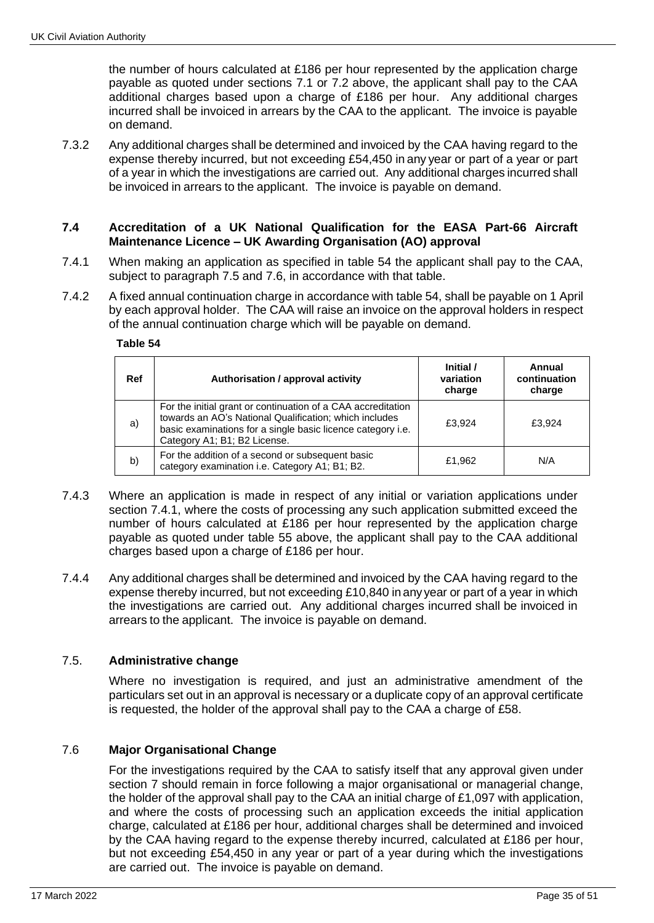the number of hours calculated at  $£186$  per hour represented by the application charge payable as quoted under sections 7.1 or 7.2 above, the applicant shall pay to the CAA additional charges based upon a charge of £186 per hour. Any additional charges incurred shall be invoiced in arrears by the CAA to the applicant. The invoice is payable on demand.

7.3.2 Any additional charges shall be determined and invoiced by the CAA having regard to the expense thereby incurred, but not exceeding £54,450 in any year or part of a year or part of a year in which the investigations are carried out. Any additional charges incurred shall be invoiced in arrears to the applicant. The invoice is payable on demand.

#### **7.4 Accreditation of a UK National Qualification for the EASA Part-66 Aircraft Maintenance Licence – UK Awarding Organisation (AO) approval**

- 7.4.1 When making an application as specified in table 54 the applicant shall pay to the CAA, subject to paragraph 7.5 and 7.6, in accordance with that table.
- 7.4.2 A fixed annual continuation charge in accordance with table 54, shall be payable on 1 April by each approval holder. The CAA will raise an invoice on the approval holders in respect of the annual continuation charge which will be payable on demand.

#### **Table 54**

| Ref | Authorisation / approval activity                                                                                                                                                                                     | Initial /<br>variation<br>charge | Annual<br>continuation<br>charge |
|-----|-----------------------------------------------------------------------------------------------------------------------------------------------------------------------------------------------------------------------|----------------------------------|----------------------------------|
| a)  | For the initial grant or continuation of a CAA accreditation<br>towards an AO's National Qualification; which includes<br>basic examinations for a single basic licence category i.e.<br>Category A1; B1; B2 License. | £3.924                           | £3.924                           |
| b)  | For the addition of a second or subsequent basic<br>category examination i.e. Category A1; B1; B2.                                                                                                                    | £1,962                           | N/A                              |

- 7.4.3 Where an application is made in respect of any initial or variation applications under section 7.4.1, where the costs of processing any such application submitted exceed the number of hours calculated at £186 per hour represented by the application charge payable as quoted under table 55 above, the applicant shall pay to the CAA additional charges based upon a charge of £186 per hour.
- 7.4.4 Any additional charges shall be determined and invoiced by the CAA having regard to the expense thereby incurred, but not exceeding £10,840 in any year or part of a year in which the investigations are carried out. Any additional charges incurred shall be invoiced in arrears to the applicant. The invoice is payable on demand.

### 7.5. **Administrative change**

Where no investigation is required, and just an administrative amendment of the particulars set out in an approval is necessary or a duplicate copy of an approval certificate is requested, the holder of the approval shall pay to the CAA a charge of £58.

### 7.6 **Major Organisational Change**

For the investigations required by the CAA to satisfy itself that any approval given under section 7 should remain in force following a major organisational or managerial change, the holder of the approval shall pay to the CAA an initial charge of £1,097 with application, and where the costs of processing such an application exceeds the initial application charge, calculated at £186 per hour, additional charges shall be determined and invoiced by the CAA having regard to the expense thereby incurred, calculated at £186 per hour, but not exceeding £54,450 in any year or part of a year during which the investigations are carried out. The invoice is payable on demand.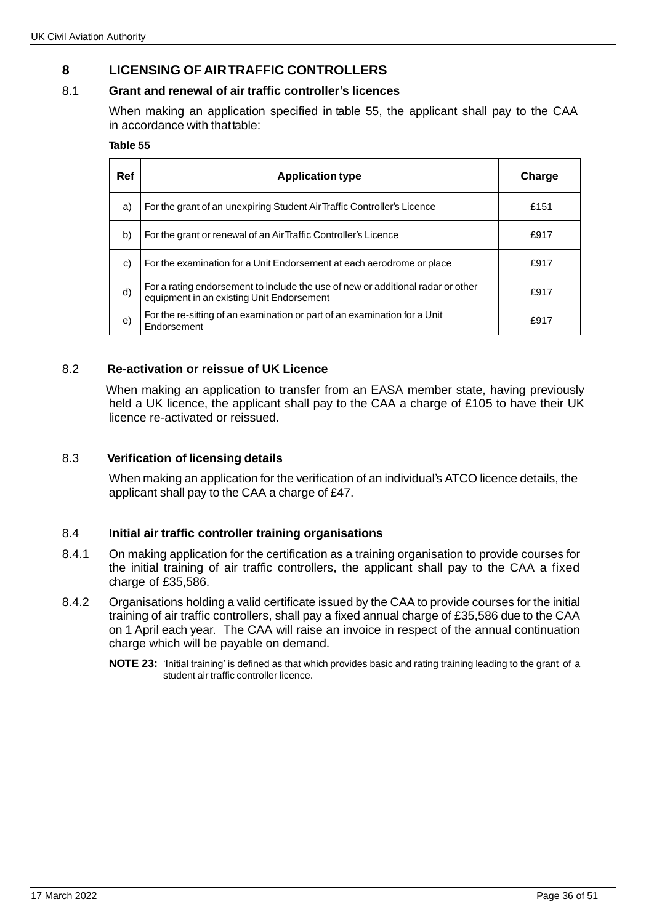# **8 LICENSING OF AIRTRAFFIC CONTROLLERS**

## 8.1 **Grant and renewal of air traffic controller's licences**

When making an application specified in table 55, the applicant shall pay to the CAA in accordance with that table:

#### **Table 55**

| Ref | <b>Application type</b>                                                                                                      | Charge |
|-----|------------------------------------------------------------------------------------------------------------------------------|--------|
| a)  | For the grant of an unexpiring Student Air Traffic Controller's Licence                                                      | £151   |
| b)  | For the grant or renewal of an Air Traffic Controller's Licence                                                              | £917   |
| C)  | For the examination for a Unit Endorsement at each aerodrome or place                                                        | £917   |
| d)  | For a rating endorsement to include the use of new or additional radar or other<br>equipment in an existing Unit Endorsement | £917   |
| e)  | For the re-sitting of an examination or part of an examination for a Unit<br>Endorsement                                     | £917   |

## 8.2 **Re-activation or reissue of UK Licence**

 When making an application to transfer from an EASA member state, having previously held a UK licence, the applicant shall pay to the CAA a charge of £105 to have their UK licence re-activated or reissued.

## 8.3 **Verification of licensing details**

When making an application for the verification of an individual's ATCO licence details, the applicant shall pay to the CAA a charge of £47.

### 8.4 **Initial air traffic controller training organisations**

- 8.4.1 On making application for the certification as a training organisation to provide courses for the initial training of air traffic controllers, the applicant shall pay to the CAA a fixed charge of £35,586.
- 8.4.2 Organisations holding a valid certificate issued by the CAA to provide courses for the initial training of air traffic controllers, shall pay a fixed annual charge of £35,586 due to the CAA on 1 April each year. The CAA will raise an invoice in respect of the annual continuation charge which will be payable on demand.
	- **NOTE 23:** 'Initial training' is defined as that which provides basic and rating training leading to the grant of a student air traffic controller licence.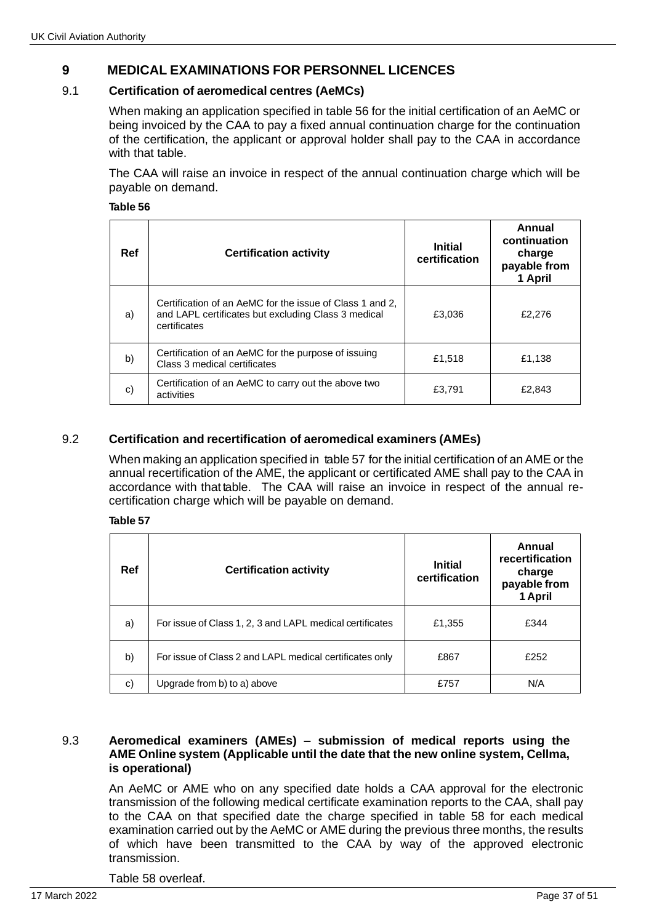# **9 MEDICAL EXAMINATIONS FOR PERSONNEL LICENCES**

## 9.1 **Certification of aeromedical centres (AeMCs)**

When making an application specified in table 56 for the initial certification of an AeMC or being invoiced by the CAA to pay a fixed annual continuation charge for the continuation of the certification, the applicant or approval holder shall pay to the CAA in accordance with that table.

The CAA will raise an invoice in respect of the annual continuation charge which will be payable on demand.

**Table 56**

| Ref | <b>Certification activity</b>                                                                                                   | <b>Initial</b><br>certification | Annual<br>continuation<br>charge<br>payable from<br>1 April |
|-----|---------------------------------------------------------------------------------------------------------------------------------|---------------------------------|-------------------------------------------------------------|
| a)  | Certification of an AeMC for the issue of Class 1 and 2,<br>and LAPL certificates but excluding Class 3 medical<br>certificates | £3.036                          | £2,276                                                      |
| b)  | Certification of an AeMC for the purpose of issuing<br>Class 3 medical certificates                                             | £1,518                          | £1,138                                                      |
| c)  | Certification of an AeMC to carry out the above two<br>activities                                                               | £3,791                          | £2,843                                                      |

## 9.2 **Certification and recertification of aeromedical examiners (AMEs)**

When making an application specified in table 57 for the initial certification of an AME or the annual recertification of the AME, the applicant or certificated AME shall pay to the CAA in accordance with that table. The CAA will raise an invoice in respect of the annual recertification charge which will be payable on demand.

#### **Table 57**

| Ref | <b>Certification activity</b>                            | <b>Initial</b><br>certification | Annual<br>recertification<br>charge<br>payable from<br>1 April |
|-----|----------------------------------------------------------|---------------------------------|----------------------------------------------------------------|
| a)  | For issue of Class 1, 2, 3 and LAPL medical certificates | £1,355                          | £344                                                           |
| b)  | For issue of Class 2 and LAPL medical certificates only  | £867                            | £252                                                           |
| c)  | Upgrade from b) to a) above                              | £757                            | N/A                                                            |

#### 9.3 **Aeromedical examiners (AMEs) – submission of medical reports using the AME Online system (Applicable until the date that the new online system, Cellma, is operational)**

An AeMC or AME who on any specified date holds a CAA approval for the electronic transmission of the following medical certificate examination reports to the CAA, shall pay to the CAA on that specified date the charge specified in table 58 for each medical examination carried out by the AeMC or AME during the previous three months, the results of which have been transmitted to the CAA by way of the approved electronic transmission.

Table 58 overleaf.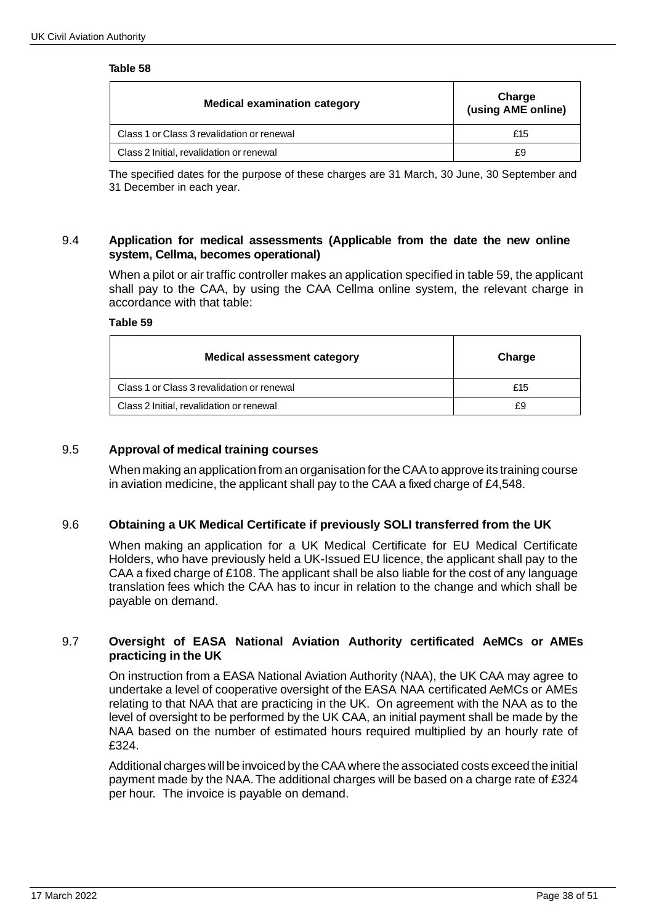#### **Table 58**

| <b>Medical examination category</b>        | Charge<br>(using AME online) |
|--------------------------------------------|------------------------------|
| Class 1 or Class 3 revalidation or renewal | £15                          |
| Class 2 Initial, revalidation or renewal   | £9                           |

The specified dates for the purpose of these charges are 31 March, 30 June, 30 September and 31 December in each year.

#### 9.4 **Application for medical assessments (Applicable from the date the new online system, Cellma, becomes operational)**

When a pilot or air traffic controller makes an application specified in table 59, the applicant shall pay to the CAA, by using the CAA Cellma online system, the relevant charge in accordance with that table:

#### **Table 59**

| <b>Medical assessment category</b>         | Charge |
|--------------------------------------------|--------|
| Class 1 or Class 3 revalidation or renewal | £15    |
| Class 2 Initial, revalidation or renewal   | £9     |

#### 9.5 **Approval of medical training courses**

When making an application from an organisation for the CAAto approve its training course in aviation medicine, the applicant shall pay to the CAA a fixed charge of £4,548.

#### 9.6 **Obtaining a UK Medical Certificate if previously SOLI transferred from the UK**

When making an application for a UK Medical Certificate for EU Medical Certificate Holders, who have previously held a UK-Issued EU licence, the applicant shall pay to the CAA a fixed charge of £108. The applicant shall be also liable for the cost of any language translation fees which the CAA has to incur in relation to the change and which shall be payable on demand.

### 9.7 **Oversight of EASA National Aviation Authority certificated AeMCs or AMEs practicing in the UK**

On instruction from a EASA National Aviation Authority (NAA), the UK CAA may agree to undertake a level of cooperative oversight of the EASA NAA certificated AeMCs or AMEs relating to that NAA that are practicing in the UK. On agreement with the NAA as to the level of oversight to be performed by the UK CAA, an initial payment shall be made by the NAA based on the number of estimated hours required multiplied by an hourly rate of £324.

Additional charges will be invoiced by the CAA where the associated costs exceed the initial payment made by the NAA.The additional charges will be based on a charge rate of £324 per hour. The invoice is payable on demand.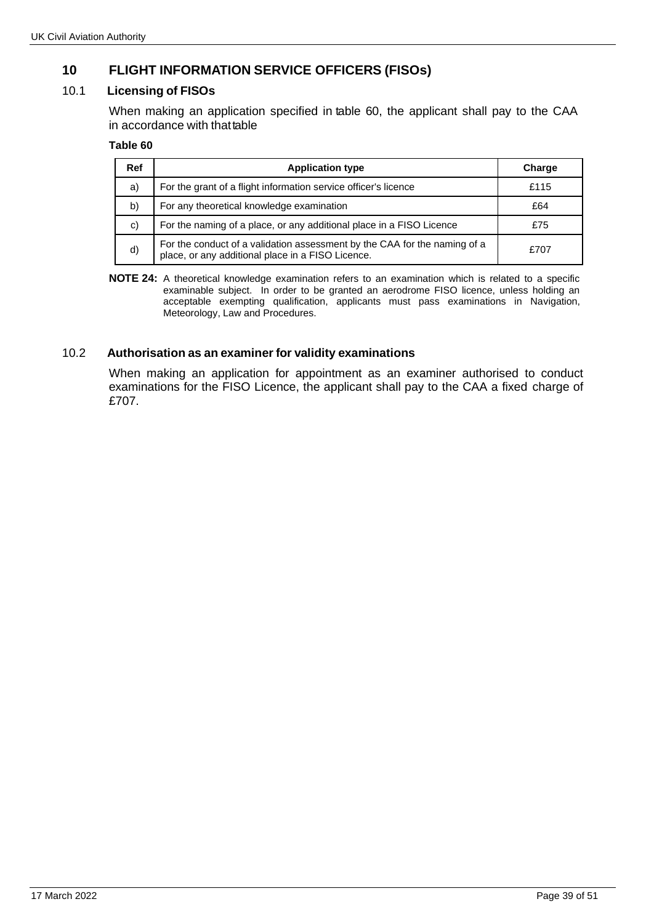# **10 FLIGHT INFORMATION SERVICE OFFICERS (FISOs)**

# 10.1 **Licensing of FISOs**

When making an application specified in table 60, the applicant shall pay to the CAA in accordance with thattable

#### **Table 60**

| Ref | <b>Application type</b>                                                                                                        | Charge |
|-----|--------------------------------------------------------------------------------------------------------------------------------|--------|
| a)  | For the grant of a flight information service officer's licence                                                                | £115   |
| b)  | For any theoretical knowledge examination                                                                                      | £64    |
| C)  | For the naming of a place, or any additional place in a FISO Licence                                                           | £75    |
| d)  | For the conduct of a validation assessment by the CAA for the naming of a<br>place, or any additional place in a FISO Licence. | £707   |

**NOTE 24:** A theoretical knowledge examination refers to an examination which is related to a specific examinable subject. In order to be granted an aerodrome FISO licence, unless holding an acceptable exempting qualification, applicants must pass examinations in Navigation, Meteorology, Law and Procedures.

## 10.2 **Authorisation as an examiner for validity examinations**

When making an application for appointment as an examiner authorised to conduct examinations for the FISO Licence, the applicant shall pay to the CAA a fixed charge of £707.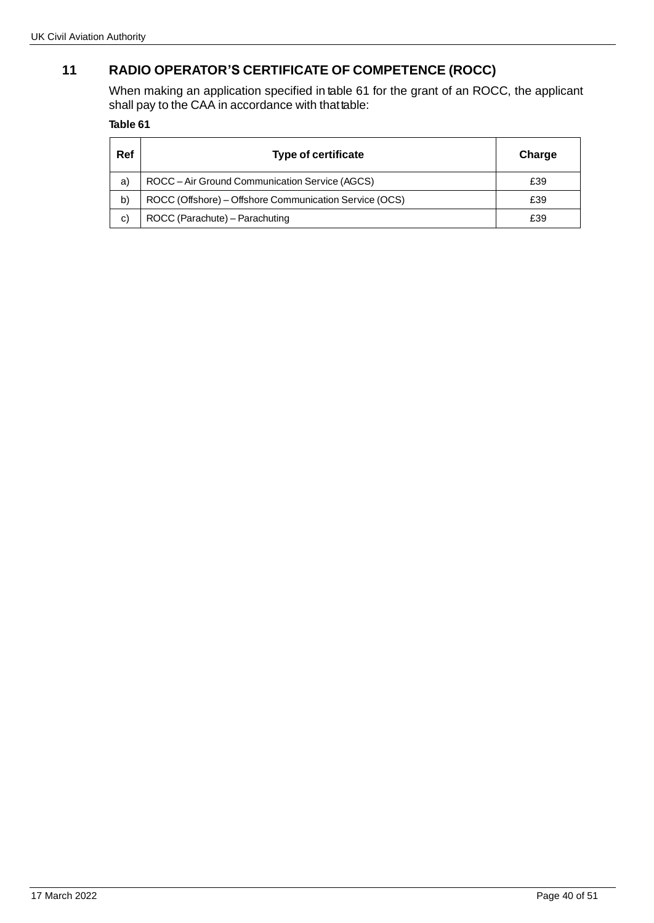# **11 RADIO OPERATOR'S CERTIFICATE OF COMPETENCE (ROCC)**

When making an application specified in table 61 for the grant of an ROCC, the applicant shall pay to the CAA in accordance with thattable:

## **Table 61**

| Ref | <b>Type of certificate</b>                             | Charge |
|-----|--------------------------------------------------------|--------|
| a)  | ROCC - Air Ground Communication Service (AGCS)         | £39    |
| b)  | ROCC (Offshore) - Offshore Communication Service (OCS) | £39    |
| C)  | ROCC (Parachute) - Parachuting                         | £39    |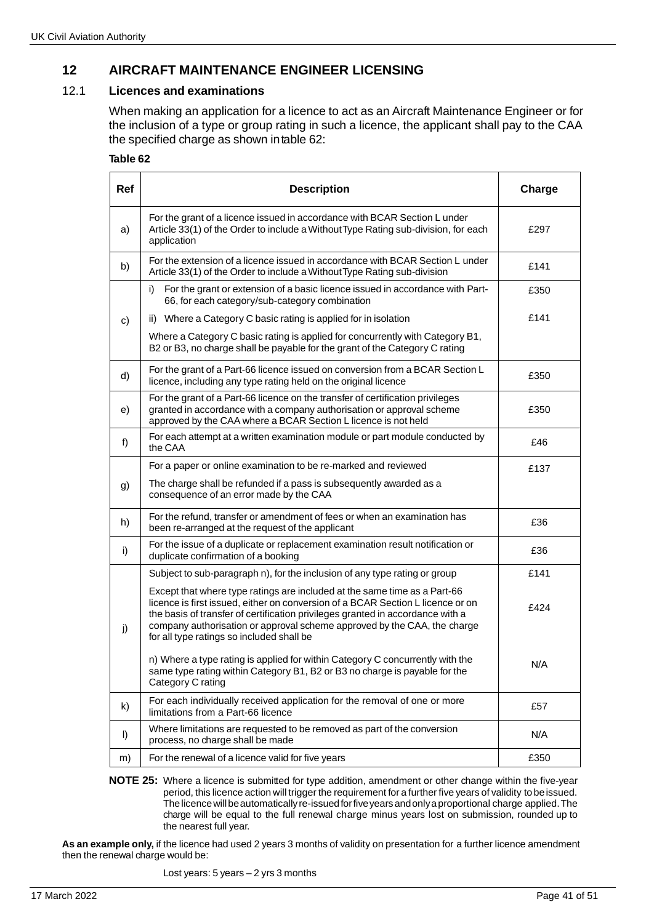# **12 AIRCRAFT MAINTENANCE ENGINEER LICENSING**

#### 12.1 **Licences and examinations**

When making an application for a licence to act as an Aircraft Maintenance Engineer or for the inclusion of a type or group rating in such a licence, the applicant shall pay to the CAA the specified charge as shown intable 62:

#### **Table 62**

| <b>Ref</b>   | <b>Description</b>                                                                                                                                                                                                                                                                                                                                                      | Charge |
|--------------|-------------------------------------------------------------------------------------------------------------------------------------------------------------------------------------------------------------------------------------------------------------------------------------------------------------------------------------------------------------------------|--------|
| a)           | For the grant of a licence issued in accordance with BCAR Section L under<br>Article 33(1) of the Order to include a Without Type Rating sub-division, for each<br>application                                                                                                                                                                                          | £297   |
| b)           | For the extension of a licence issued in accordance with BCAR Section L under<br>Article 33(1) of the Order to include a Without Type Rating sub-division                                                                                                                                                                                                               | £141   |
|              | For the grant or extension of a basic licence issued in accordance with Part-<br>i)<br>66, for each category/sub-category combination                                                                                                                                                                                                                                   | £350   |
| C)           | ii) Where a Category C basic rating is applied for in isolation                                                                                                                                                                                                                                                                                                         | £141   |
|              | Where a Category C basic rating is applied for concurrently with Category B1,<br>B2 or B3, no charge shall be payable for the grant of the Category C rating                                                                                                                                                                                                            |        |
| d)           | For the grant of a Part-66 licence issued on conversion from a BCAR Section L<br>licence, including any type rating held on the original licence                                                                                                                                                                                                                        | £350   |
| e)           | For the grant of a Part-66 licence on the transfer of certification privileges<br>granted in accordance with a company authorisation or approval scheme<br>£350<br>approved by the CAA where a BCAR Section L licence is not held                                                                                                                                       |        |
| f)           | For each attempt at a written examination module or part module conducted by<br>the CAA                                                                                                                                                                                                                                                                                 |        |
|              | For a paper or online examination to be re-marked and reviewed                                                                                                                                                                                                                                                                                                          | £137   |
| g)           | The charge shall be refunded if a pass is subsequently awarded as a<br>consequence of an error made by the CAA                                                                                                                                                                                                                                                          |        |
| h)           | For the refund, transfer or amendment of fees or when an examination has<br>£36<br>been re-arranged at the request of the applicant                                                                                                                                                                                                                                     |        |
| i)           | For the issue of a duplicate or replacement examination result notification or<br>duplicate confirmation of a booking                                                                                                                                                                                                                                                   | £36    |
|              | Subject to sub-paragraph n), for the inclusion of any type rating or group                                                                                                                                                                                                                                                                                              | £141   |
| j)           | Except that where type ratings are included at the same time as a Part-66<br>licence is first issued, either on conversion of a BCAR Section L licence or on<br>the basis of transfer of certification privileges granted in accordance with a<br>company authorisation or approval scheme approved by the CAA, the charge<br>for all type ratings so included shall be | £424   |
|              | n) Where a type rating is applied for within Category C concurrently with the<br>same type rating within Category B1, B2 or B3 no charge is payable for the<br>Category C rating                                                                                                                                                                                        | N/A    |
| $\mathsf{k}$ | For each individually received application for the removal of one or more<br>limitations from a Part-66 licence                                                                                                                                                                                                                                                         | £57    |
| $\vert$      | Where limitations are requested to be removed as part of the conversion<br>process, no charge shall be made                                                                                                                                                                                                                                                             | N/A    |
| m)           | For the renewal of a licence valid for five years                                                                                                                                                                                                                                                                                                                       | £350   |

**NOTE 25:** Where a licence is submitted for type addition, amendment or other change within the five-year period, this licence action will trigger the requirement for a further five years of validity tobeissued. Thelicencewillbeautomaticallyre-issuedforfiveyearsandonlyaproportional charge applied.The charge will be equal to the full renewal charge minus years lost on submission, rounded up to the nearest full year.

**As an example only,** if the licence had used 2 years 3 months of validity on presentation for a further licence amendment then the renewal charge would be:

Lost years: 5 years – 2 yrs 3 months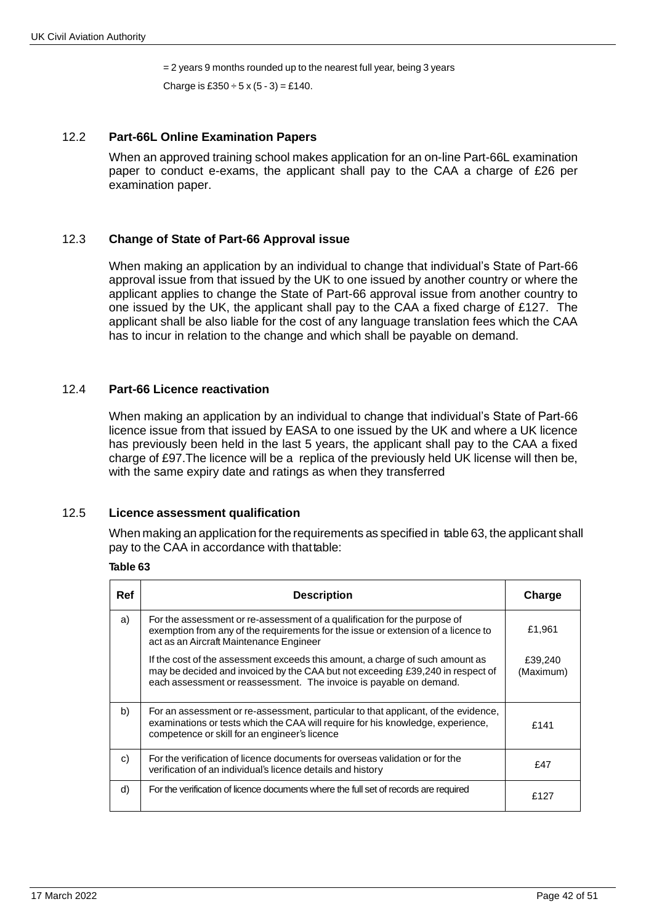= 2 years 9 months rounded up to the nearest full year, being 3 years

Charge is £350  $\div$  5 x (5 - 3) = £140.

### 12.2 **Part-66L Online Examination Papers**

When an approved training school makes application for an on-line Part-66L examination paper to conduct e-exams, the applicant shall pay to the CAA a charge of £26 per examination paper.

### 12.3 **Change of State of Part-66 Approval issue**

When making an application by an individual to change that individual's State of Part-66 approval issue from that issued by the UK to one issued by another country or where the applicant applies to change the State of Part-66 approval issue from another country to one issued by the UK, the applicant shall pay to the CAA a fixed charge of £127. The applicant shall be also liable for the cost of any language translation fees which the CAA has to incur in relation to the change and which shall be payable on demand.

### 12.4 **Part-66 Licence reactivation**

When making an application by an individual to change that individual's State of Part-66 licence issue from that issued by EASA to one issued by the UK and where a UK licence has previously been held in the last 5 years, the applicant shall pay to the CAA a fixed charge of £97.The licence will be a replica of the previously held UK license will then be, with the same expiry date and ratings as when they transferred

### 12.5 **Licence assessment qualification**

When making an application for the requirements as specified in table 63, the applicant shall pay to the CAA in accordance with that table:

#### **Table 63**

| Ref | <b>Description</b>                                                                                                                                                                                                                    | Charge               |
|-----|---------------------------------------------------------------------------------------------------------------------------------------------------------------------------------------------------------------------------------------|----------------------|
| a)  | For the assessment or re-assessment of a qualification for the purpose of<br>exemption from any of the requirements for the issue or extension of a licence to<br>act as an Aircraft Maintenance Engineer                             | £1,961               |
|     | If the cost of the assessment exceeds this amount, a charge of such amount as<br>may be decided and invoiced by the CAA but not exceeding £39,240 in respect of<br>each assessment or reassessment. The invoice is payable on demand. | £39,240<br>(Maximum) |
| b)  | For an assessment or re-assessment, particular to that applicant, of the evidence,<br>examinations or tests which the CAA will require for his knowledge, experience,<br>competence or skill for an engineer's licence                | £141                 |
| c)  | For the verification of licence documents for overseas validation or for the<br>verification of an individual's licence details and history                                                                                           | £47                  |
| d)  | For the verification of licence documents where the full set of records are required                                                                                                                                                  | £127                 |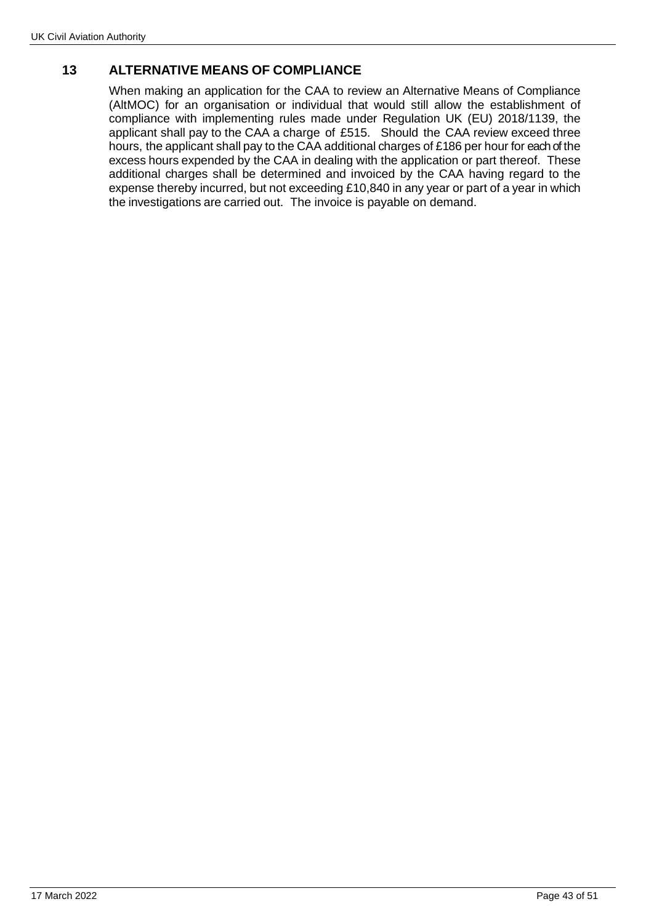# **13 ALTERNATIVE MEANS OF COMPLIANCE**

When making an application for the CAA to review an Alternative Means of Compliance (AltMOC) for an organisation or individual that would still allow the establishment of compliance with implementing rules made under Regulation UK (EU) 2018/1139, the applicant shall pay to the CAA a charge of £515. Should the CAA review exceed three hours, the applicant shall pay to the CAA additional charges of £186 per hour for each of the excess hours expended by the CAA in dealing with the application or part thereof. These additional charges shall be determined and invoiced by the CAA having regard to the expense thereby incurred, but not exceeding £10,840 in any year or part of a year in which the investigations are carried out. The invoice is payable on demand.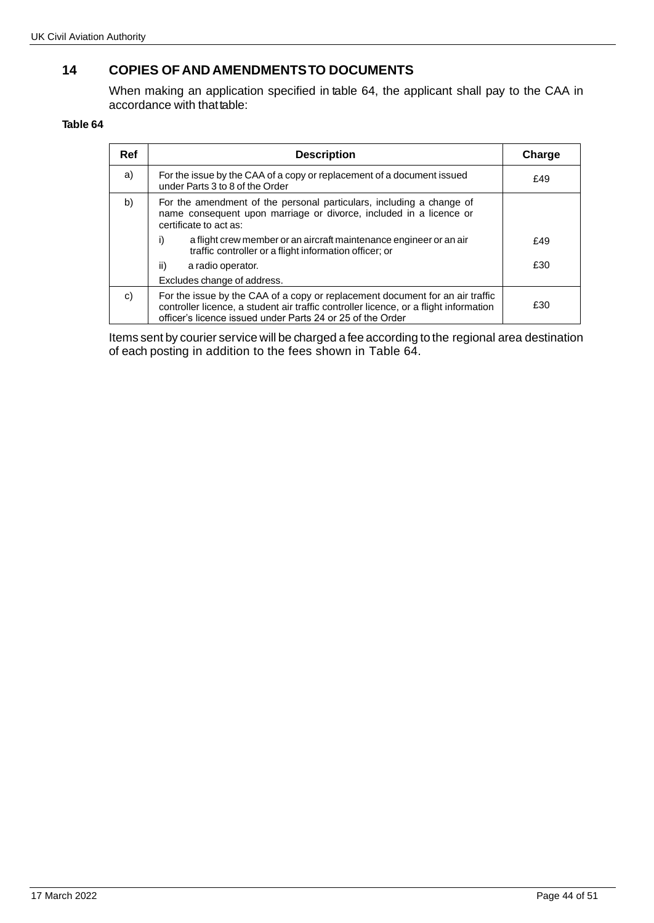# **14 COPIES OF AND AMENDMENTSTO DOCUMENTS**

When making an application specified in table 64, the applicant shall pay to the CAA in accordance with that table:

#### **Table 64**

| <b>Ref</b> | <b>Description</b>                                                                                                                                                                                                                   | Charge |
|------------|--------------------------------------------------------------------------------------------------------------------------------------------------------------------------------------------------------------------------------------|--------|
| a)         | For the issue by the CAA of a copy or replacement of a document issued<br>under Parts 3 to 8 of the Order                                                                                                                            | £49    |
| b)         | For the amendment of the personal particulars, including a change of<br>name consequent upon marriage or divorce, included in a licence or<br>certificate to act as:                                                                 |        |
|            | i)<br>a flight crew member or an aircraft maintenance engineer or an air<br>traffic controller or a flight information officer; or                                                                                                   | £49    |
|            | ii)<br>a radio operator.                                                                                                                                                                                                             | £30    |
|            | Excludes change of address.                                                                                                                                                                                                          |        |
| C)         | For the issue by the CAA of a copy or replacement document for an air traffic<br>controller licence, a student air traffic controller licence, or a flight information<br>officer's licence issued under Parts 24 or 25 of the Order | £30    |

Items sent by courier service will be charged a fee according to the regional area destination of each posting in addition to the fees shown in Table 64.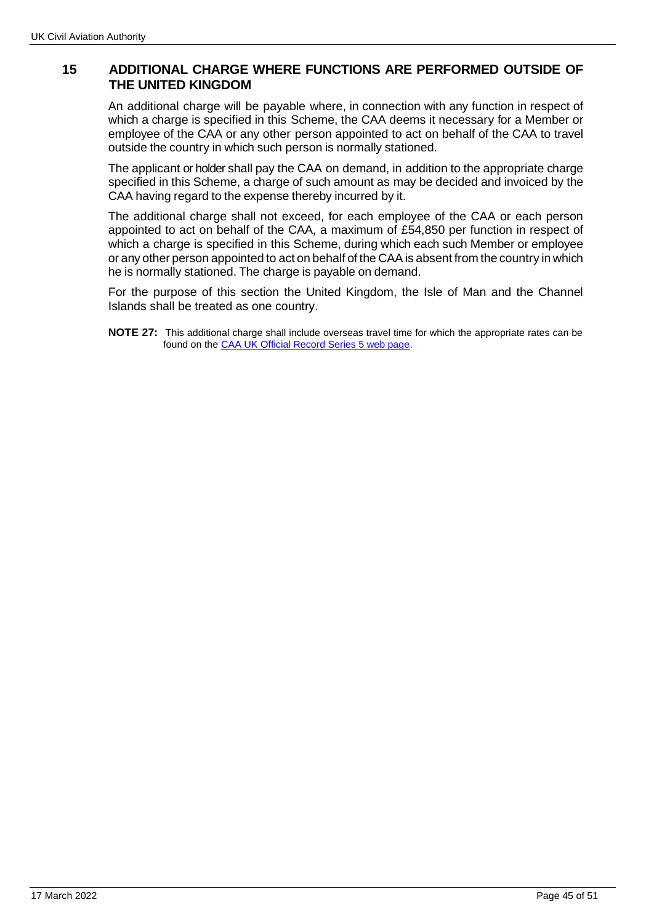# **15 ADDITIONAL CHARGE WHERE FUNCTIONS ARE PERFORMED OUTSIDE OF THE UNITED KINGDOM**

An additional charge will be payable where, in connection with any function in respect of which a charge is specified in this Scheme, the CAA deems it necessary for a Member or employee of the CAA or any other person appointed to act on behalf of the CAA to travel outside the country in which such person is normally stationed.

The applicant or holder shall pay the CAA on demand, in addition to the appropriate charge specified in this Scheme, a charge of such amount as may be decided and invoiced by the CAA having regard to the expense thereby incurred by it.

The additional charge shall not exceed, for each employee of the CAA or each person appointed to act on behalf of the CAA, a maximum of £54,850 per function in respect of which a charge is specified in this Scheme, during which each such Member or employee or any other person appointed to act on behalf of the CAA is absent from the country in which he is normally stationed. The charge is payable on demand.

For the purpose of this section the United Kingdom, the Isle of Man and the Channel Islands shall be treated as one country.

**NOTE 27:** This additional charge shall include overseas travel time for which the appropriate rates can be found on the [CAA UK Official Record Series 5 web page.](http://publicapps.caa.co.uk/modalapplication.aspx?catid=1&pagetype=65&appid=11&mode=list&type=sercat&id=10)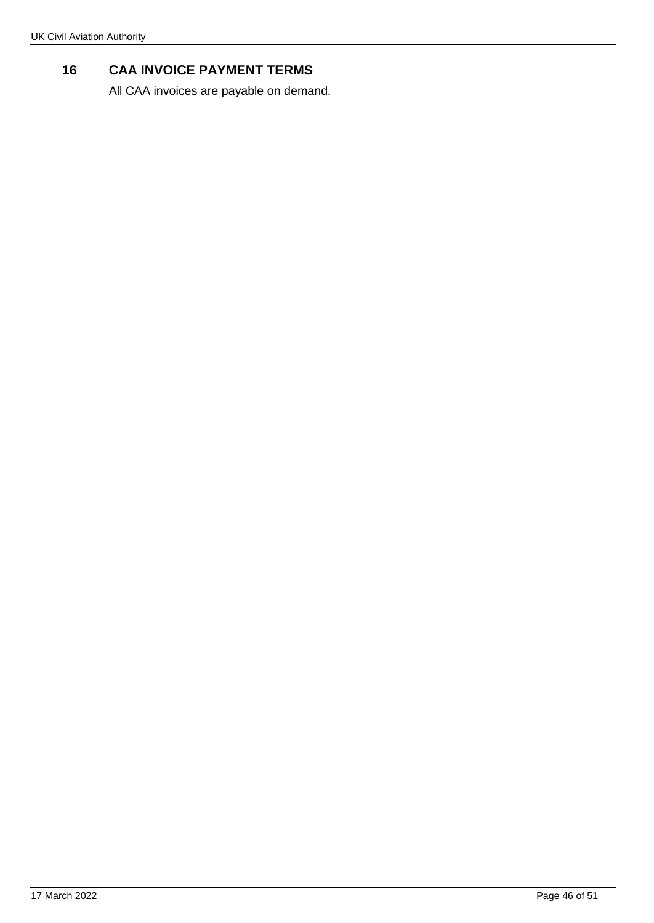# **16 CAA INVOICE PAYMENT TERMS**

All CAA invoices are payable on demand.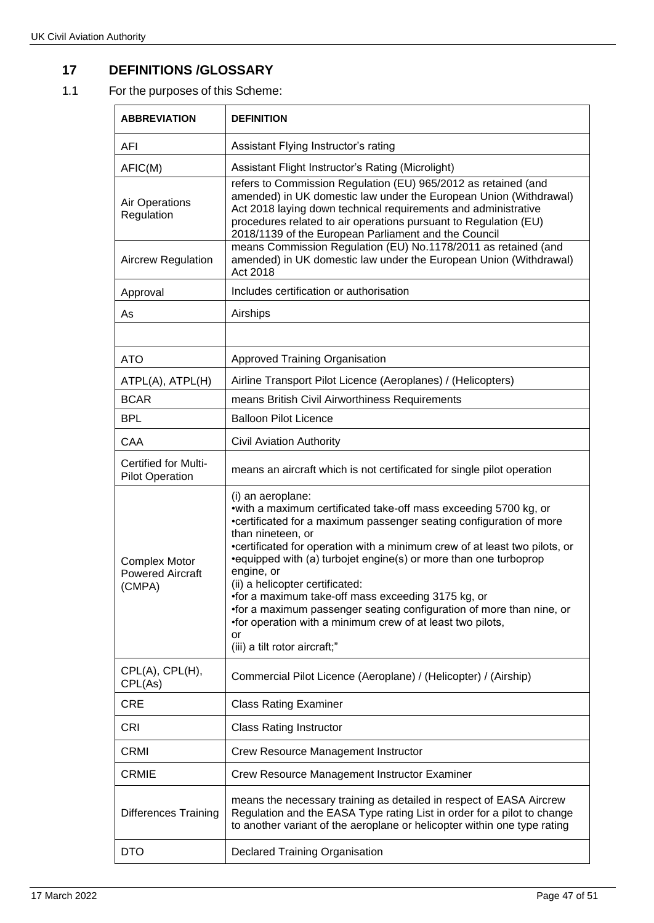# **17 DEFINITIONS /GLOSSARY**

# 1.1 For the purposes of this Scheme:

| <b>ABBREVIATION</b>                                       | <b>DEFINITION</b>                                                                                                                                                                                                                                                                                                                                                                                                                                                                                                                                                                                                        |
|-----------------------------------------------------------|--------------------------------------------------------------------------------------------------------------------------------------------------------------------------------------------------------------------------------------------------------------------------------------------------------------------------------------------------------------------------------------------------------------------------------------------------------------------------------------------------------------------------------------------------------------------------------------------------------------------------|
| AFI                                                       | Assistant Flying Instructor's rating                                                                                                                                                                                                                                                                                                                                                                                                                                                                                                                                                                                     |
| AFIC(M)                                                   | Assistant Flight Instructor's Rating (Microlight)                                                                                                                                                                                                                                                                                                                                                                                                                                                                                                                                                                        |
| Air Operations<br>Regulation                              | refers to Commission Regulation (EU) 965/2012 as retained (and<br>amended) in UK domestic law under the European Union (Withdrawal)<br>Act 2018 laying down technical requirements and administrative<br>procedures related to air operations pursuant to Regulation (EU)<br>2018/1139 of the European Parliament and the Council                                                                                                                                                                                                                                                                                        |
| <b>Aircrew Regulation</b>                                 | means Commission Regulation (EU) No.1178/2011 as retained (and<br>amended) in UK domestic law under the European Union (Withdrawal)<br>Act 2018                                                                                                                                                                                                                                                                                                                                                                                                                                                                          |
| Approval                                                  | Includes certification or authorisation                                                                                                                                                                                                                                                                                                                                                                                                                                                                                                                                                                                  |
| As                                                        | Airships                                                                                                                                                                                                                                                                                                                                                                                                                                                                                                                                                                                                                 |
|                                                           |                                                                                                                                                                                                                                                                                                                                                                                                                                                                                                                                                                                                                          |
| <b>ATO</b>                                                | <b>Approved Training Organisation</b>                                                                                                                                                                                                                                                                                                                                                                                                                                                                                                                                                                                    |
| ATPL(A), ATPL(H)                                          | Airline Transport Pilot Licence (Aeroplanes) / (Helicopters)                                                                                                                                                                                                                                                                                                                                                                                                                                                                                                                                                             |
| <b>BCAR</b>                                               | means British Civil Airworthiness Requirements                                                                                                                                                                                                                                                                                                                                                                                                                                                                                                                                                                           |
| <b>BPL</b>                                                | <b>Balloon Pilot Licence</b>                                                                                                                                                                                                                                                                                                                                                                                                                                                                                                                                                                                             |
| CAA                                                       | <b>Civil Aviation Authority</b>                                                                                                                                                                                                                                                                                                                                                                                                                                                                                                                                                                                          |
| <b>Certified for Multi-</b><br><b>Pilot Operation</b>     | means an aircraft which is not certificated for single pilot operation                                                                                                                                                                                                                                                                                                                                                                                                                                                                                                                                                   |
| <b>Complex Motor</b><br><b>Powered Aircraft</b><br>(CMPA) | (i) an aeroplane:<br>• with a maximum certificated take-off mass exceeding 5700 kg, or<br>•certificated for a maximum passenger seating configuration of more<br>than nineteen, or<br>•certificated for operation with a minimum crew of at least two pilots, or<br>•equipped with (a) turbojet engine(s) or more than one turboprop<br>engine, or<br>(ii) a helicopter certificated:<br>•for a maximum take-off mass exceeding 3175 kg, or<br>•for a maximum passenger seating configuration of more than nine, or<br>•for operation with a minimum crew of at least two pilots,<br>or<br>(iii) a tilt rotor aircraft;" |
| CPL(A), CPL(H),<br>CPL(As)                                | Commercial Pilot Licence (Aeroplane) / (Helicopter) / (Airship)                                                                                                                                                                                                                                                                                                                                                                                                                                                                                                                                                          |
| <b>CRE</b>                                                | <b>Class Rating Examiner</b>                                                                                                                                                                                                                                                                                                                                                                                                                                                                                                                                                                                             |
| <b>CRI</b>                                                | <b>Class Rating Instructor</b>                                                                                                                                                                                                                                                                                                                                                                                                                                                                                                                                                                                           |
| <b>CRMI</b>                                               | Crew Resource Management Instructor                                                                                                                                                                                                                                                                                                                                                                                                                                                                                                                                                                                      |
| <b>CRMIE</b>                                              | Crew Resource Management Instructor Examiner                                                                                                                                                                                                                                                                                                                                                                                                                                                                                                                                                                             |
| <b>Differences Training</b>                               | means the necessary training as detailed in respect of EASA Aircrew<br>Regulation and the EASA Type rating List in order for a pilot to change<br>to another variant of the aeroplane or helicopter within one type rating                                                                                                                                                                                                                                                                                                                                                                                               |
| <b>DTO</b>                                                | <b>Declared Training Organisation</b>                                                                                                                                                                                                                                                                                                                                                                                                                                                                                                                                                                                    |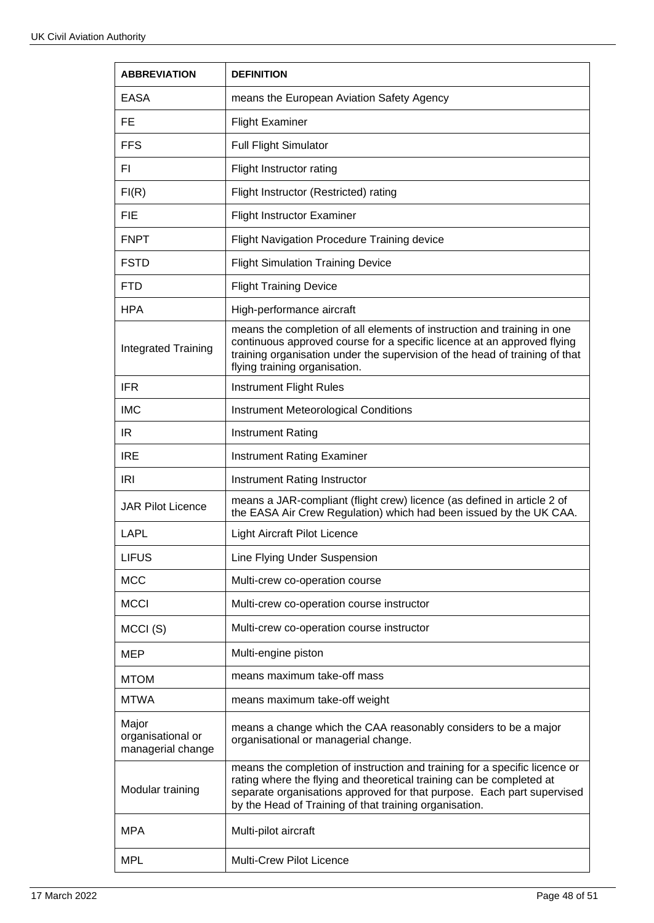| <b>ABBREVIATION</b>                             | <b>DEFINITION</b>                                                                                                                                                                                                                                                                      |
|-------------------------------------------------|----------------------------------------------------------------------------------------------------------------------------------------------------------------------------------------------------------------------------------------------------------------------------------------|
| EASA                                            | means the European Aviation Safety Agency                                                                                                                                                                                                                                              |
| FE.                                             | <b>Flight Examiner</b>                                                                                                                                                                                                                                                                 |
| <b>FFS</b>                                      | <b>Full Flight Simulator</b>                                                                                                                                                                                                                                                           |
| FI.                                             | Flight Instructor rating                                                                                                                                                                                                                                                               |
| FI(R)                                           | Flight Instructor (Restricted) rating                                                                                                                                                                                                                                                  |
| <b>FIE</b>                                      | <b>Flight Instructor Examiner</b>                                                                                                                                                                                                                                                      |
| <b>FNPT</b>                                     | <b>Flight Navigation Procedure Training device</b>                                                                                                                                                                                                                                     |
| <b>FSTD</b>                                     | <b>Flight Simulation Training Device</b>                                                                                                                                                                                                                                               |
| <b>FTD</b>                                      | <b>Flight Training Device</b>                                                                                                                                                                                                                                                          |
| <b>HPA</b>                                      | High-performance aircraft                                                                                                                                                                                                                                                              |
| <b>Integrated Training</b>                      | means the completion of all elements of instruction and training in one<br>continuous approved course for a specific licence at an approved flying<br>training organisation under the supervision of the head of training of that<br>flying training organisation.                     |
| <b>IFR</b>                                      | <b>Instrument Flight Rules</b>                                                                                                                                                                                                                                                         |
| <b>IMC</b>                                      | <b>Instrument Meteorological Conditions</b>                                                                                                                                                                                                                                            |
| IR                                              | <b>Instrument Rating</b>                                                                                                                                                                                                                                                               |
| <b>IRE</b>                                      | <b>Instrument Rating Examiner</b>                                                                                                                                                                                                                                                      |
| <b>IRI</b>                                      | Instrument Rating Instructor                                                                                                                                                                                                                                                           |
| <b>JAR Pilot Licence</b>                        | means a JAR-compliant (flight crew) licence (as defined in article 2 of<br>the EASA Air Crew Regulation) which had been issued by the UK CAA.                                                                                                                                          |
| LAPL                                            | <b>Light Aircraft Pilot Licence</b>                                                                                                                                                                                                                                                    |
| <b>LIFUS</b>                                    | Line Flying Under Suspension                                                                                                                                                                                                                                                           |
| <b>MCC</b>                                      | Multi-crew co-operation course                                                                                                                                                                                                                                                         |
| <b>MCCI</b>                                     | Multi-crew co-operation course instructor                                                                                                                                                                                                                                              |
| MCCI(S)                                         | Multi-crew co-operation course instructor                                                                                                                                                                                                                                              |
| MEP                                             | Multi-engine piston                                                                                                                                                                                                                                                                    |
| <b>MTOM</b>                                     | means maximum take-off mass                                                                                                                                                                                                                                                            |
| <b>MTWA</b>                                     | means maximum take-off weight                                                                                                                                                                                                                                                          |
| Major<br>organisational or<br>managerial change | means a change which the CAA reasonably considers to be a major<br>organisational or managerial change.                                                                                                                                                                                |
| Modular training                                | means the completion of instruction and training for a specific licence or<br>rating where the flying and theoretical training can be completed at<br>separate organisations approved for that purpose. Each part supervised<br>by the Head of Training of that training organisation. |
| <b>MPA</b>                                      | Multi-pilot aircraft                                                                                                                                                                                                                                                                   |
| <b>MPL</b>                                      | Multi-Crew Pilot Licence                                                                                                                                                                                                                                                               |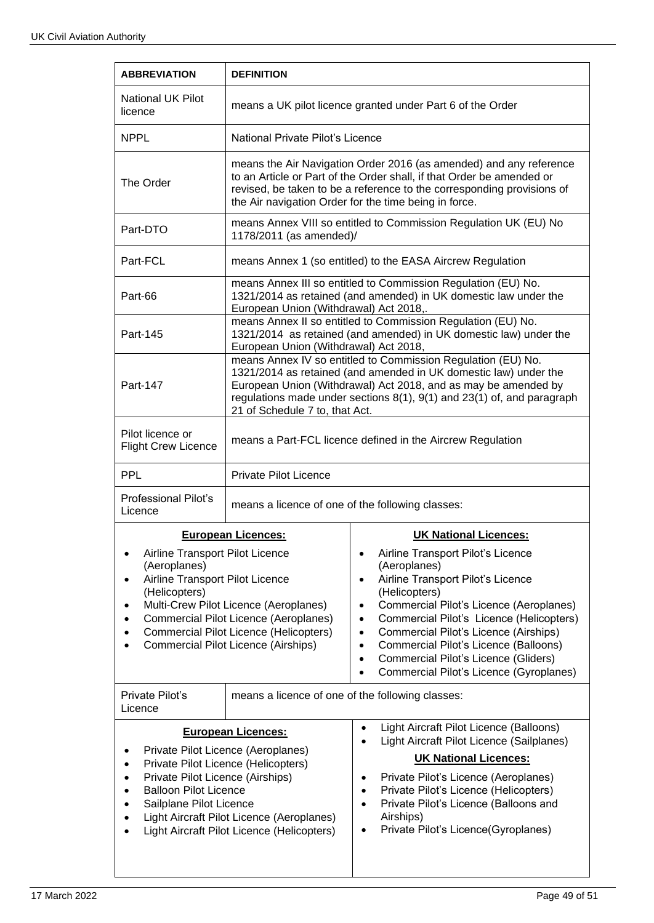| <b>ABBREVIATION</b>                                                                                                                                                                                                                                                                                                                            | <b>DEFINITION</b>                                                                                                                                                                                                                                                                                              |                                                                                                                                                                                                                                                                                                                                                                                                                                                                     |
|------------------------------------------------------------------------------------------------------------------------------------------------------------------------------------------------------------------------------------------------------------------------------------------------------------------------------------------------|----------------------------------------------------------------------------------------------------------------------------------------------------------------------------------------------------------------------------------------------------------------------------------------------------------------|---------------------------------------------------------------------------------------------------------------------------------------------------------------------------------------------------------------------------------------------------------------------------------------------------------------------------------------------------------------------------------------------------------------------------------------------------------------------|
| <b>National UK Pilot</b><br>licence                                                                                                                                                                                                                                                                                                            | means a UK pilot licence granted under Part 6 of the Order                                                                                                                                                                                                                                                     |                                                                                                                                                                                                                                                                                                                                                                                                                                                                     |
| <b>NPPI</b>                                                                                                                                                                                                                                                                                                                                    | National Private Pilot's Licence                                                                                                                                                                                                                                                                               |                                                                                                                                                                                                                                                                                                                                                                                                                                                                     |
| The Order                                                                                                                                                                                                                                                                                                                                      | means the Air Navigation Order 2016 (as amended) and any reference<br>to an Article or Part of the Order shall, if that Order be amended or<br>revised, be taken to be a reference to the corresponding provisions of<br>the Air navigation Order for the time being in force.                                 |                                                                                                                                                                                                                                                                                                                                                                                                                                                                     |
| Part-DTO                                                                                                                                                                                                                                                                                                                                       | means Annex VIII so entitled to Commission Regulation UK (EU) No<br>1178/2011 (as amended)/                                                                                                                                                                                                                    |                                                                                                                                                                                                                                                                                                                                                                                                                                                                     |
| Part-FCL                                                                                                                                                                                                                                                                                                                                       | means Annex 1 (so entitled) to the EASA Aircrew Regulation                                                                                                                                                                                                                                                     |                                                                                                                                                                                                                                                                                                                                                                                                                                                                     |
| Part-66                                                                                                                                                                                                                                                                                                                                        | means Annex III so entitled to Commission Regulation (EU) No.<br>1321/2014 as retained (and amended) in UK domestic law under the<br>European Union (Withdrawal) Act 2018,.                                                                                                                                    |                                                                                                                                                                                                                                                                                                                                                                                                                                                                     |
| Part-145                                                                                                                                                                                                                                                                                                                                       | means Annex II so entitled to Commission Regulation (EU) No.<br>1321/2014 as retained (and amended) in UK domestic law) under the<br>European Union (Withdrawal) Act 2018,                                                                                                                                     |                                                                                                                                                                                                                                                                                                                                                                                                                                                                     |
| Part-147                                                                                                                                                                                                                                                                                                                                       | means Annex IV so entitled to Commission Regulation (EU) No.<br>1321/2014 as retained (and amended in UK domestic law) under the<br>European Union (Withdrawal) Act 2018, and as may be amended by<br>regulations made under sections 8(1), 9(1) and 23(1) of, and paragraph<br>21 of Schedule 7 to, that Act. |                                                                                                                                                                                                                                                                                                                                                                                                                                                                     |
| Pilot licence or<br><b>Flight Crew Licence</b>                                                                                                                                                                                                                                                                                                 | means a Part-FCL licence defined in the Aircrew Regulation                                                                                                                                                                                                                                                     |                                                                                                                                                                                                                                                                                                                                                                                                                                                                     |
| <b>PPL</b>                                                                                                                                                                                                                                                                                                                                     | <b>Private Pilot Licence</b>                                                                                                                                                                                                                                                                                   |                                                                                                                                                                                                                                                                                                                                                                                                                                                                     |
| Professional Pilot's<br>Licence                                                                                                                                                                                                                                                                                                                | means a licence of one of the following classes:                                                                                                                                                                                                                                                               |                                                                                                                                                                                                                                                                                                                                                                                                                                                                     |
| <b>European Licences:</b>                                                                                                                                                                                                                                                                                                                      |                                                                                                                                                                                                                                                                                                                | <b>UK National Licences:</b>                                                                                                                                                                                                                                                                                                                                                                                                                                        |
| Airline Transport Pilot Licence<br>٠<br>(Aeroplanes)<br>Airline Transport Pilot Licence<br>٠<br>(Helicopters)<br>Multi-Crew Pilot Licence (Aeroplanes)<br>٠<br>Commercial Pilot Licence (Aeroplanes)<br>٠<br>Commercial Pilot Licence (Helicopters)<br>$\bullet$<br><b>Commercial Pilot Licence (Airships)</b><br>٠                            |                                                                                                                                                                                                                                                                                                                | Airline Transport Pilot's Licence<br>٠<br>(Aeroplanes)<br>Airline Transport Pilot's Licence<br>$\bullet$<br>(Helicopters)<br>Commercial Pilot's Licence (Aeroplanes)<br>$\bullet$<br>Commercial Pilot's Licence (Helicopters)<br>$\bullet$<br>Commercial Pilot's Licence (Airships)<br>$\bullet$<br>Commercial Pilot's Licence (Balloons)<br>$\bullet$<br>Commercial Pilot's Licence (Gliders)<br>$\bullet$<br>Commercial Pilot's Licence (Gyroplanes)<br>$\bullet$ |
| Private Pilot's<br>Licence                                                                                                                                                                                                                                                                                                                     | means a licence of one of the following classes:                                                                                                                                                                                                                                                               |                                                                                                                                                                                                                                                                                                                                                                                                                                                                     |
|                                                                                                                                                                                                                                                                                                                                                | Light Aircraft Pilot Licence (Balloons)<br>$\bullet$<br><b>European Licences:</b>                                                                                                                                                                                                                              |                                                                                                                                                                                                                                                                                                                                                                                                                                                                     |
| Private Pilot Licence (Aeroplanes)<br>٠<br>Private Pilot Licence (Helicopters)<br>$\bullet$<br>Private Pilot Licence (Airships)<br>$\bullet$<br><b>Balloon Pilot Licence</b><br>$\bullet$<br>Sailplane Pilot Licence<br>$\bullet$<br>Light Aircraft Pilot Licence (Aeroplanes)<br>٠<br>Light Aircraft Pilot Licence (Helicopters)<br>$\bullet$ |                                                                                                                                                                                                                                                                                                                | Light Aircraft Pilot Licence (Sailplanes)<br><b>UK National Licences:</b><br>Private Pilot's Licence (Aeroplanes)<br>٠<br>Private Pilot's Licence (Helicopters)<br>$\bullet$<br>Private Pilot's Licence (Balloons and<br>$\bullet$<br>Airships)<br>Private Pilot's Licence(Gyroplanes)<br>$\bullet$                                                                                                                                                                 |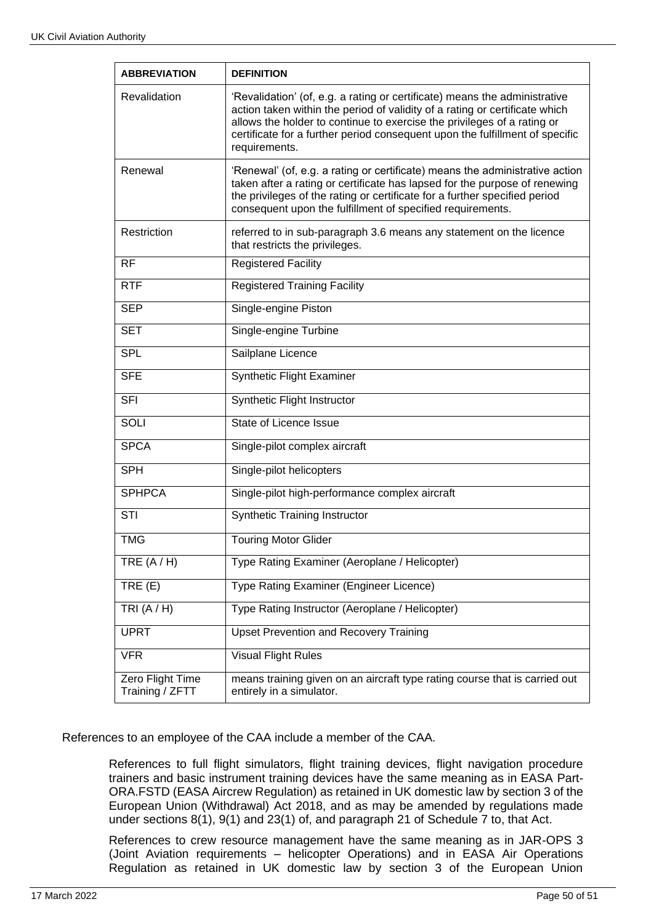| <b>ABBREVIATION</b>                 | <b>DEFINITION</b>                                                                                                                                                                                                                                                                                                                     |  |
|-------------------------------------|---------------------------------------------------------------------------------------------------------------------------------------------------------------------------------------------------------------------------------------------------------------------------------------------------------------------------------------|--|
| Revalidation                        | 'Revalidation' (of, e.g. a rating or certificate) means the administrative<br>action taken within the period of validity of a rating or certificate which<br>allows the holder to continue to exercise the privileges of a rating or<br>certificate for a further period consequent upon the fulfillment of specific<br>requirements. |  |
| Renewal                             | 'Renewal' (of, e.g. a rating or certificate) means the administrative action<br>taken after a rating or certificate has lapsed for the purpose of renewing<br>the privileges of the rating or certificate for a further specified period<br>consequent upon the fulfillment of specified requirements.                                |  |
| Restriction                         | referred to in sub-paragraph 3.6 means any statement on the licence<br>that restricts the privileges.                                                                                                                                                                                                                                 |  |
| <b>RF</b>                           | <b>Registered Facility</b>                                                                                                                                                                                                                                                                                                            |  |
| <b>RTF</b>                          | <b>Registered Training Facility</b>                                                                                                                                                                                                                                                                                                   |  |
| <b>SEP</b>                          | Single-engine Piston                                                                                                                                                                                                                                                                                                                  |  |
| <b>SET</b>                          | Single-engine Turbine                                                                                                                                                                                                                                                                                                                 |  |
| <b>SPL</b>                          | Sailplane Licence                                                                                                                                                                                                                                                                                                                     |  |
| <b>SFE</b>                          | Synthetic Flight Examiner                                                                                                                                                                                                                                                                                                             |  |
| <b>SFI</b>                          | Synthetic Flight Instructor                                                                                                                                                                                                                                                                                                           |  |
| SOLI                                | State of Licence Issue                                                                                                                                                                                                                                                                                                                |  |
| <b>SPCA</b>                         | Single-pilot complex aircraft                                                                                                                                                                                                                                                                                                         |  |
| <b>SPH</b>                          | Single-pilot helicopters                                                                                                                                                                                                                                                                                                              |  |
| <b>SPHPCA</b>                       | Single-pilot high-performance complex aircraft                                                                                                                                                                                                                                                                                        |  |
| <b>STI</b>                          | <b>Synthetic Training Instructor</b>                                                                                                                                                                                                                                                                                                  |  |
| <b>TMG</b>                          | <b>Touring Motor Glider</b>                                                                                                                                                                                                                                                                                                           |  |
| TRE $(A/H)$                         | Type Rating Examiner (Aeroplane / Helicopter)                                                                                                                                                                                                                                                                                         |  |
| TRE(E)                              | Type Rating Examiner (Engineer Licence)                                                                                                                                                                                                                                                                                               |  |
| TRI $(A/H)$                         | Type Rating Instructor (Aeroplane / Helicopter)                                                                                                                                                                                                                                                                                       |  |
| <b>UPRT</b>                         | <b>Upset Prevention and Recovery Training</b>                                                                                                                                                                                                                                                                                         |  |
| <b>VFR</b>                          | <b>Visual Flight Rules</b>                                                                                                                                                                                                                                                                                                            |  |
| Zero Flight Time<br>Training / ZFTT | means training given on an aircraft type rating course that is carried out<br>entirely in a simulator.                                                                                                                                                                                                                                |  |

References to an employee of the CAA include a member of the CAA.

References to full flight simulators, flight training devices, flight navigation procedure trainers and basic instrument training devices have the same meaning as in EASA Part-ORA.FSTD (EASA Aircrew Regulation) as retained in UK domestic law by section 3 of the European Union (Withdrawal) Act 2018, and as may be amended by regulations made under sections 8(1), 9(1) and 23(1) of, and paragraph 21 of Schedule 7 to, that Act.

References to crew resource management have the same meaning as in JAR-OPS 3 (Joint Aviation requirements – helicopter Operations) and in EASA Air Operations Regulation as retained in UK domestic law by section 3 of the European Union